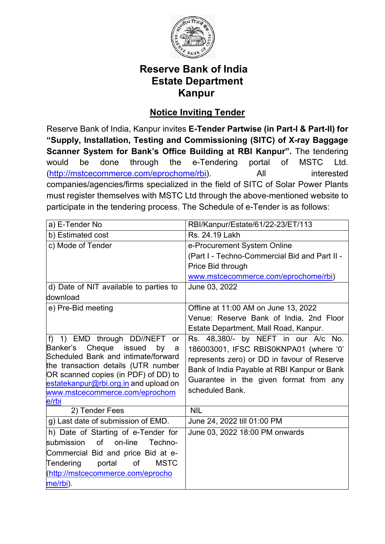

# **Reserve Bank of India Estate Department Kanpur**

# **Notice Inviting Tender**

Reserve Bank of India, Kanpur invites **E-Tender Partwise (in Part-I & Part-II) for "Supply, Installation, Testing and Commissioning (SITC) of X-ray Baggage Scanner System for Bank's Office Building at RBI Kanpur".** The tendering would be done through the e-Tendering portal of MSTC Ltd. [\(http://mstcecommerce.com/eprochome/rbi\)](https://www.mstcecommerce.com/eprochome/rbi/). All interested companies/agencies/firms specialized in the field of SITC of Solar Power Plants must register themselves with MSTC Ltd through the above-mentioned website to participate in the tendering process. The Schedule of e-Tender is as follows:

| a) E-Tender No                                                                                                                                                                                                                                                                        | RBI/Kanpur/Estate/61/22-23/ET/113                                                                                                                                                                                                        |  |  |
|---------------------------------------------------------------------------------------------------------------------------------------------------------------------------------------------------------------------------------------------------------------------------------------|------------------------------------------------------------------------------------------------------------------------------------------------------------------------------------------------------------------------------------------|--|--|
| b) Estimated cost                                                                                                                                                                                                                                                                     | Rs. 24.19 Lakh                                                                                                                                                                                                                           |  |  |
| c) Mode of Tender                                                                                                                                                                                                                                                                     | e-Procurement System Online                                                                                                                                                                                                              |  |  |
|                                                                                                                                                                                                                                                                                       | (Part I - Techno-Commercial Bid and Part II -                                                                                                                                                                                            |  |  |
|                                                                                                                                                                                                                                                                                       | Price Bid through                                                                                                                                                                                                                        |  |  |
|                                                                                                                                                                                                                                                                                       | www.mstcecommerce.com/eprochome/rbi)                                                                                                                                                                                                     |  |  |
| d) Date of NIT available to parties to<br>download                                                                                                                                                                                                                                    | June 03, 2022                                                                                                                                                                                                                            |  |  |
| e) Pre-Bid meeting                                                                                                                                                                                                                                                                    | Offline at 11:00 AM on June 13, 2022                                                                                                                                                                                                     |  |  |
|                                                                                                                                                                                                                                                                                       | Venue: Reserve Bank of India, 2nd Floor                                                                                                                                                                                                  |  |  |
|                                                                                                                                                                                                                                                                                       | Estate Department, Mall Road, Kanpur.                                                                                                                                                                                                    |  |  |
| $f$ )<br>1) EMD through DD//NEFT or<br>Cheque issued<br>Banker's<br>by<br>a<br>Scheduled Bank and intimate/forward<br>the transaction details (UTR number<br>OR scanned copies (in PDF) of DD) to<br>estatekanpur@rbi.org.in and upload on<br>www.mstcecommerce.com/eprochom<br>e/rbi | Rs. 48,380/- by NEFT in our A/c No.<br>186003001, IFSC RBIS0KNPA01 (where '0'<br>represents zero) or DD in favour of Reserve<br>Bank of India Payable at RBI Kanpur or Bank<br>Guarantee in the given format from any<br>scheduled Bank. |  |  |
| 2) Tender Fees                                                                                                                                                                                                                                                                        | <b>NIL</b>                                                                                                                                                                                                                               |  |  |
| g) Last date of submission of EMD.                                                                                                                                                                                                                                                    | June 24, 2022 till 01:00 PM                                                                                                                                                                                                              |  |  |
| h) Date of Starting of e-Tender for<br>submission<br><b>of</b><br>on-line Techno-<br>Commercial Bid and price Bid at e-<br>Tendering<br>portal<br>of<br><b>MSTC</b><br>http://mstcecommerce.com/eprocho<br>me/rbi).                                                                   | June 03, 2022 18:00 PM onwards                                                                                                                                                                                                           |  |  |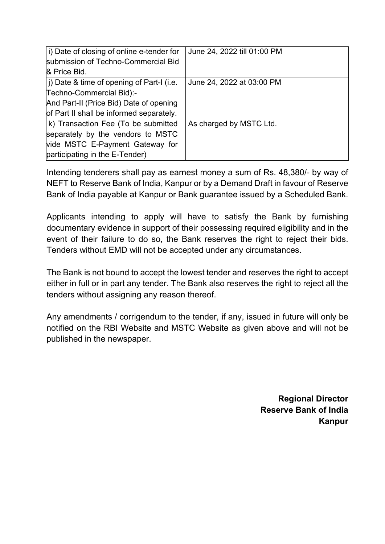| i) Date of closing of online e-tender for          | June 24, 2022 till 01:00 PM |
|----------------------------------------------------|-----------------------------|
| submission of Techno-Commercial Bid                |                             |
| & Price Bid.                                       |                             |
| $ j\rangle$ Date & time of opening of Part-I (i.e. | June 24, 2022 at 03:00 PM   |
| Techno-Commercial Bid):-                           |                             |
| And Part-II (Price Bid) Date of opening            |                             |
| of Part II shall be informed separately.           |                             |
| k) Transaction Fee (To be submitted                | As charged by MSTC Ltd.     |
| separately by the vendors to MSTC                  |                             |
| vide MSTC E-Payment Gateway for                    |                             |
| participating in the E-Tender)                     |                             |

Intending tenderers shall pay as earnest money a sum of Rs. 48,380/- by way of NEFT to Reserve Bank of India, Kanpur or by a Demand Draft in favour of Reserve Bank of India payable at Kanpur or Bank guarantee issued by a Scheduled Bank.

Applicants intending to apply will have to satisfy the Bank by furnishing documentary evidence in support of their possessing required eligibility and in the event of their failure to do so, the Bank reserves the right to reject their bids. Tenders without EMD will not be accepted under any circumstances.

The Bank is not bound to accept the lowest tender and reserves the right to accept either in full or in part any tender. The Bank also reserves the right to reject all the tenders without assigning any reason thereof.

Any amendments / corrigendum to the tender, if any, issued in future will only be notified on the RBI Website and MSTC Website as given above and will not be published in the newspaper.

> **Regional Director Reserve Bank of India Kanpur**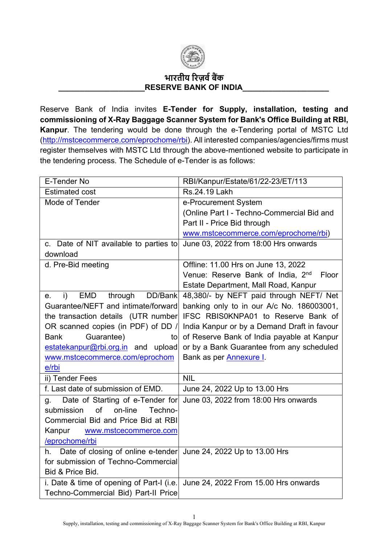

## **भारतीय �रज़व�ब�क** RESERVE BANK OF INDIA

Reserve Bank of India invites **E-Tender for Supply, installation, testing and commissioning of X-Ray Baggage Scanner System for Bank's Office Building at RBI, Kanpur**. The tendering would be done through the e-Tendering portal of MSTC Ltd [\(http://mstcecommerce.com/eprochome/rbi\)](https://www.mstcecommerce.com/eprochome/rbi/). All interested companies/agencies/firms must register themselves with MSTC Ltd through the above-mentioned website to participate in the tendering process. The Schedule of e-Tender is as follows:

| E-Tender No                                                            | RBI/Kanpur/Estate/61/22-23/ET/113                      |  |
|------------------------------------------------------------------------|--------------------------------------------------------|--|
| <b>Estimated cost</b>                                                  | Rs.24.19 Lakh                                          |  |
| Mode of Tender                                                         | e-Procurement System                                   |  |
|                                                                        | (Online Part I - Techno-Commercial Bid and             |  |
|                                                                        | Part II - Price Bid through                            |  |
|                                                                        | www.mstcecommerce.com/eprochome/rbi)                   |  |
| c. Date of NIT available to parties to                                 | June 03, 2022 from 18:00 Hrs onwards                   |  |
| download                                                               |                                                        |  |
| d. Pre-Bid meeting                                                     | Offline: 11.00 Hrs on June 13, 2022                    |  |
|                                                                        | Venue: Reserve Bank of India, 2 <sup>nd</sup><br>Floor |  |
|                                                                        | Estate Department, Mall Road, Kanpur                   |  |
| EMD through DD/Bank<br>i)<br>е.                                        | 48,380/- by NEFT paid through NEFT/ Net                |  |
| Guarantee/NEFT and intimate/forward                                    | banking only to in our A/c No. 186003001,              |  |
| the transaction details (UTR number                                    | IFSC RBIS0KNPA01 to Reserve Bank of                    |  |
| OR scanned copies (in PDF) of DD /                                     | India Kanpur or by a Demand Draft in favour            |  |
| Guarantee)<br><b>Bank</b><br>to                                        | of Reserve Bank of India payable at Kanpur             |  |
| estatekanpur@rbi.org.in and upload                                     | or by a Bank Guarantee from any scheduled              |  |
| www.mstcecommerce.com/eprochom                                         | Bank as per <b>Annexure I</b> .                        |  |
| e/rbi                                                                  |                                                        |  |
| ii) Tender Fees                                                        | <b>NIL</b>                                             |  |
| f. Last date of submission of EMD.                                     | June 24, 2022 Up to 13.00 Hrs                          |  |
| Date of Starting of e-Tender for<br>$q_{\rm}$                          | June 03, 2022 from 18:00 Hrs onwards                   |  |
| of<br>on-line<br>submission<br>Techno-                                 |                                                        |  |
| Commercial Bid and Price Bid at RBI                                    |                                                        |  |
| Kanpur<br>www.mstcecommerce.com                                        |                                                        |  |
| /eprochome/rbi                                                         |                                                        |  |
| Date of closing of online e-tender June 24, 2022 Up to 13.00 Hrs<br>h. |                                                        |  |
| for submission of Techno-Commercial                                    |                                                        |  |
| Bid & Price Bid.                                                       |                                                        |  |
| i. Date & time of opening of Part-I (i.e.                              | June 24, 2022 From 15.00 Hrs onwards                   |  |
| Techno-Commercial Bid) Part-II Price                                   |                                                        |  |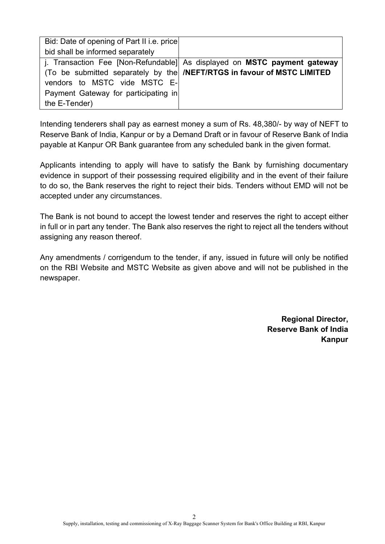| Bid: Date of opening of Part II i.e. price |                                                                                |
|--------------------------------------------|--------------------------------------------------------------------------------|
| bid shall be informed separately           |                                                                                |
|                                            | j. Transaction Fee [Non-Refundable] As displayed on MSTC payment gateway       |
|                                            | (To be submitted separately by the <b>/NEFT/RTGS in favour of MSTC LIMITED</b> |
| vendors to MSTC vide MSTC E-               |                                                                                |
| Payment Gateway for participating in       |                                                                                |
| the E-Tender)                              |                                                                                |

Intending tenderers shall pay as earnest money a sum of Rs. 48,380/- by way of NEFT to Reserve Bank of India, Kanpur or by a Demand Draft or in favour of Reserve Bank of India payable at Kanpur OR Bank guarantee from any scheduled bank in the given format.

Applicants intending to apply will have to satisfy the Bank by furnishing documentary evidence in support of their possessing required eligibility and in the event of their failure to do so, the Bank reserves the right to reject their bids. Tenders without EMD will not be accepted under any circumstances.

The Bank is not bound to accept the lowest tender and reserves the right to accept either in full or in part any tender. The Bank also reserves the right to reject all the tenders without assigning any reason thereof.

Any amendments / corrigendum to the tender, if any, issued in future will only be notified on the RBI Website and MSTC Website as given above and will not be published in the newspaper.

> **Regional Director, Reserve Bank of India Kanpur**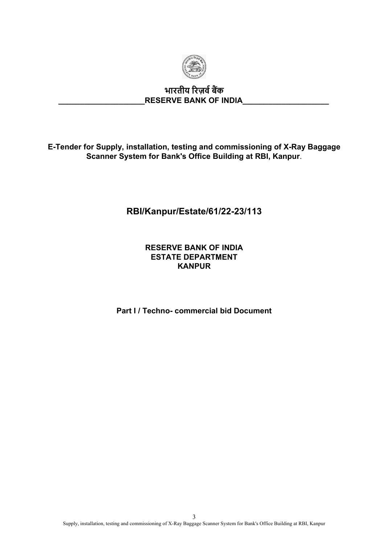

# **भारतीय �रज़व�ब�क \_\_\_\_\_\_\_\_\_\_\_\_\_\_\_\_\_\_\_\_RESERVE BANK OF INDIA\_\_\_\_\_\_\_\_\_\_\_\_\_\_\_\_\_\_\_\_**

**E-Tender for Supply, installation, testing and commissioning of X-Ray Baggage Scanner System for Bank's Office Building at RBI, Kanpur**.

# **RBI/Kanpur/Estate/61/22-23/113**

### **RESERVE BANK OF INDIA ESTATE DEPARTMENT KANPUR**

**Part I / Techno- commercial bid Document**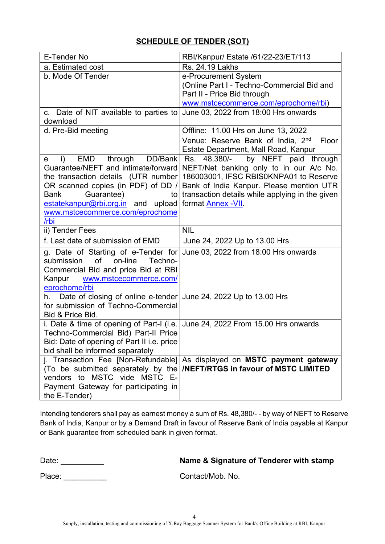## **SCHEDULE OF TENDER (SOT)**

| E-Tender No                                                              | RBI/Kanpur/ Estate /61/22-23/ET/113                                                                                                                       |  |
|--------------------------------------------------------------------------|-----------------------------------------------------------------------------------------------------------------------------------------------------------|--|
| a. Estimated cost                                                        | Rs. 24.19 Lakhs                                                                                                                                           |  |
| b. Mode Of Tender                                                        | e-Procurement System                                                                                                                                      |  |
|                                                                          | (Online Part I - Techno-Commercial Bid and                                                                                                                |  |
|                                                                          | Part II - Price Bid through                                                                                                                               |  |
|                                                                          | www.mstcecommerce.com/eprochome/rbi)                                                                                                                      |  |
| c. Date of NIT available to parties to<br>download                       | June 03, 2022 from 18:00 Hrs onwards                                                                                                                      |  |
| d. Pre-Bid meeting                                                       | Offline: 11.00 Hrs on June 13, 2022                                                                                                                       |  |
|                                                                          | Venue: Reserve Bank of India, 2 <sup>nd</sup><br>Floor                                                                                                    |  |
|                                                                          | Estate Department, Mall Road, Kanpur                                                                                                                      |  |
| EMD through DD/Bank<br>i)<br>$\mathbf{e}$                                | Rs. 48,380/- by NEFT paid through                                                                                                                         |  |
| Guarantee/NEFT and intimate/forward                                      | NEFT/Net banking only to in our A/c No.                                                                                                                   |  |
| the transaction details (UTR number)                                     | 186003001, IFSC RBIS0KNPA01 to Reserve                                                                                                                    |  |
| OR scanned copies (in PDF) of DD /                                       | Bank of India Kanpur. Please mention UTR                                                                                                                  |  |
| Guarantee)<br><b>Bank</b><br>to                                          | transaction details while applying in the given                                                                                                           |  |
| estatekanpur@rbi.org.in and upload                                       | format <b>Annex -VII</b>                                                                                                                                  |  |
| www.mstcecommerce.com/eprochome                                          |                                                                                                                                                           |  |
| /rbi                                                                     | <b>NIL</b>                                                                                                                                                |  |
| ii) Tender Fees                                                          |                                                                                                                                                           |  |
| f. Last date of submission of EMD                                        | June 24, 2022 Up to 13.00 Hrs                                                                                                                             |  |
|                                                                          |                                                                                                                                                           |  |
| g. Date of Starting of e-Tender for June 03, 2022 from 18:00 Hrs onwards |                                                                                                                                                           |  |
| submission<br>of<br>on-line<br>Techno-                                   |                                                                                                                                                           |  |
| Commercial Bid and price Bid at RBI                                      |                                                                                                                                                           |  |
| Kanpur<br>www.mstcecommerce.com/                                         |                                                                                                                                                           |  |
| eprochome/rbi                                                            |                                                                                                                                                           |  |
| h. Date of closing of online e-tender June 24, 2022 Up to 13.00 Hrs      |                                                                                                                                                           |  |
| for submission of Techno-Commercial                                      |                                                                                                                                                           |  |
| Bid & Price Bid.                                                         |                                                                                                                                                           |  |
| i. Date & time of opening of Part-I (i.e.                                | June 24, 2022 From 15.00 Hrs onwards                                                                                                                      |  |
| Techno-Commercial Bid) Part-II Price                                     |                                                                                                                                                           |  |
| Bid: Date of opening of Part II i.e. price                               |                                                                                                                                                           |  |
| bid shall be informed separately                                         |                                                                                                                                                           |  |
|                                                                          | j. Transaction Fee [Non-Refundable] As displayed on MSTC payment gateway<br>(To be submitted separately by the <b>NEFT/RTGS</b> in favour of MSTC LIMITED |  |
| vendors to MSTC vide MSTC E-                                             |                                                                                                                                                           |  |
| Payment Gateway for participating in                                     |                                                                                                                                                           |  |

Intending tenderers shall pay as earnest money a sum of Rs. 48,380/- - by way of NEFT to Reserve Bank of India, Kanpur or by a Demand Draft in favour of Reserve Bank of India payable at Kanpur or Bank guarantee from scheduled bank in given format.

# Date: \_\_\_\_\_\_\_\_\_\_ **Name & Signature of Tenderer with stamp**

Place: <br>
Place: Contact/Mob. No.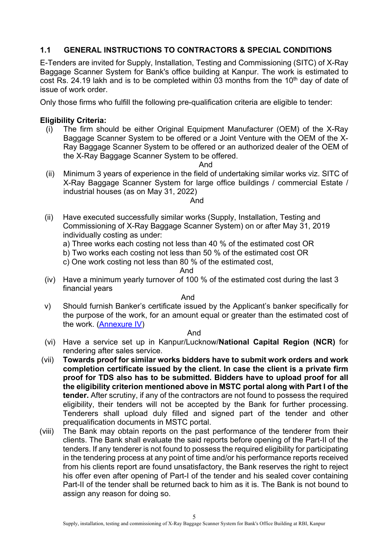## **1.1 GENERAL INSTRUCTIONS TO CONTRACTORS & SPECIAL CONDITIONS**

E-Tenders are invited for Supply, Installation, Testing and Commissioning (SITC) of X-Ray Baggage Scanner System for Bank's office building at Kanpur. The work is estimated to cost Rs. 24.19 lakh and is to be completed within 03 months from the 10<sup>th</sup> day of date of issue of work order.

Only those firms who fulfill the following pre-qualification criteria are eligible to tender:

#### **Eligibility Criteria:**

(i) The firm should be either Original Equipment Manufacturer (OEM) of the X-Ray Baggage Scanner System to be offered or a Joint Venture with the OEM of the X-Ray Baggage Scanner System to be offered or an authorized dealer of the OEM of the X-Ray Baggage Scanner System to be offered.

And

(ii) Minimum 3 years of experience in the field of undertaking similar works viz. SITC of X-Ray Baggage Scanner System for large office buildings / commercial Estate / industrial houses (as on May 31, 2022)

#### And

- (ii) Have executed successfully similar works (Supply, Installation, Testing and Commissioning of X-Ray Baggage Scanner System) on or after May 31, 2019 individually costing as under:
	- a) Three works each costing not less than 40 % of the estimated cost OR
	- b) Two works each costing not less than 50 % of the estimated cost OR
	- c) One work costing not less than 80 % of the estimated cost,

#### And

(iv) Have a minimum yearly turnover of 100 % of the estimated cost during the last 3 financial years

And

v) Should furnish Banker's certificate issued by the Applicant's banker specifically for the purpose of the work, for an amount equal or greater than the estimated cost of the work. [\(Annexure IV\)](#page-70-0)

#### And

- (vi) Have a service set up in Kanpur/Lucknow/**National Capital Region (NCR)** for rendering after sales service.
- (vii) **Towards proof for similar works bidders have to submit work orders and work completion certificate issued by the client. In case the client is a private firm proof for TDS also has to be submitted. Bidders have to upload proof for all the eligibility criterion mentioned above in MSTC portal along with Part I of the tender.** After scrutiny, if any of the contractors are not found to possess the required eligibility, their tenders will not be accepted by the Bank for further processing. Tenderers shall upload duly filled and signed part of the tender and other prequalification documents in MSTC portal.
- (viii) The Bank may obtain reports on the past performance of the tenderer from their clients. The Bank shall evaluate the said reports before opening of the Part-II of the tenders. If any tenderer is not found to possess the required eligibility for participating in the tendering process at any point of time and/or his performance reports received from his clients report are found unsatisfactory, the Bank reserves the right to reject his offer even after opening of Part-I of the tender and his sealed cover containing Part-II of the tender shall be returned back to him as it is. The Bank is not bound to assign any reason for doing so.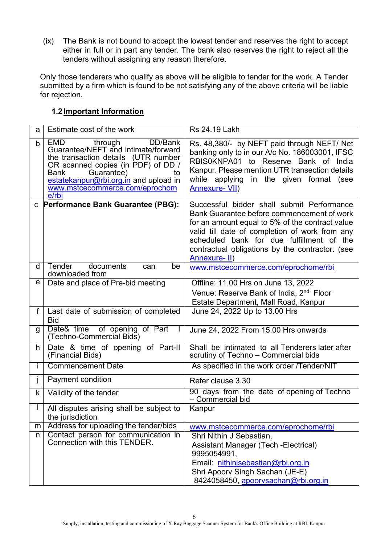(ix) The Bank is not bound to accept the lowest tender and reserves the right to accept either in full or in part any tender. The bank also reserves the right to reject all the tenders without assigning any reason therefore.

Only those tenderers who qualify as above will be eligible to tender for the work. A Tender submitted by a firm which is found to be not satisfying any of the above criteria will be liable for rejection.

#### **1.2Important Information**

| a            | Estimate cost of the work                                                                                                                                                                                                                                               | <b>Rs 24.19 Lakh</b>                                                                                                                                                                                                                                                                                           |  |
|--------------|-------------------------------------------------------------------------------------------------------------------------------------------------------------------------------------------------------------------------------------------------------------------------|----------------------------------------------------------------------------------------------------------------------------------------------------------------------------------------------------------------------------------------------------------------------------------------------------------------|--|
| b            | <b>EMD</b><br>through<br>DD/Bank<br>Guarantee/NEFT and intimate/forward<br>the transaction details (UTR number<br>OR scanned copies (in PDF) of DD /<br>Guarantee)<br>Bank<br>to<br>estatekanpur@rbi.org.in and upload in<br>www.mstcecommerce.com/eprochom<br>$e$ /rbi | Rs. 48,380/- by NEFT paid through NEFT/ Net<br>banking only to in our A/c No. 186003001, IFSC<br>RBIS0KNPA01 to Reserve Bank of India<br>Kanpur. Please mention UTR transection details<br>while applying<br>in the given format (see<br><b>Annexure- VII)</b>                                                 |  |
| C            | Performance Bank Guarantee (PBG):                                                                                                                                                                                                                                       | Successful bidder shall submit Performance<br>Bank Guarantee before commencement of work<br>for an amount equal to 5% of the contract value<br>valid till date of completion of work from any<br>scheduled bank for due fulfillment of the<br>contractual obligations by the contractor. (see<br>Annexure- II) |  |
| d            | Tender<br>documents<br>be<br>can<br>downloaded from                                                                                                                                                                                                                     | www.mstcecommerce.com/eprochome/rbi                                                                                                                                                                                                                                                                            |  |
| е            | Date and place of Pre-bid meeting                                                                                                                                                                                                                                       | Offline: 11.00 Hrs on June 13, 2022<br>Venue: Reserve Bank of India, 2 <sup>nd</sup> Floor<br>Estate Department, Mall Road, Kanpur                                                                                                                                                                             |  |
| $\mathsf{f}$ | Last date of submission of completed<br><b>Bid</b>                                                                                                                                                                                                                      | June 24, 2022 Up to 13.00 Hrs                                                                                                                                                                                                                                                                                  |  |
| g            | Date& time of opening of Part<br>(Techno-Commercial Bids)                                                                                                                                                                                                               | June 24, 2022 From 15.00 Hrs onwards                                                                                                                                                                                                                                                                           |  |
| h            | Date & time of opening of Part-II<br>(Financial Bids)                                                                                                                                                                                                                   | Shall be intimated to all Tenderers later after<br>scrutiny of Techno - Commercial bids                                                                                                                                                                                                                        |  |
| L            | <b>Commencement Date</b>                                                                                                                                                                                                                                                | As specified in the work order /Tender/NIT                                                                                                                                                                                                                                                                     |  |
| İ            | Payment condition                                                                                                                                                                                                                                                       | Refer clause 3.30                                                                                                                                                                                                                                                                                              |  |
| k            | Validity of the tender                                                                                                                                                                                                                                                  | 90 days from the date of opening of Techno<br>- Commercial bid                                                                                                                                                                                                                                                 |  |
|              | All disputes arising shall be subject to<br>the jurisdiction                                                                                                                                                                                                            | Kanpur                                                                                                                                                                                                                                                                                                         |  |
| m            | Address for uploading the tender/bids                                                                                                                                                                                                                                   | www.mstcecommerce.com/eprochome/rbi                                                                                                                                                                                                                                                                            |  |
| n            | Contact person for communication in<br>Connection with this TENDER.                                                                                                                                                                                                     | Shri Nithin J Sebastian,<br>Assistant Manager (Tech - Electrical)<br>9995054991,<br>Email: nithinjsebastian@rbi.org.in<br>Shri Apoorv Singh Sachan (JE-E)<br>8424058450, apoorysachan@rbi.org.in                                                                                                               |  |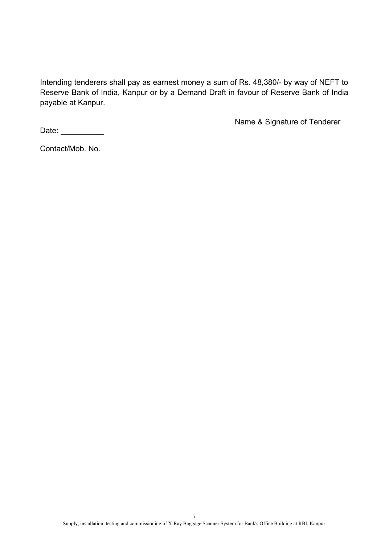Intending tenderers shall pay as earnest money a sum of Rs. 48,380/- by way of NEFT to Reserve Bank of India, Kanpur or by a Demand Draft in favour of Reserve Bank of India payable at Kanpur.

Name & Signature of Tenderer

Date: \_\_\_\_\_\_\_\_\_\_\_\_

Contact/Mob. No.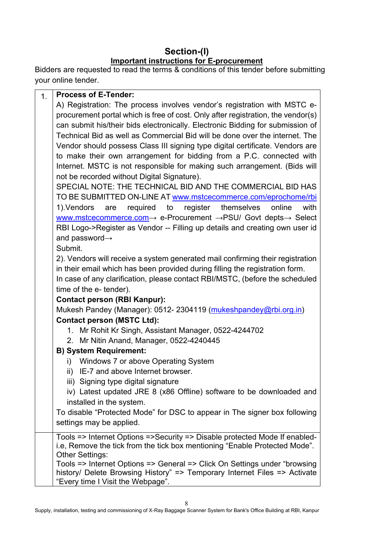# **Section-(I) Important instructions for E-procurement**

Bidders are requested to read the terms & conditions of this tender before submitting your online tender.

| 1 <sub>1</sub> | <b>Process of E-Tender:</b>                                                                           |
|----------------|-------------------------------------------------------------------------------------------------------|
|                | A) Registration: The process involves vendor's registration with MSTC e-                              |
|                | procurement portal which is free of cost. Only after registration, the vendor(s)                      |
|                | can submit his/their bids electronically. Electronic Bidding for submission of                        |
|                | Technical Bid as well as Commercial Bid will be done over the internet. The                           |
|                | Vendor should possess Class III signing type digital certificate. Vendors are                         |
|                | to make their own arrangement for bidding from a P.C. connected with                                  |
|                | Internet. MSTC is not responsible for making such arrangement. (Bids will                             |
|                | not be recorded without Digital Signature).                                                           |
|                | SPECIAL NOTE: THE TECHNICAL BID AND THE COMMERCIAL BID HAS                                            |
|                | TO BE SUBMITTED ON-LINE AT www.mstcecommerce.com/eprochome/rbi                                        |
|                | are required to register themselves<br>1).Vendors<br>online<br>with                                   |
|                | www.mstcecommerce.com $\rightarrow$ e-Procurement $\rightarrow$ PSU/ Govt depts $\rightarrow$ Select  |
|                | RBI Logo->Register as Vendor -- Filling up details and creating own user id                           |
|                | and password-                                                                                         |
|                | Submit.                                                                                               |
|                | 2). Vendors will receive a system generated mail confirming their registration                        |
|                | in their email which has been provided during filling the registration form.                          |
|                | In case of any clarification, please contact RBI/MSTC, (before the scheduled                          |
|                | time of the e- tender).                                                                               |
|                | <b>Contact person (RBI Kanpur):</b>                                                                   |
|                | Mukesh Pandey (Manager): 0512-2304119 (mukeshpandey@rbi.org.in)                                       |
|                | <b>Contact person (MSTC Ltd):</b>                                                                     |
|                | 1. Mr Rohit Kr Singh, Assistant Manager, 0522-4244702                                                 |
|                | 2. Mr Nitin Anand, Manager, 0522-4240445                                                              |
|                | <b>B) System Requirement:</b>                                                                         |
|                | Windows 7 or above Operating System<br>i)                                                             |
|                | ii) IE-7 and above Internet browser.                                                                  |
|                | iii) Signing type digital signature                                                                   |
|                | iv) Latest updated JRE 8 (x86 Offline) software to be downloaded and                                  |
|                | installed in the system.<br>To disable "Protected Mode" for DSC to appear in The signer box following |
|                | settings may be applied.                                                                              |
|                |                                                                                                       |
|                | Tools => Internet Options =>Security => Disable protected Mode If enabled-                            |
|                | i.e, Remove the tick from the tick box mentioning "Enable Protected Mode".                            |
|                | <b>Other Settings:</b><br>Tools => Internet Options => General => Click On Settings under "browsing"  |
|                | history/ Delete Browsing History" => Temporary Internet Files => Activate                             |
|                | "Every time I Visit the Webpage".                                                                     |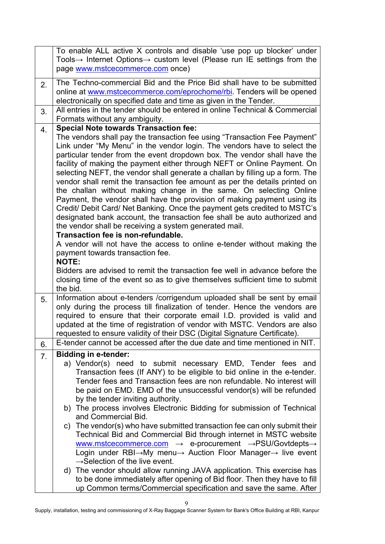|    | To enable ALL active X controls and disable 'use pop up blocker' under                                                                                  |  |  |
|----|---------------------------------------------------------------------------------------------------------------------------------------------------------|--|--|
|    | Tools $\rightarrow$ Internet Options $\rightarrow$ custom level (Please run IE settings from the                                                        |  |  |
|    | page www.mstcecommerce.com once)                                                                                                                        |  |  |
| 2. | The Techno-commercial Bid and the Price Bid shall have to be submitted                                                                                  |  |  |
|    | online at www.mstcecommerce.com/eprochome/rbi. Tenders will be opened                                                                                   |  |  |
|    | electronically on specified date and time as given in the Tender.                                                                                       |  |  |
| 3. | All entries in the tender should be entered in online Technical & Commercial                                                                            |  |  |
|    | Formats without any ambiguity.                                                                                                                          |  |  |
| 4. | <b>Special Note towards Transaction fee:</b>                                                                                                            |  |  |
|    | The vendors shall pay the transaction fee using "Transaction Fee Payment"                                                                               |  |  |
|    | Link under "My Menu" in the vendor login. The vendors have to select the                                                                                |  |  |
|    | particular tender from the event dropdown box. The vendor shall have the                                                                                |  |  |
|    | facility of making the payment either through NEFT or Online Payment. On                                                                                |  |  |
|    | selecting NEFT, the vendor shall generate a challan by filling up a form. The                                                                           |  |  |
|    | vendor shall remit the transaction fee amount as per the details printed on                                                                             |  |  |
|    | the challan without making change in the same. On selecting Online                                                                                      |  |  |
|    | Payment, the vendor shall have the provision of making payment using its                                                                                |  |  |
|    | Credit/ Debit Card/ Net Banking. Once the payment gets credited to MSTC's                                                                               |  |  |
|    | designated bank account, the transaction fee shall be auto authorized and                                                                               |  |  |
|    | the vendor shall be receiving a system generated mail.                                                                                                  |  |  |
|    | Transaction fee is non-refundable.                                                                                                                      |  |  |
|    | A vendor will not have the access to online e-tender without making the                                                                                 |  |  |
|    | payment towards transaction fee.<br><b>NOTE:</b>                                                                                                        |  |  |
|    | Bidders are advised to remit the transaction fee well in advance before the                                                                             |  |  |
|    | closing time of the event so as to give themselves sufficient time to submit                                                                            |  |  |
|    | the bid.                                                                                                                                                |  |  |
| 5. | Information about e-tenders / corrigendum uploaded shall be sent by email                                                                               |  |  |
|    | only during the process till finalization of tender. Hence the vendors are                                                                              |  |  |
|    | required to ensure that their corporate email I.D. provided is valid and                                                                                |  |  |
|    | updated at the time of registration of vendor with MSTC. Vendors are also                                                                               |  |  |
|    | requested to ensure validity of their DSC (Digital Signature Certificate).<br>E-tender cannot be accessed after the due date and time mentioned in NIT. |  |  |
| 6. |                                                                                                                                                         |  |  |
| 7. | <b>Bidding in e-tender:</b>                                                                                                                             |  |  |
|    | a) Vendor(s) need to submit necessary EMD, Tender fees and                                                                                              |  |  |
|    | Transaction fees (If ANY) to be eligible to bid online in the e-tender.                                                                                 |  |  |
|    | Tender fees and Transaction fees are non refundable. No interest will                                                                                   |  |  |
|    | be paid on EMD. EMD of the unsuccessful vendor(s) will be refunded                                                                                      |  |  |
|    | by the tender inviting authority.                                                                                                                       |  |  |
|    | b) The process involves Electronic Bidding for submission of Technical                                                                                  |  |  |
|    | and Commercial Bid.                                                                                                                                     |  |  |
|    | c) The vendor(s) who have submitted transaction fee can only submit their                                                                               |  |  |
|    | Technical Bid and Commercial Bid through internet in MSTC website<br>www.mstcecommerce.com → e-procurement →PSU/Govtdepts→                              |  |  |
|    | Login under RBI→My menu→ Auction Floor Manager→ live event                                                                                              |  |  |
|    | $\rightarrow$ Selection of the live event.                                                                                                              |  |  |
|    | d) The vendor should allow running JAVA application. This exercise has                                                                                  |  |  |
|    |                                                                                                                                                         |  |  |
|    |                                                                                                                                                         |  |  |
|    | to be done immediately after opening of Bid floor. Then they have to fill<br>up Common terms/Commercial specification and save the same. After          |  |  |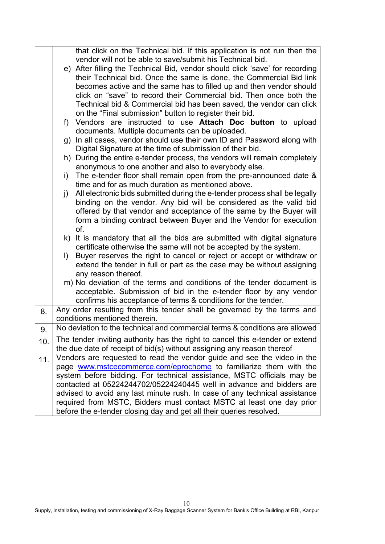|                                                                           |                                                                                       | that click on the Technical bid. If this application is not run then the                |  |
|---------------------------------------------------------------------------|---------------------------------------------------------------------------------------|-----------------------------------------------------------------------------------------|--|
|                                                                           |                                                                                       | vendor will not be able to save/submit his Technical bid.                               |  |
|                                                                           |                                                                                       | e) After filling the Technical Bid, vendor should click 'save' for recording            |  |
|                                                                           |                                                                                       | their Technical bid. Once the same is done, the Commercial Bid link                     |  |
|                                                                           |                                                                                       | becomes active and the same has to filled up and then vendor should                     |  |
|                                                                           |                                                                                       | click on "save" to record their Commercial bid. Then once both the                      |  |
|                                                                           |                                                                                       | Technical bid & Commercial bid has been saved, the vendor can click                     |  |
|                                                                           |                                                                                       | on the "Final submission" button to register their bid.                                 |  |
|                                                                           |                                                                                       | f) Vendors are instructed to use Attach Doc button to upload                            |  |
|                                                                           |                                                                                       |                                                                                         |  |
|                                                                           |                                                                                       | documents. Multiple documents can be uploaded.                                          |  |
|                                                                           |                                                                                       | g) In all cases, vendor should use their own ID and Password along with                 |  |
|                                                                           |                                                                                       | Digital Signature at the time of submission of their bid.                               |  |
| h) During the entire e-tender process, the vendors will remain completely |                                                                                       |                                                                                         |  |
| anonymous to one another and also to everybody else.                      |                                                                                       |                                                                                         |  |
|                                                                           |                                                                                       | i) The e-tender floor shall remain open from the pre-announced date $\&$                |  |
| time and for as much duration as mentioned above.                         |                                                                                       |                                                                                         |  |
|                                                                           |                                                                                       | All electronic bids submitted during the e-tender process shall be legally<br>$\vert$ ) |  |
|                                                                           | binding on the vendor. Any bid will be considered as the valid bid                    |                                                                                         |  |
|                                                                           |                                                                                       | offered by that vendor and acceptance of the same by the Buyer will                     |  |
|                                                                           |                                                                                       | form a binding contract between Buyer and the Vendor for execution                      |  |
|                                                                           |                                                                                       | of.                                                                                     |  |
|                                                                           |                                                                                       | k) It is mandatory that all the bids are submitted with digital signature               |  |
|                                                                           |                                                                                       | certificate otherwise the same will not be accepted by the system.                      |  |
|                                                                           | Buyer reserves the right to cancel or reject or accept or withdraw or<br>$\mathsf{D}$ |                                                                                         |  |
|                                                                           | extend the tender in full or part as the case may be without assigning                |                                                                                         |  |
|                                                                           |                                                                                       | any reason thereof.                                                                     |  |
|                                                                           |                                                                                       | m) No deviation of the terms and conditions of the tender document is                   |  |
|                                                                           |                                                                                       | acceptable. Submission of bid in the e-tender floor by any vendor                       |  |
|                                                                           |                                                                                       | confirms his acceptance of terms & conditions for the tender.                           |  |
|                                                                           | 8.                                                                                    | Any order resulting from this tender shall be governed by the terms and                 |  |
|                                                                           |                                                                                       | conditions mentioned therein.                                                           |  |
|                                                                           | 9.                                                                                    | No deviation to the technical and commercial terms & conditions are allowed             |  |
|                                                                           |                                                                                       |                                                                                         |  |
|                                                                           | 10.                                                                                   | The tender inviting authority has the right to cancel this e-tender or extend           |  |
|                                                                           |                                                                                       | the due date of receipt of bid(s) without assigning any reason thereof                  |  |
|                                                                           | 11.                                                                                   | Vendors are requested to read the vendor guide and see the video in the                 |  |
|                                                                           |                                                                                       | page www.mstcecommerce.com/eprochome to familiarize them with the                       |  |
|                                                                           |                                                                                       | system before bidding. For technical assistance, MSTC officials may be                  |  |
|                                                                           |                                                                                       | contacted at 05224244702/05224240445 well in advance and bidders are                    |  |
|                                                                           |                                                                                       | advised to avoid any last minute rush. In case of any technical assistance              |  |
|                                                                           |                                                                                       | required from MSTC, Bidders must contact MSTC at least one day prior                    |  |
|                                                                           |                                                                                       | before the e-tender closing day and get all their queries resolved.                     |  |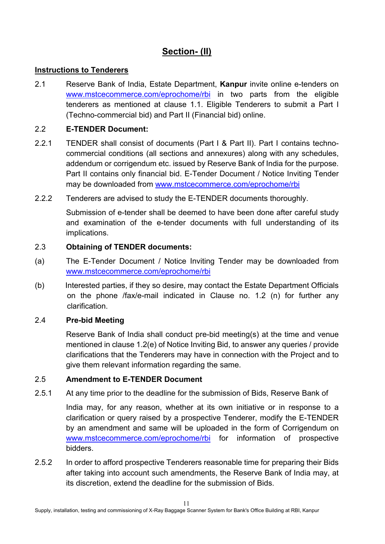# **Section- (II)**

#### **Instructions to Tenderers**

2.1 Reserve Bank of India, Estate Department, **Kanpur** invite online e-tenders on [www.mstcecommerce.com/eprochome/rbi](https://www.mstcecommerce.com/eprochome/rbi/) in two parts from the eligible tenderers as mentioned at clause 1.1. Eligible Tenderers to submit a Part I (Techno-commercial bid) and Part II (Financial bid) online.

#### 2.2 **E-TENDER Document:**

- 2.2.1 TENDER shall consist of documents (Part I & Part II). Part I contains technocommercial conditions (all sections and annexures) along with any schedules, addendum or corrigendum etc. issued by Reserve Bank of India for the purpose. Part II contains only financial bid. E-Tender Document / Notice Inviting Tender may be downloaded from [www.mstcecommerce.com/eprochome/rbi](https://www.mstcecommerce.com/eprochome/rbi/)
- 2.2.2 Tenderers are advised to study the E-TENDER documents thoroughly.

Submission of e-tender shall be deemed to have been done after careful study and examination of the e-tender documents with full understanding of its implications.

#### 2.3 **Obtaining of TENDER documents:**

- (a) The E-Tender Document / Notice Inviting Tender may be downloaded from [www.mstcecommerce.com/eprochome/rbi](https://www.mstcecommerce.com/eprochome/rbi/)
- (b) Interested parties, if they so desire, may contact the Estate Department Officials on the phone /fax/e-mail indicated in Clause no. 1.2 (n) for further any clarification.

#### 2.4 **Pre-bid Meeting**

Reserve Bank of India shall conduct pre-bid meeting(s) at the time and venue mentioned in clause 1.2(e) of Notice Inviting Bid, to answer any queries / provide clarifications that the Tenderers may have in connection with the Project and to give them relevant information regarding the same.

#### 2.5 **Amendment to E-TENDER Document**

2.5.1 At any time prior to the deadline for the submission of Bids, Reserve Bank of

India may, for any reason, whether at its own initiative or in response to a clarification or query raised by a prospective Tenderer, modify the E-TENDER by an amendment and same will be uploaded in the form of Corrigendum on [www.mstcecommerce.com/eprochome/rbi](https://www.mstcecommerce.com/eprochome/rbi/) for information of prospective bidders.

2.5.2 In order to afford prospective Tenderers reasonable time for preparing their Bids after taking into account such amendments, the Reserve Bank of India may, at its discretion, extend the deadline for the submission of Bids.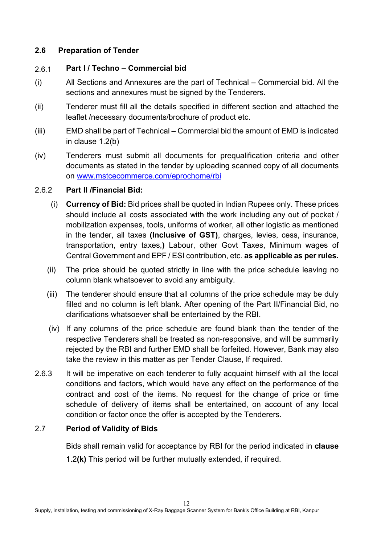#### **2.6 Preparation of Tender**

#### 2.6.1 **Part I / Techno – Commercial bid**

- (i) All Sections and Annexures are the part of Technical Commercial bid. All the sections and annexures must be signed by the Tenderers.
- (ii) Tenderer must fill all the details specified in different section and attached the leaflet /necessary documents/brochure of product etc.
- (iii) EMD shall be part of Technical Commercial bid the amount of EMD is indicated in clause 1.2(b)
- (iv) Tenderers must submit all documents for prequalification criteria and other documents as stated in the tender by uploading scanned copy of all documents on [www.mstcecommerce.com/eprochome/rbi](https://www.mstcecommerce.com/eprochome/rbi/)

#### 2.6.2 **Part II /Financial Bid:**

- (i) **Currency of Bid:** Bid prices shall be quoted in Indian Rupees only. These prices should include all costs associated with the work including any out of pocket / mobilization expenses, tools, uniforms of worker, all other logistic as mentioned in the tender, all taxes **(Inclusive of GST)**, charges, levies, cess, insurance, transportation, entry taxes,**)** Labour, other Govt Taxes, Minimum wages of Central Government and EPF / ESI contribution, etc. **as applicable as per rules.**
- (ii) The price should be quoted strictly in line with the price schedule leaving no column blank whatsoever to avoid any ambiguity.
- (iii) The tenderer should ensure that all columns of the price schedule may be duly filled and no column is left blank. After opening of the Part II/Financial Bid, no clarifications whatsoever shall be entertained by the RBI.
- (iv) If any columns of the price schedule are found blank than the tender of the respective Tenderers shall be treated as non-responsive, and will be summarily rejected by the RBI and further EMD shall be forfeited. However, Bank may also take the review in this matter as per Tender Clause, If required.
- 2.6.3 It will be imperative on each tenderer to fully acquaint himself with all the local conditions and factors, which would have any effect on the performance of the contract and cost of the items. No request for the change of price or time schedule of delivery of items shall be entertained, on account of any local condition or factor once the offer is accepted by the Tenderers.

## 2.7 **Period of Validity of Bids**

Bids shall remain valid for acceptance by RBI for the period indicated in **clause**

1.2**(k)** This period will be further mutually extended, if required.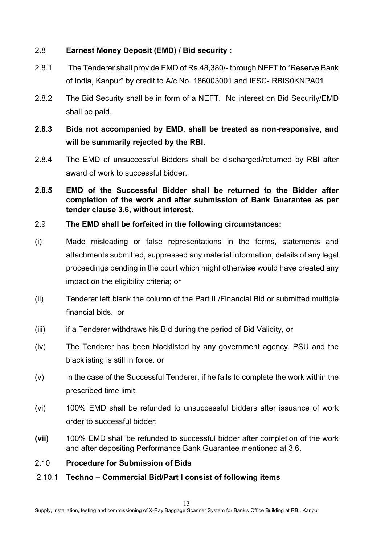#### 2.8 **Earnest Money Deposit (EMD) / Bid security :**

- 2.8.1 The Tenderer shall provide EMD of Rs.48,380/- through NEFT to "Reserve Bank of India, Kanpur" by credit to A/c No. 186003001 and IFSC- RBIS0KNPA01
- 2.8.2 The Bid Security shall be in form of a NEFT. No interest on Bid Security/EMD shall be paid.

# **2.8.3 Bids not accompanied by EMD, shall be treated as non-responsive, and will be summarily rejected by the RBI.**

- 2.8.4 The EMD of unsuccessful Bidders shall be discharged/returned by RBI after award of work to successful bidder.
- **2.8.5 EMD of the Successful Bidder shall be returned to the Bidder after completion of the work and after submission of Bank Guarantee as per tender clause 3.6, without interest.**

#### 2.9 **The EMD shall be forfeited in the following circumstances:**

- (i) Made misleading or false representations in the forms, statements and attachments submitted, suppressed any material information, details of any legal proceedings pending in the court which might otherwise would have created any impact on the eligibility criteria; or
- (ii) Tenderer left blank the column of the Part II /Financial Bid or submitted multiple financial bids. or
- (iii) if a Tenderer withdraws his Bid during the period of Bid Validity, or
- (iv) The Tenderer has been blacklisted by any government agency, PSU and the blacklisting is still in force. or
- (v) In the case of the Successful Tenderer, if he fails to complete the work within the prescribed time limit.
- (vi) 100% EMD shall be refunded to unsuccessful bidders after issuance of work order to successful bidder;
- **(vii)** 100% EMD shall be refunded to successful bidder after completion of the work and after depositing Performance Bank Guarantee mentioned at 3.6.

#### 2.10 **Procedure for Submission of Bids**

2.10.1 **Techno – Commercial Bid/Part I consist of following items**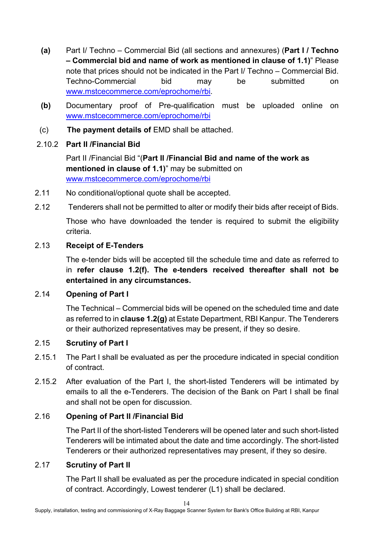- **(a)** Part I/ Techno Commercial Bid (all sections and annexures) (**Part I / Techno – Commercial bid and name of work as mentioned in clause of 1.1)**" Please note that prices should not be indicated in the Part I/ Techno – Commercial Bid. Techno-Commercial bid may be submitted on [www.mstcecommerce.com/eprochome/rbi.](https://www.mstcecommerce.com/eprochome/rbi/)
- **(b)** Documentary proof of Pre-qualification must be uploaded online on [www.mstcecommerce.com/eprochome/rbi](https://www.mstcecommerce.com/eprochome/rbi/)
- (c) **The payment details of** EMD shall be attached.

## 2.10.2 **Part II /Financial Bid**

Part II /Financial Bid "(**Part II /Financial Bid and name of the work as mentioned in clause of 1.1)**" may be submitted on [www.mstcecommerce.com/eprochome/rbi](https://www.mstcecommerce.com/eprochome/rbi/)

- 2.11 No conditional/optional quote shall be accepted.
- 2.12 Tenderers shall not be permitted to alter or modify their bids after receipt of Bids.

Those who have downloaded the tender is required to submit the eligibility criteria.

## 2.13 **Receipt of E-Tenders**

The e-tender bids will be accepted till the schedule time and date as referred to in **refer clause 1.2(f). The e-tenders received thereafter shall not be entertained in any circumstances.** 

## 2.14 **Opening of Part I**

The Technical – Commercial bids will be opened on the scheduled time and date as referred to in **clause 1.2(g)** at Estate Department, RBI Kanpur. The Tenderers or their authorized representatives may be present, if they so desire.

## 2.15 **Scrutiny of Part I**

- 2.15.1 The Part I shall be evaluated as per the procedure indicated in special condition of contract.
- 2.15.2 After evaluation of the Part I, the short-listed Tenderers will be intimated by emails to all the e-Tenderers. The decision of the Bank on Part I shall be final and shall not be open for discussion.

## 2.16 **Opening of Part II /Financial Bid**

The Part II of the short-listed Tenderers will be opened later and such short-listed Tenderers will be intimated about the date and time accordingly. The short-listed Tenderers or their authorized representatives may present, if they so desire.

## 2.17 **Scrutiny of Part II**

The Part II shall be evaluated as per the procedure indicated in special condition of contract. Accordingly, Lowest tenderer (L1) shall be declared.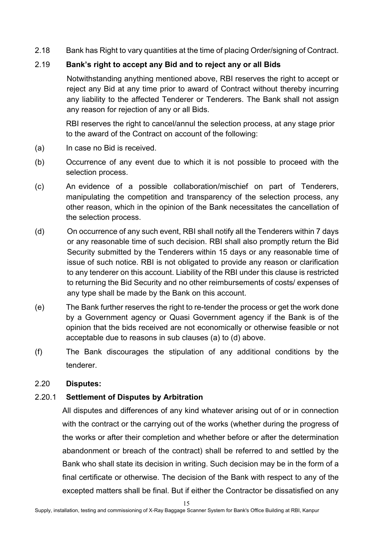2.18 Bank has Right to vary quantities at the time of placing Order/signing of Contract.

## 2.19 **Bank's right to accept any Bid and to reject any or all Bids**

Notwithstanding anything mentioned above, RBI reserves the right to accept or reject any Bid at any time prior to award of Contract without thereby incurring any liability to the affected Tenderer or Tenderers. The Bank shall not assign any reason for rejection of any or all Bids.

RBI reserves the right to cancel/annul the selection process, at any stage prior to the award of the Contract on account of the following:

- (a) In case no Bid is received.
- (b) Occurrence of any event due to which it is not possible to proceed with the selection process.
- (c) An evidence of a possible collaboration/mischief on part of Tenderers, manipulating the competition and transparency of the selection process, any other reason, which in the opinion of the Bank necessitates the cancellation of the selection process.
- (d) On occurrence of any such event, RBI shall notify all the Tenderers within 7 days or any reasonable time of such decision. RBI shall also promptly return the Bid Security submitted by the Tenderers within 15 days or any reasonable time of issue of such notice. RBI is not obligated to provide any reason or clarification to any tenderer on this account. Liability of the RBI under this clause is restricted to returning the Bid Security and no other reimbursements of costs/ expenses of any type shall be made by the Bank on this account.
- (e) The Bank further reserves the right to re-tender the process or get the work done by a Government agency or Quasi Government agency if the Bank is of the opinion that the bids received are not economically or otherwise feasible or not acceptable due to reasons in sub clauses (a) to (d) above.
- (f) The Bank discourages the stipulation of any additional conditions by the tenderer.

#### 2.20 **Disputes:**

## 2.20.1 **Settlement of Disputes by Arbitration**

All disputes and differences of any kind whatever arising out of or in connection with the contract or the carrying out of the works (whether during the progress of the works or after their completion and whether before or after the determination abandonment or breach of the contract) shall be referred to and settled by the Bank who shall state its decision in writing. Such decision may be in the form of a final certificate or otherwise. The decision of the Bank with respect to any of the excepted matters shall be final. But if either the Contractor be dissatisfied on any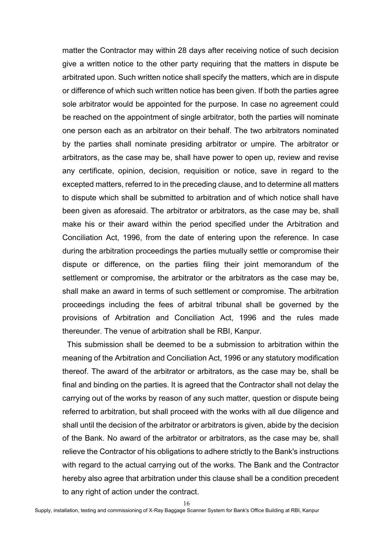matter the Contractor may within 28 days after receiving notice of such decision give a written notice to the other party requiring that the matters in dispute be arbitrated upon. Such written notice shall specify the matters, which are in dispute or difference of which such written notice has been given. If both the parties agree sole arbitrator would be appointed for the purpose. In case no agreement could be reached on the appointment of single arbitrator, both the parties will nominate one person each as an arbitrator on their behalf. The two arbitrators nominated by the parties shall nominate presiding arbitrator or umpire. The arbitrator or arbitrators, as the case may be, shall have power to open up, review and revise any certificate, opinion, decision, requisition or notice, save in regard to the excepted matters, referred to in the preceding clause, and to determine all matters to dispute which shall be submitted to arbitration and of which notice shall have been given as aforesaid. The arbitrator or arbitrators, as the case may be, shall make his or their award within the period specified under the Arbitration and Conciliation Act, 1996, from the date of entering upon the reference. In case during the arbitration proceedings the parties mutually settle or compromise their dispute or difference, on the parties filing their joint memorandum of the settlement or compromise, the arbitrator or the arbitrators as the case may be, shall make an award in terms of such settlement or compromise. The arbitration proceedings including the fees of arbitral tribunal shall be governed by the provisions of Arbitration and Conciliation Act, 1996 and the rules made thereunder. The venue of arbitration shall be RBI, Kanpur.

This submission shall be deemed to be a submission to arbitration within the meaning of the Arbitration and Conciliation Act, 1996 or any statutory modification thereof. The award of the arbitrator or arbitrators, as the case may be, shall be final and binding on the parties. It is agreed that the Contractor shall not delay the carrying out of the works by reason of any such matter, question or dispute being referred to arbitration, but shall proceed with the works with all due diligence and shall until the decision of the arbitrator or arbitrators is given, abide by the decision of the Bank. No award of the arbitrator or arbitrators, as the case may be, shall relieve the Contractor of his obligations to adhere strictly to the Bank's instructions with regard to the actual carrying out of the works. The Bank and the Contractor hereby also agree that arbitration under this clause shall be a condition precedent to any right of action under the contract.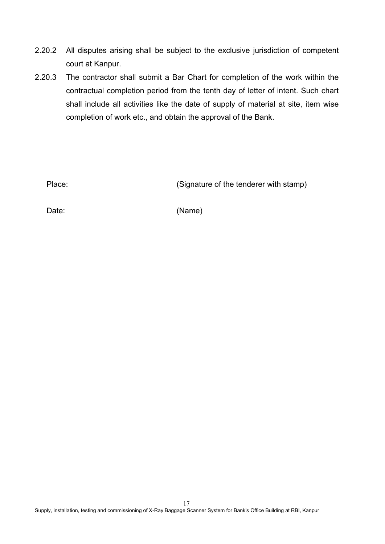- 2.20.2 All disputes arising shall be subject to the exclusive jurisdiction of competent court at Kanpur.
- 2.20.3 The contractor shall submit a Bar Chart for completion of the work within the contractual completion period from the tenth day of letter of intent. Such chart shall include all activities like the date of supply of material at site, item wise completion of work etc., and obtain the approval of the Bank.

Place: Place: (Signature of the tenderer with stamp)

Date: (Name)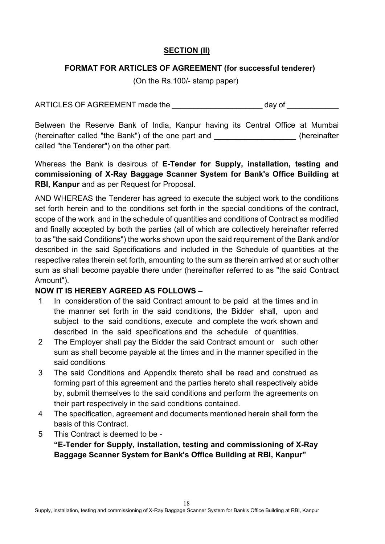## **SECTION (II)**

## **FORMAT FOR ARTICLES OF AGREEMENT (for successful tenderer)**

(On the Rs.100/- stamp paper)

ARTICLES OF AGREEMENT made the \_\_\_\_\_\_\_\_\_\_\_\_\_\_\_\_\_\_\_\_\_\_\_\_\_ day of

Between the Reserve Bank of India, Kanpur having its Central Office at Mumbai (hereinafter called "the Bank") of the one part and \_\_\_\_\_\_\_\_\_\_\_\_\_\_\_\_\_\_\_ (hereinafter called "the Tenderer") on the other part.

Whereas the Bank is desirous of **E-Tender for Supply, installation, testing and commissioning of X-Ray Baggage Scanner System for Bank's Office Building at RBI, Kanpur** and as per Request for Proposal.

AND WHEREAS the Tenderer has agreed to execute the subject work to the conditions set forth herein and to the conditions set forth in the special conditions of the contract, scope of the work and in the schedule of quantities and conditions of Contract as modified and finally accepted by both the parties (all of which are collectively hereinafter referred to as "the said Conditions") the works shown upon the said requirement of the Bank and/or described in the said Specifications and included in the Schedule of quantities at the respective rates therein set forth, amounting to the sum as therein arrived at or such other sum as shall become payable there under (hereinafter referred to as "the said Contract Amount").

## **NOW IT IS HEREBY AGREED AS FOLLOWS –**

- 1 In consideration of the said Contract amount to be paid at the times and in the manner set forth in the said conditions, the Bidder shall, upon and subject to the said conditions, execute and complete the work shown and described in the said specifications and the schedule of quantities.
- 2 The Employer shall pay the Bidder the said Contract amount or such other sum as shall become payable at the times and in the manner specified in the said conditions
- 3 The said Conditions and Appendix thereto shall be read and construed as forming part of this agreement and the parties hereto shall respectively abide by, submit themselves to the said conditions and perform the agreements on their part respectively in the said conditions contained.
- 4 The specification, agreement and documents mentioned herein shall form the basis of this Contract.
- 5 This Contract is deemed to be -

**"E-Tender for Supply, installation, testing and commissioning of X-Ray Baggage Scanner System for Bank's Office Building at RBI, Kanpur"**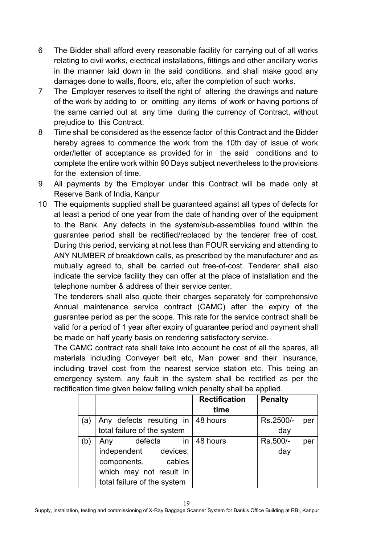- 6 The Bidder shall afford every reasonable facility for carrying out of all works relating to civil works, electrical installations, fittings and other ancillary works in the manner laid down in the said conditions, and shall make good any damages done to walls, floors, etc, after the completion of such works.
- 7 The Employer reserves to itself the right of altering the drawings and nature of the work by adding to or omitting any items of work or having portions of the same carried out at any time during the currency of Contract, without prejudice to this Contract.
- 8 Time shall be considered as the essence factor of this Contract and the Bidder hereby agrees to commence the work from the 10th day of issue of work order/letter of acceptance as provided for in the said conditions and to complete the entire work within 90 Days subject nevertheless to the provisions for the extension of time.
- 9 All payments by the Employer under this Contract will be made only at Reserve Bank of India, Kanpur
- 10 The equipments supplied shall be guaranteed against all types of defects for at least a period of one year from the date of handing over of the equipment to the Bank. Any defects in the system/sub-assemblies found within the guarantee period shall be rectified/replaced by the tenderer free of cost. During this period, servicing at not less than FOUR servicing and attending to ANY NUMBER of breakdown calls, as prescribed by the manufacturer and as mutually agreed to, shall be carried out free-of-cost. Tenderer shall also indicate the service facility they can offer at the place of installation and the telephone number & address of their service center.

The tenderers shall also quote their charges separately for comprehensive Annual maintenance service contract (CAMC) after the expiry of the guarantee period as per the scope. This rate for the service contract shall be valid for a period of 1 year after expiry of guarantee period and payment shall be made on half yearly basis on rendering satisfactory service.

The CAMC contract rate shall take into account he cost of all the spares, all materials including Conveyer belt etc, Man power and their insurance, including travel cost from the nearest service station etc. This being an emergency system, any fault in the system shall be rectified as per the rectification time given below failing which penalty shall be applied.

|     |                                      | <b>Rectification</b> | <b>Penalty</b>   |
|-----|--------------------------------------|----------------------|------------------|
|     |                                      | time                 |                  |
| (a  | Any defects resulting in $ 48$ hours |                      | Rs.2500/-<br>per |
|     | total failure of the system          |                      | day              |
| (b) | in <sub>1</sub><br>defects<br>Any    | 48 hours             | Rs.500/-<br>per  |
|     | independent devices,                 |                      | day              |
|     | components, cables                   |                      |                  |
|     | which may not result in              |                      |                  |
|     | total failure of the system          |                      |                  |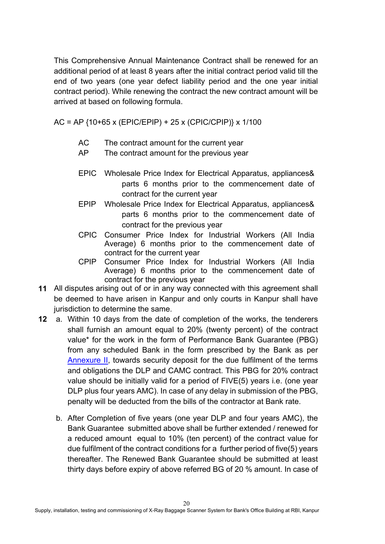This Comprehensive Annual Maintenance Contract shall be renewed for an additional period of at least 8 years after the initial contract period valid till the end of two years (one year defect liability period and the one year initial contract period). While renewing the contract the new contract amount will be arrived at based on following formula.

AC = AP {10+65 x (EPIC/EPIP) + 25 x (CPIC/CPIP)} x 1/100

- AC The contract amount for the current year
- AP The contract amount for the previous year
- EPIC Wholesale Price Index for Electrical Apparatus, appliances& parts 6 months prior to the commencement date of contract for the current year
- EPIP Wholesale Price Index for Electrical Apparatus, appliances& parts 6 months prior to the commencement date of contract for the previous year
- CPIC Consumer Price Index for Industrial Workers (All India Average) 6 months prior to the commencement date of contract for the current year
- CPIP Consumer Price Index for Industrial Workers (All India Average) 6 months prior to the commencement date of contract for the previous year
- **11** All disputes arising out of or in any way connected with this agreement shall be deemed to have arisen in Kanpur and only courts in Kanpur shall have jurisdiction to determine the same.
- **12** a. Within 10 days from the date of completion of the works, the tenderers shall furnish an amount equal to 20% (twenty percent) of the contract value\* for the work in the form of Performance Bank Guarantee (PBG) from any scheduled Bank in the form prescribed by the Bank as per [Annexure II,](#page-66-0) towards security deposit for the due fulfilment of the terms and obligations the DLP and CAMC contract. This PBG for 20% contract value should be initially valid for a period of FIVE(5) years i.e. (one year DLP plus four years AMC). In case of any delay in submission of the PBG, penalty will be deducted from the bills of the contractor at Bank rate.
	- b. After Completion of five years (one year DLP and four years AMC), the Bank Guarantee submitted above shall be further extended / renewed for a reduced amount equal to 10% (ten percent) of the contract value for due fulfilment of the contract conditions for a further period of five(5) years thereafter. The Renewed Bank Guarantee should be submitted at least thirty days before expiry of above referred BG of 20 % amount. In case of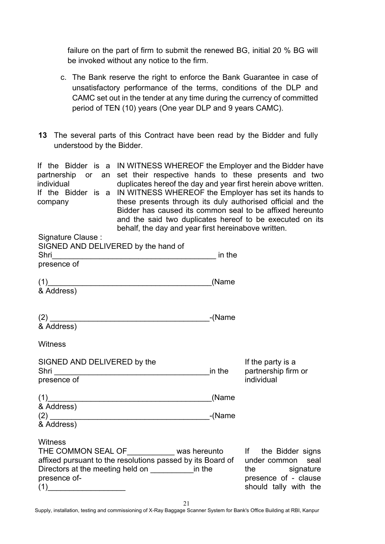failure on the part of firm to submit the renewed BG, initial 20 % BG will be invoked without any notice to the firm.

- c. The Bank reserve the right to enforce the Bank Guarantee in case of unsatisfactory performance of the terms, conditions of the DLP and CAMC set out in the tender at any time during the currency of committed period of TEN (10) years (One year DLP and 9 years CAMC).
- **13** The several parts of this Contract have been read by the Bidder and fully understood by the Bidder.

If the Bidder is a IN WITNESS WHEREOF the Employer and the Bidder have partnership or an set their respective hands to these presents and two individual duplicates hereof the day and year first herein above written. If the Bidder is a IN WITNESS WHEREOF the Employer has set its hands to company these presents through its duly authorised official and the Bidder has caused its common seal to be affixed hereunto and the said two duplicates hereof to be executed on its behalf, the day and year first hereinabove written.

| in the<br><u> 1989 - Johann John Stone, mars eta bainar eta industrial eta erromana eta erromana eta erromana eta erromana</u> |                                                                                                                                                                                                                   |
|--------------------------------------------------------------------------------------------------------------------------------|-------------------------------------------------------------------------------------------------------------------------------------------------------------------------------------------------------------------|
| $(1)$ and the contract of the contract of $(1)$<br>(Name                                                                       |                                                                                                                                                                                                                   |
| <sub>-</sub> (Name                                                                                                             |                                                                                                                                                                                                                   |
| in the                                                                                                                         | If the party is a<br>partnership firm or<br>individual                                                                                                                                                            |
| $(1)$ and the contract of the contract of $(1)$<br>(Name<br>-(Name                                                             |                                                                                                                                                                                                                   |
| Directors at the meeting held on _______________ in the                                                                        | THE COMMON SEAL OF____________ was hereunto if the Bidder signs<br>affixed pursuant to the resolutions passed by its Board of under common seal<br>the signature<br>presence of - clause<br>should tally with the |
|                                                                                                                                |                                                                                                                                                                                                                   |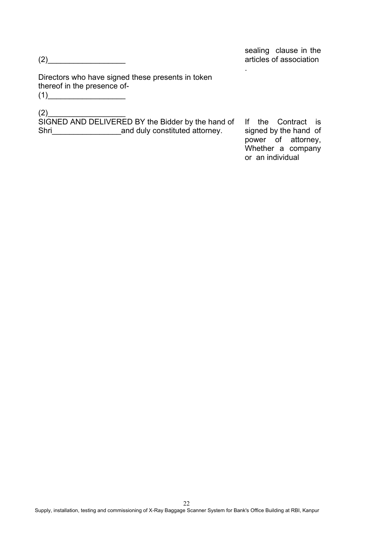sealing clause in the articles of association

.

Directors who have signed these presents in token thereof in the presence of-  $(1)$ 

(2)\_\_\_\_\_\_\_\_\_\_\_\_\_\_\_\_\_\_

SIGNED AND DELIVERED BY the Bidder by the hand of Shri\_\_\_\_\_\_\_\_\_\_\_\_\_\_\_\_and duly constituted attorney.

If the Contract is signed by the hand of power of attorney, Whether a company or an individual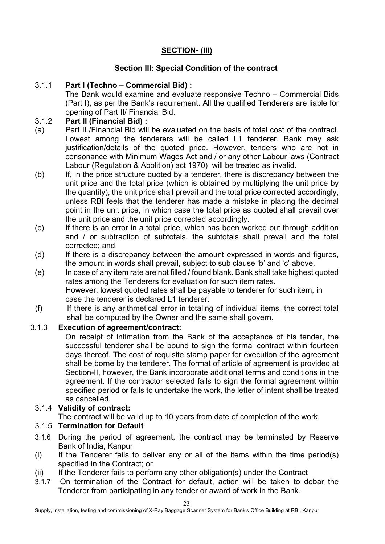## **SECTION- (III)**

## **Section III: Special Condition of the contract**

## 3.1.1 **Part I (Techno – Commercial Bid) :**

The Bank would examine and evaluate responsive Techno – Commercial Bids (Part I), as per the Bank's requirement. All the qualified Tenderers are liable for opening of Part II/ Financial Bid.

## 3.1.2 **Part II (Financial Bid) :**

- (a) Part II /Financial Bid will be evaluated on the basis of total cost of the contract. Lowest among the tenderers will be called L1 tenderer. Bank may ask justification/details of the quoted price. However, tenders who are not in consonance with Minimum Wages Act and / or any other Labour laws (Contract Labour (Regulation & Abolition) act 1970) will be treated as invalid.
- (b) If, in the price structure quoted by a tenderer, there is discrepancy between the unit price and the total price (which is obtained by multiplying the unit price by the quantity), the unit price shall prevail and the total price corrected accordingly, unless RBI feels that the tenderer has made a mistake in placing the decimal point in the unit price, in which case the total price as quoted shall prevail over the unit price and the unit price corrected accordingly.
- (c) If there is an error in a total price, which has been worked out through addition and / or subtraction of subtotals, the subtotals shall prevail and the total corrected; and
- (d) If there is a discrepancy between the amount expressed in words and figures, the amount in words shall prevail, subject to sub clause 'b' and 'c' above.
- (e) In case of any item rate are not filled / found blank. Bank shall take highest quoted rates among the Tenderers for evaluation for such item rates. However, lowest quoted rates shall be payable to tenderer for such item, in case the tenderer is declared L1 tenderer.
- (f) If there is any arithmetical error in totaling of individual items, the correct total shall be computed by the Owner and the same shall govern.

## 3.1.3 **Execution of agreement/contract:**

On receipt of intimation from the Bank of the acceptance of his tender, the successful tenderer shall be bound to sign the formal contract within fourteen days thereof. The cost of requisite stamp paper for execution of the agreement shall be borne by the tenderer. The format of article of agreement is provided at Section-II, however, the Bank incorporate additional terms and conditions in the agreement. If the contractor selected fails to sign the formal agreement within specified period or fails to undertake the work, the letter of intent shall be treated as cancelled.

## 3.1.4 **Validity of contract:**

The contract will be valid up to 10 years from date of completion of the work.

## 3.1.5 **Termination for Default**

- 3.1.6 During the period of agreement, the contract may be terminated by Reserve Bank of India, Kanpur
- (i) If the Tenderer fails to deliver any or all of the items within the time period(s) specified in the Contract; or
- (ii) If the Tenderer fails to perform any other obligation(s) under the Contract
- 3.1.7 On termination of the Contract for default, action will be taken to debar the Tenderer from participating in any tender or award of work in the Bank.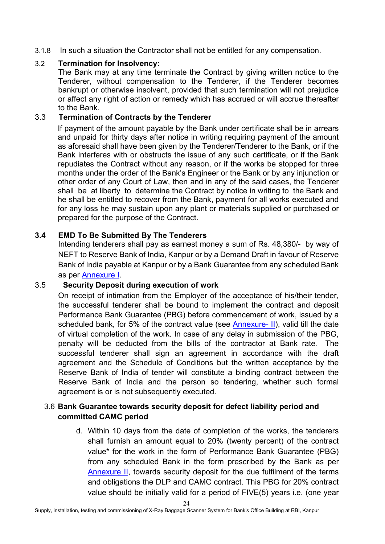3.1.8 In such a situation the Contractor shall not be entitled for any compensation.

#### 3.2 **Termination for Insolvency:**

The Bank may at any time terminate the Contract by giving written notice to the Tenderer, without compensation to the Tenderer, if the Tenderer becomes bankrupt or otherwise insolvent, provided that such termination will not prejudice or affect any right of action or remedy which has accrued or will accrue thereafter to the Bank.

#### 3.3 **Termination of Contracts by the Tenderer**

If payment of the amount payable by the Bank under certificate shall be in arrears and unpaid for thirty days after notice in writing requiring payment of the amount as aforesaid shall have been given by the Tenderer/Tenderer to the Bank, or if the Bank interferes with or obstructs the issue of any such certificate, or if the Bank repudiates the Contract without any reason, or if the works be stopped for three months under the order of the Bank's Engineer or the Bank or by any injunction or other order of any Court of Law, then and in any of the said cases, the Tenderer shall be at liberty to determine the Contract by notice in writing to the Bank and he shall be entitled to recover from the Bank, payment for all works executed and for any loss he may sustain upon any plant or materials supplied or purchased or prepared for the purpose of the Contract.

#### **3.4 EMD To Be Submitted By The Tenderers**

Intending tenderers shall pay as earnest money a sum of Rs. 48,380/- by way of NEFT to Reserve Bank of India, Kanpur or by a Demand Draft in favour of Reserve Bank of India payable at Kanpur or by a Bank Guarantee from any scheduled Bank as per [Annexure I.](#page-64-0)

#### 3.5 **Security Deposit during execution of work**

On receipt of intimation from the Employer of the acceptance of his/their tender, the successful tenderer shall be bound to implement the contract and deposit Performance Bank Guarantee (PBG) before commencement of work, issued by a scheduled bank, for 5% of the contract value (see [Annexure- II\)](#page-66-0), valid till the date of virtual completion of the work. In case of any delay in submission of the PBG, penalty will be deducted from the bills of the contractor at Bank rate. The successful tenderer shall sign an agreement in accordance with the draft agreement and the Schedule of Conditions but the written acceptance by the Reserve Bank of India of tender will constitute a binding contract between the Reserve Bank of India and the person so tendering, whether such formal agreement is or is not subsequently executed.

#### 3.6 **Bank Guarantee towards security deposit for defect liability period and committed CAMC period**

d. Within 10 days from the date of completion of the works, the tenderers shall furnish an amount equal to 20% (twenty percent) of the contract value\* for the work in the form of Performance Bank Guarantee (PBG) from any scheduled Bank in the form prescribed by the Bank as per [Annexure II,](#page-66-0) towards security deposit for the due fulfilment of the terms and obligations the DLP and CAMC contract. This PBG for 20% contract value should be initially valid for a period of FIVE(5) years i.e. (one year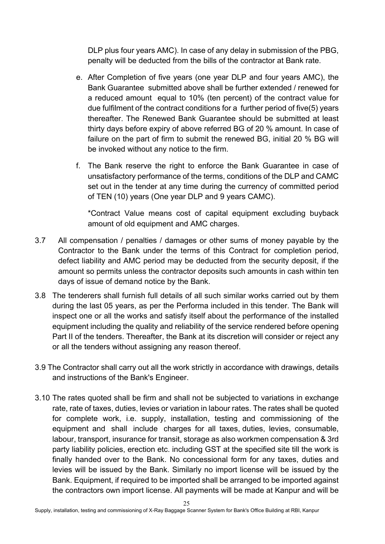DLP plus four years AMC). In case of any delay in submission of the PBG, penalty will be deducted from the bills of the contractor at Bank rate.

- e. After Completion of five years (one year DLP and four years AMC), the Bank Guarantee submitted above shall be further extended / renewed for a reduced amount equal to 10% (ten percent) of the contract value for due fulfilment of the contract conditions for a further period of five(5) years thereafter. The Renewed Bank Guarantee should be submitted at least thirty days before expiry of above referred BG of 20 % amount. In case of failure on the part of firm to submit the renewed BG, initial 20 % BG will be invoked without any notice to the firm.
- f. The Bank reserve the right to enforce the Bank Guarantee in case of unsatisfactory performance of the terms, conditions of the DLP and CAMC set out in the tender at any time during the currency of committed period of TEN (10) years (One year DLP and 9 years CAMC).

\*Contract Value means cost of capital equipment excluding buyback amount of old equipment and AMC charges.

- 3.7 All compensation / penalties / damages or other sums of money payable by the Contractor to the Bank under the terms of this Contract for completion period, defect liability and AMC period may be deducted from the security deposit, if the amount so permits unless the contractor deposits such amounts in cash within ten days of issue of demand notice by the Bank.
- 3.8 The tenderers shall furnish full details of all such similar works carried out by them during the last 05 years, as per the Performa included in this tender. The Bank will inspect one or all the works and satisfy itself about the performance of the installed equipment including the quality and reliability of the service rendered before opening Part II of the tenders. Thereafter, the Bank at its discretion will consider or reject any or all the tenders without assigning any reason thereof.
- 3.9 The Contractor shall carry out all the work strictly in accordance with drawings, details and instructions of the Bank's Engineer.
- 3.10 The rates quoted shall be firm and shall not be subjected to variations in exchange rate, rate of taxes, duties, levies or variation in labour rates. The rates shall be quoted for complete work, i.e. supply, installation, testing and commissioning of the equipment and shall include charges for all taxes, duties, levies, consumable, labour, transport, insurance for transit, storage as also workmen compensation & 3rd party liability policies, erection etc. including GST at the specified site till the work is finally handed over to the Bank. No concessional form for any taxes, duties and levies will be issued by the Bank. Similarly no import license will be issued by the Bank. Equipment, if required to be imported shall be arranged to be imported against the contractors own import license. All payments will be made at Kanpur and will be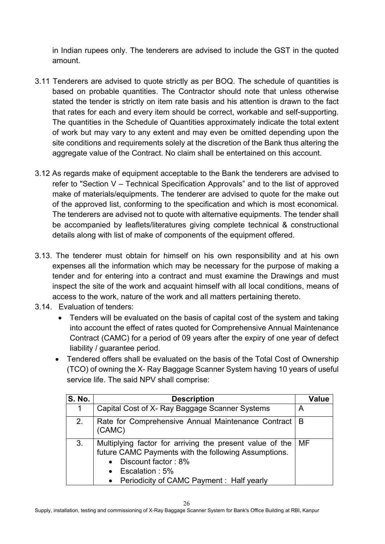in Indian rupees only. The tenderers are advised to include the GST in the quoted amount.

- 3.11 Tenderers are advised to quote strictly as per BOQ. The schedule of quantities is based on probable quantities. The Contractor should note that unless otherwise stated the tender is strictly on item rate basis and his attention is drawn to the fact that rates for each and every item should be correct, workable and self-supporting. The quantities in the Schedule of Quantities approximately indicate the total extent of work but may vary to any extent and may even be omitted depending upon the site conditions and requirements solely at the discretion of the Bank thus altering the aggregate value of the Contract. No claim shall be entertained on this account.
- 3.12 As regards make of equipment acceptable to the Bank the tenderers are advised to refer to "Section V – Technical Specification Approvals" and to the list of approved make of materials/equipments. The tenderer are advised to quote for the make out of the approved list, conforming to the specification and which is most economical. The tenderers are advised not to quote with alternative equipments. The tender shall be accompanied by leaflets/literatures giving complete technical & constructional details along with list of make of components of the equipment offered.
- 3.13. The tenderer must obtain for himself on his own responsibility and at his own expenses all the information which may be necessary for the purpose of making a tender and for entering into a contract and must examine the Drawings and must inspect the site of the work and acquaint himself with all local conditions, means of access to the work, nature of the work and all matters pertaining thereto.
- 3.14. Evaluation of tenders:
	- Tenders will be evaluated on the basis of capital cost of the system and taking into account the effect of rates quoted for Comprehensive Annual Maintenance Contract (CAMC) for a period of 09 years after the expiry of one year of defect liability / guarantee period.
	- Tendered offers shall be evaluated on the basis of the Total Cost of Ownership (TCO) of owning the X- Ray Baggage Scanner System having 10 years of useful service life. The said NPV shall comprise:

| <b>S. No.</b> | <b>Description</b>                                                                                                                                                                                                       | <b>Value</b> |
|---------------|--------------------------------------------------------------------------------------------------------------------------------------------------------------------------------------------------------------------------|--------------|
|               | Capital Cost of X- Ray Baggage Scanner Systems                                                                                                                                                                           | Α            |
| 2.            | Rate for Comprehensive Annual Maintenance Contract<br>(CAMC)                                                                                                                                                             | B            |
| 3.            | Multiplying factor for arriving the present value of the<br>future CAMC Payments with the following Assumptions.<br>Discount factor: 8%<br>$\bullet$<br>• Escalation : 5%<br>• Periodicity of CAMC Payment : Half yearly | MF           |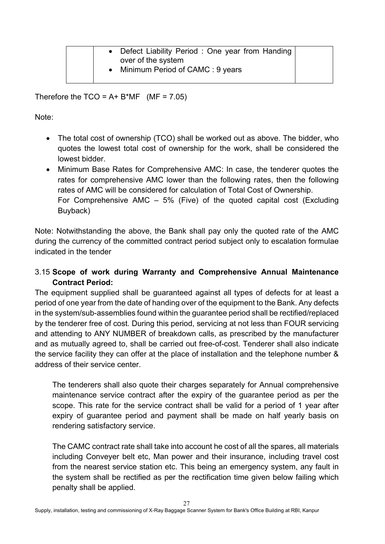| • Defect Liability Period: One year from Handing<br>over of the system |  |
|------------------------------------------------------------------------|--|
| • Minimum Period of CAMC : 9 years                                     |  |

Therefore the  $TCO = A + B^*MF$  (MF = 7.05)

Note:

- The total cost of ownership (TCO) shall be worked out as above. The bidder, who quotes the lowest total cost of ownership for the work, shall be considered the lowest bidder.
- Minimum Base Rates for Comprehensive AMC: In case, the tenderer quotes the rates for comprehensive AMC lower than the following rates, then the following rates of AMC will be considered for calculation of Total Cost of Ownership. For Comprehensive AMC – 5% (Five) of the quoted capital cost (Excluding Buyback)

Note: Notwithstanding the above, the Bank shall pay only the quoted rate of the AMC during the currency of the committed contract period subject only to escalation formulae indicated in the tender

## 3.15 **Scope of work during Warranty and Comprehensive Annual Maintenance Contract Period:**

The equipment supplied shall be guaranteed against all types of defects for at least a period of one year from the date of handing over of the equipment to the Bank. Any defects in the system/sub-assemblies found within the guarantee period shall be rectified/replaced by the tenderer free of cost. During this period, servicing at not less than FOUR servicing and attending to ANY NUMBER of breakdown calls, as prescribed by the manufacturer and as mutually agreed to, shall be carried out free-of-cost. Tenderer shall also indicate the service facility they can offer at the place of installation and the telephone number & address of their service center.

The tenderers shall also quote their charges separately for Annual comprehensive maintenance service contract after the expiry of the guarantee period as per the scope. This rate for the service contract shall be valid for a period of 1 year after expiry of guarantee period and payment shall be made on half yearly basis on rendering satisfactory service.

The CAMC contract rate shall take into account he cost of all the spares, all materials including Conveyer belt etc, Man power and their insurance, including travel cost from the nearest service station etc. This being an emergency system, any fault in the system shall be rectified as per the rectification time given below failing which penalty shall be applied.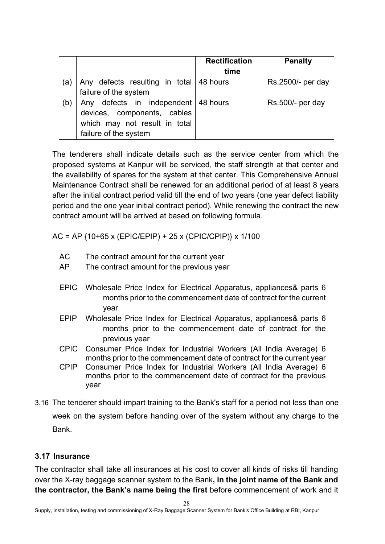|     |                                                                                                                                | <b>Rectification</b><br>time | <b>Penalty</b>    |
|-----|--------------------------------------------------------------------------------------------------------------------------------|------------------------------|-------------------|
| (а` | Any defects resulting in total 48 hours<br>failure of the system                                                               |                              | Rs.2500/- per day |
| (b) | Any defects in independent   48 hours<br>devices, components, cables<br>which may not result in total<br>failure of the system |                              | Rs.500/- per day  |

The tenderers shall indicate details such as the service center from which the proposed systems at Kanpur will be serviced, the staff strength at that center and the availability of spares for the system at that center. This Comprehensive Annual Maintenance Contract shall be renewed for an additional period of at least 8 years after the initial contract period valid till the end of two years (one year defect liability period and the one year initial contract period). While renewing the contract the new contract amount will be arrived at based on following formula.

AC = AP {10+65 x (EPIC/EPIP) + 25 x (CPIC/CPIP)} x 1/100

- AC The contract amount for the current year
- AP The contract amount for the previous year
- EPIC Wholesale Price Index for Electrical Apparatus, appliances& parts 6 months prior to the commencement date of contract for the current year
- EPIP Wholesale Price Index for Electrical Apparatus, appliances& parts 6 months prior to the commencement date of contract for the previous year
- CPIC Consumer Price Index for Industrial Workers (All India Average) 6 months prior to the commencement date of contract for the current year
- CPIP Consumer Price Index for Industrial Workers (All India Average) 6 months prior to the commencement date of contract for the previous year
- 3.16 The tenderer should impart training to the Bank's staff for a period not less than one week on the system before handing over of the system without any charge to the Bank.

## **3.17 Insurance**

The contractor shall take all insurances at his cost to cover all kinds of risks till handing over the X-ray baggage scanner system to the Bank**, in the joint name of the Bank and the contractor, the Bank's name being the first** before commencement of work and it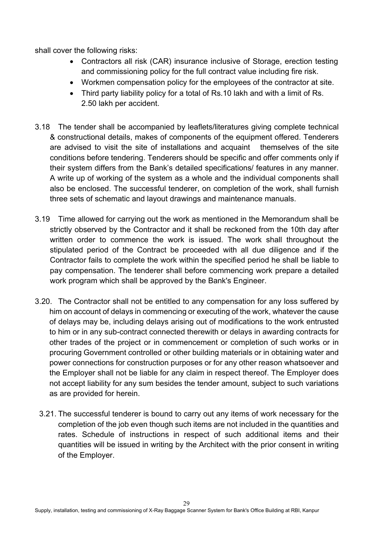shall cover the following risks:

- Contractors all risk (CAR) insurance inclusive of Storage, erection testing and commissioning policy for the full contract value including fire risk.
- Workmen compensation policy for the employees of the contractor at site.
- Third party liability policy for a total of Rs.10 lakh and with a limit of Rs. 2.50 lakh per accident.
- 3.18 The tender shall be accompanied by leaflets/literatures giving complete technical & constructional details, makes of components of the equipment offered. Tenderers are advised to visit the site of installations and acquaint themselves of the site conditions before tendering. Tenderers should be specific and offer comments only if their system differs from the Bank's detailed specifications/ features in any manner. A write up of working of the system as a whole and the individual components shall also be enclosed. The successful tenderer, on completion of the work, shall furnish three sets of schematic and layout drawings and maintenance manuals.
- 3.19 Time allowed for carrying out the work as mentioned in the Memorandum shall be strictly observed by the Contractor and it shall be reckoned from the 10th day after written order to commence the work is issued. The work shall throughout the stipulated period of the Contract be proceeded with all due diligence and if the Contractor fails to complete the work within the specified period he shall be liable to pay compensation. The tenderer shall before commencing work prepare a detailed work program which shall be approved by the Bank's Engineer.
- 3.20. The Contractor shall not be entitled to any compensation for any loss suffered by him on account of delays in commencing or executing of the work, whatever the cause of delays may be, including delays arising out of modifications to the work entrusted to him or in any sub-contract connected therewith or delays in awarding contracts for other trades of the project or in commencement or completion of such works or in procuring Government controlled or other building materials or in obtaining water and power connections for construction purposes or for any other reason whatsoever and the Employer shall not be liable for any claim in respect thereof. The Employer does not accept liability for any sum besides the tender amount, subject to such variations as are provided for herein.
	- 3.21. The successful tenderer is bound to carry out any items of work necessary for the completion of the job even though such items are not included in the quantities and rates. Schedule of instructions in respect of such additional items and their quantities will be issued in writing by the Architect with the prior consent in writing of the Employer.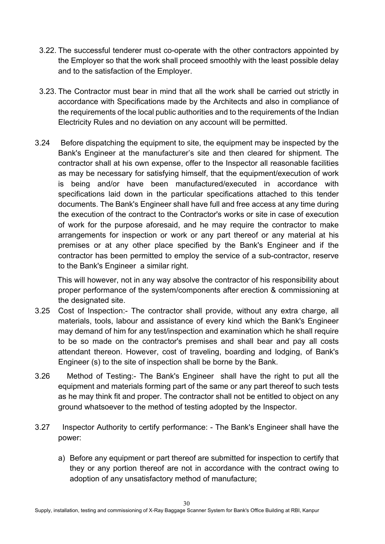- 3.22. The successful tenderer must co-operate with the other contractors appointed by the Employer so that the work shall proceed smoothly with the least possible delay and to the satisfaction of the Employer.
- 3.23. The Contractor must bear in mind that all the work shall be carried out strictly in accordance with Specifications made by the Architects and also in compliance of the requirements of the local public authorities and to the requirements of the Indian Electricity Rules and no deviation on any account will be permitted.
- 3.24 Before dispatching the equipment to site, the equipment may be inspected by the Bank's Engineer at the manufacturer's site and then cleared for shipment. The contractor shall at his own expense, offer to the Inspector all reasonable facilities as may be necessary for satisfying himself, that the equipment/execution of work is being and/or have been manufactured/executed in accordance with specifications laid down in the particular specifications attached to this tender documents. The Bank's Engineer shall have full and free access at any time during the execution of the contract to the Contractor's works or site in case of execution of work for the purpose aforesaid, and he may require the contractor to make arrangements for inspection or work or any part thereof or any material at his premises or at any other place specified by the Bank's Engineer and if the contractor has been permitted to employ the service of a sub-contractor, reserve to the Bank's Engineer a similar right.

This will however, not in any way absolve the contractor of his responsibility about proper performance of the system/components after erection & commissioning at the designated site.

- 3.25 Cost of Inspection:- The contractor shall provide, without any extra charge, all materials, tools, labour and assistance of every kind which the Bank's Engineer may demand of him for any test/inspection and examination which he shall require to be so made on the contractor's premises and shall bear and pay all costs attendant thereon. However, cost of traveling, boarding and lodging, of Bank's Engineer (s) to the site of inspection shall be borne by the Bank.
- 3.26 Method of Testing:- The Bank's Engineer shall have the right to put all the equipment and materials forming part of the same or any part thereof to such tests as he may think fit and proper. The contractor shall not be entitled to object on any ground whatsoever to the method of testing adopted by the Inspector.
- 3.27 Inspector Authority to certify performance: The Bank's Engineer shall have the power:
	- a) Before any equipment or part thereof are submitted for inspection to certify that they or any portion thereof are not in accordance with the contract owing to adoption of any unsatisfactory method of manufacture;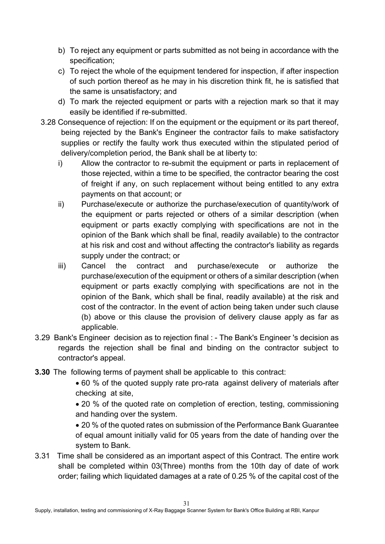- b) To reject any equipment or parts submitted as not being in accordance with the specification;
- c) To reject the whole of the equipment tendered for inspection, if after inspection of such portion thereof as he may in his discretion think fit, he is satisfied that the same is unsatisfactory; and
- d) To mark the rejected equipment or parts with a rejection mark so that it may easily be identified if re-submitted.
- 3.28 Consequence of rejection: If on the equipment or the equipment or its part thereof, being rejected by the Bank's Engineer the contractor fails to make satisfactory supplies or rectify the faulty work thus executed within the stipulated period of delivery/completion period, the Bank shall be at liberty to:
	- i) Allow the contractor to re-submit the equipment or parts in replacement of those rejected, within a time to be specified, the contractor bearing the cost of freight if any, on such replacement without being entitled to any extra payments on that account; or
	- ii) Purchase/execute or authorize the purchase/execution of quantity/work of the equipment or parts rejected or others of a similar description (when equipment or parts exactly complying with specifications are not in the opinion of the Bank which shall be final, readily available) to the contractor at his risk and cost and without affecting the contractor's liability as regards supply under the contract; or
	- iii) Cancel the contract and purchase/execute or authorize the purchase/execution of the equipment or others of a similar description (when equipment or parts exactly complying with specifications are not in the opinion of the Bank, which shall be final, readily available) at the risk and cost of the contractor. In the event of action being taken under such clause (b) above or this clause the provision of delivery clause apply as far as applicable.
- 3.29 Bank's Engineer decision as to rejection final : The Bank's Engineer 's decision as regards the rejection shall be final and binding on the contractor subject to contractor's appeal.
- **3.30** The following terms of payment shall be applicable to this contract:
	- 60 % of the quoted supply rate pro-rata against delivery of materials after checking at site,
	- 20 % of the quoted rate on completion of erection, testing, commissioning and handing over the system.
	- 20 % of the quoted rates on submission of the Performance Bank Guarantee of equal amount initially valid for 05 years from the date of handing over the system to Bank.
- 3.31 Time shall be considered as an important aspect of this Contract. The entire work shall be completed within 03(Three) months from the 10th day of date of work order; failing which liquidated damages at a rate of 0.25 % of the capital cost of the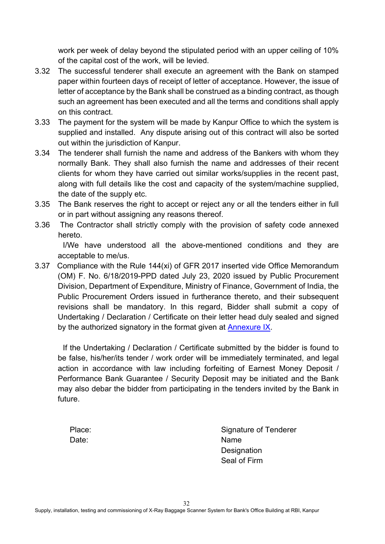work per week of delay beyond the stipulated period with an upper ceiling of 10% of the capital cost of the work, will be levied.

- 3.32 The successful tenderer shall execute an agreement with the Bank on stamped paper within fourteen days of receipt of letter of acceptance. However, the issue of letter of acceptance by the Bank shall be construed as a binding contract, as though such an agreement has been executed and all the terms and conditions shall apply on this contract.
- 3.33 The payment for the system will be made by Kanpur Office to which the system is supplied and installed. Any dispute arising out of this contract will also be sorted out within the jurisdiction of Kanpur.
- 3.34 The tenderer shall furnish the name and address of the Bankers with whom they normally Bank. They shall also furnish the name and addresses of their recent clients for whom they have carried out similar works/supplies in the recent past, along with full details like the cost and capacity of the system/machine supplied, the date of the supply etc.
- 3.35 The Bank reserves the right to accept or reject any or all the tenders either in full or in part without assigning any reasons thereof.
- 3.36 The Contractor shall strictly comply with the provision of safety code annexed hereto.

 I/We have understood all the above-mentioned conditions and they are acceptable to me/us.

3.37 Compliance with the Rule 144(xi) of GFR 2017 inserted vide Office Memorandum (OM) F. No. 6/18/2019-PPD dated July 23, 2020 issued by Public Procurement Division, Department of Expenditure, Ministry of Finance, Government of India, the Public Procurement Orders issued in furtherance thereto, and their subsequent revisions shall be mandatory. In this regard, Bidder shall submit a copy of Undertaking / Declaration / Certificate on their letter head duly sealed and signed by the authorized signatory in the format given at [Annexure IX.](#page-75-0)

 If the Undertaking / Declaration / Certificate submitted by the bidder is found to be false, his/her/its tender / work order will be immediately terminated, and legal action in accordance with law including forfeiting of Earnest Money Deposit / Performance Bank Guarantee / Security Deposit may be initiated and the Bank may also debar the bidder from participating in the tenders invited by the Bank in future.

Date: Name

Place: Signature of Tenderer **Designation** Seal of Firm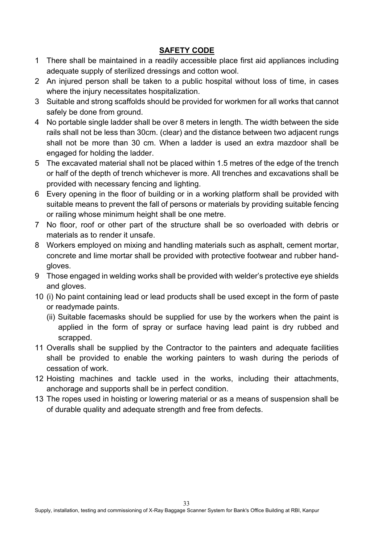## **SAFETY CODE**

- 1 There shall be maintained in a readily accessible place first aid appliances including adequate supply of sterilized dressings and cotton wool.
- 2 An injured person shall be taken to a public hospital without loss of time, in cases where the injury necessitates hospitalization.
- 3 Suitable and strong scaffolds should be provided for workmen for all works that cannot safely be done from ground.
- 4 No portable single ladder shall be over 8 meters in length. The width between the side rails shall not be less than 30cm. (clear) and the distance between two adjacent rungs shall not be more than 30 cm. When a ladder is used an extra mazdoor shall be engaged for holding the ladder.
- 5 The excavated material shall not be placed within 1.5 metres of the edge of the trench or half of the depth of trench whichever is more. All trenches and excavations shall be provided with necessary fencing and lighting.
- 6 Every opening in the floor of building or in a working platform shall be provided with suitable means to prevent the fall of persons or materials by providing suitable fencing or railing whose minimum height shall be one metre.
- 7 No floor, roof or other part of the structure shall be so overloaded with debris or materials as to render it unsafe.
- 8 Workers employed on mixing and handling materials such as asphalt, cement mortar, concrete and lime mortar shall be provided with protective footwear and rubber handgloves.
- 9 Those engaged in welding works shall be provided with welder's protective eye shields and gloves.
- 10 (i) No paint containing lead or lead products shall be used except in the form of paste or readymade paints.
	- (ii) Suitable facemasks should be supplied for use by the workers when the paint is applied in the form of spray or surface having lead paint is dry rubbed and scrapped.
- 11 Overalls shall be supplied by the Contractor to the painters and adequate facilities shall be provided to enable the working painters to wash during the periods of cessation of work.
- 12 Hoisting machines and tackle used in the works, including their attachments, anchorage and supports shall be in perfect condition.
- 13 The ropes used in hoisting or lowering material or as a means of suspension shall be of durable quality and adequate strength and free from defects.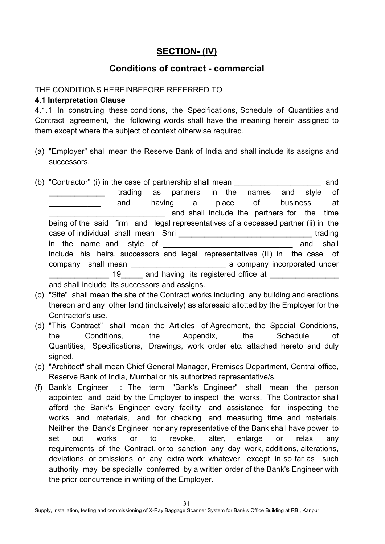# **SECTION- (IV)**

# **Conditions of contract - commercial**

## THE CONDITIONS HEREINBEFORE REFERRED TO

#### **4.1 Interpretation Clause**

4.1.1 In construing these conditions, the Specifications, Schedule of Quantities and Contract agreement, the following words shall have the meaning herein assigned to them except where the subject of context otherwise required.

(a) "Employer" shall mean the Reserve Bank of India and shall include its assigns and successors.

|  | (b) "Contractor" (i) in the case of partnership shall mean                         |         |  |  |  |
|--|------------------------------------------------------------------------------------|---------|--|--|--|
|  | trading as partners in the names and style of                                      |         |  |  |  |
|  | having a place of business<br>and                                                  | at at   |  |  |  |
|  | and shall include the partners for the time                                        |         |  |  |  |
|  | being of the said firm and legal representatives of a deceased partner (ii) in the |         |  |  |  |
|  |                                                                                    | trading |  |  |  |
|  | and shall<br>in the name and style of                                              |         |  |  |  |
|  | include his heirs, successors and legal representatives (iii) in the case of       |         |  |  |  |
|  | company shall mean example a company incorporated under                            |         |  |  |  |
|  | 19 and having its registered office at                                             |         |  |  |  |
|  | and shall include its successors and assigns                                       |         |  |  |  |

and shall include its successors and assigns.

- (c) "Site" shall mean the site of the Contract works including any building and erections thereon and any other land (inclusively) as aforesaid allotted by the Employer for the Contractor's use.
- (d) "This Contract" shall mean the Articles of Agreement, the Special Conditions, the Conditions, the Appendix, the Schedule of Quantities, Specifications, Drawings, work order etc. attached hereto and duly signed.
- (e) "Architect" shall mean Chief General Manager, Premises Department, Central office, Reserve Bank of India, Mumbai or his authorized representative/s.
- (f) Bank's Engineer : The term "Bank's Engineer" shall mean the person appointed and paid by the Employer to inspect the works. The Contractor shall afford the Bank's Engineer every facility and assistance for inspecting the works and materials, and for checking and measuring time and materials. Neither the Bank's Engineer nor any representative of the Bank shall have power to set out works or to revoke, alter, enlarge or relax any requirements of the Contract, or to sanction any day work, additions, alterations, deviations, or omissions, or any extra work whatever, except in so far as such authority may be specially conferred by a written order of the Bank's Engineer with the prior concurrence in writing of the Employer.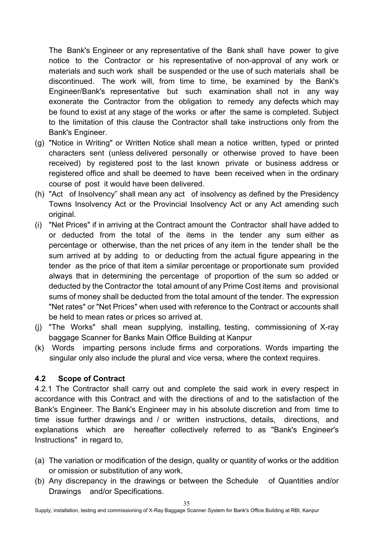The Bank's Engineer or any representative of the Bank shall have power to give notice to the Contractor or his representative of non-approval of any work or materials and such work shall be suspended or the use of such materials shall be discontinued. The work will, from time to time, be examined by the Bank's Engineer/Bank's representative but such examination shall not in any way exonerate the Contractor from the obligation to remedy any defects which may be found to exist at any stage of the works or after the same is completed. Subject to the limitation of this clause the Contractor shall take instructions only from the Bank's Engineer.

- (g) "Notice in Writing" or Written Notice shall mean a notice written, typed or printed characters sent (unless delivered personally or otherwise proved to have been received) by registered post to the last known private or business address or registered office and shall be deemed to have been received when in the ordinary course of post it would have been delivered.
- (h) "Act of Insolvency" shall mean any act of insolvency as defined by the Presidency Towns Insolvency Act or the Provincial Insolvency Act or any Act amending such original.
- (i) "Net Prices" if in arriving at the Contract amount the Contractor shall have added to or deducted from the total of the items in the tender any sum either as percentage or otherwise, than the net prices of any item in the tender shall be the sum arrived at by adding to or deducting from the actual figure appearing in the tender as the price of that item a similar percentage or proportionate sum provided always that in determining the percentage of proportion of the sum so added or deducted by the Contractor the total amount of any Prime Cost items and provisional sums of money shall be deducted from the total amount of the tender. The expression "Net rates" or "Net Prices" when used with reference to the Contract or accounts shall be held to mean rates or prices so arrived at.
- (j) "The Works" shall mean supplying, installing, testing, commissioning of X-ray baggage Scanner for Banks Main Office Building at Kanpur
- (k) Words imparting persons include firms and corporations. Words imparting the singular only also include the plural and vice versa, where the context requires.

## **4.2 Scope of Contract**

4.2.1 The Contractor shall carry out and complete the said work in every respect in accordance with this Contract and with the directions of and to the satisfaction of the Bank's Engineer. The Bank's Engineer may in his absolute discretion and from time to time issue further drawings and / or written instructions, details, directions, and explanations which are hereafter collectively referred to as "Bank's Engineer's Instructions" in regard to,

- (a) The variation or modification of the design, quality or quantity of works or the addition or omission or substitution of any work.
- (b) Any discrepancy in the drawings or between the Schedule of Quantities and/or Drawings and/or Specifications.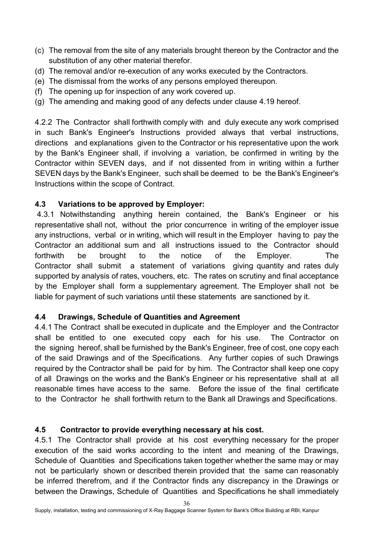- (c) The removal from the site of any materials brought thereon by the Contractor and the substitution of any other material therefor.
- (d) The removal and/or re-execution of any works executed by the Contractors.
- (e) The dismissal from the works of any persons employed thereupon.
- (f) The opening up for inspection of any work covered up.
- (g) The amending and making good of any defects under clause 4.19 hereof.

4.2.2 The Contractor shall forthwith comply with and duly execute any work comprised in such Bank's Engineer's Instructions provided always that verbal instructions, directions and explanations given to the Contractor or his representative upon the work by the Bank's Engineer shall, if involving a variation, be confirmed in writing by the Contractor within SEVEN days, and if not dissented from in writing within a further SEVEN days by the Bank's Engineer, such shall be deemed to be the Bank's Engineer's Instructions within the scope of Contract.

## **4.3 Variations to be approved by Employer:**

4.3.1 Notwithstanding anything herein contained, the Bank's Engineer or his representative shall not, without the prior concurrence in writing of the employer issue any instructions, verbal or in writing, which will result in the Employer having to pay the Contractor an additional sum and all instructions issued to the Contractor should forthwith be brought to the notice of the Employer. The Contractor shall submit a statement of variations giving quantity and rates duly supported by analysis of rates, vouchers, etc. The rates on scrutiny and final acceptance by the Employer shall form a supplementary agreement. The Employer shall not be liable for payment of such variations until these statements are sanctioned by it.

## **4.4 Drawings, Schedule of Quantities and Agreement**

4.4.1 The Contract shall be executed in duplicate and the Employer and the Contractor shall be entitled to one executed copy each for his use. The Contractor on the signing hereof, shall be furnished by the Bank's Engineer, free of cost, one copy each of the said Drawings and of the Specifications. Any further copies of such Drawings required by the Contractor shall be paid for by him. The Contractor shall keep one copy of all Drawings on the works and the Bank's Engineer or his representative shall at all reasonable times have access to the same. Before the issue of the final certificate to the Contractor he shall forthwith return to the Bank all Drawings and Specifications.

# **4.5 Contractor to provide everything necessary at his cost.**

4.5.1 The Contractor shall provide at his cost everything necessary for the proper execution of the said works according to the intent and meaning of the Drawings, Schedule of Quantities and Specifications taken together whether the same may or may not be particularly shown or described therein provided that the same can reasonably be inferred therefrom, and if the Contractor finds any discrepancy in the Drawings or between the Drawings, Schedule of Quantities and Specifications he shall immediately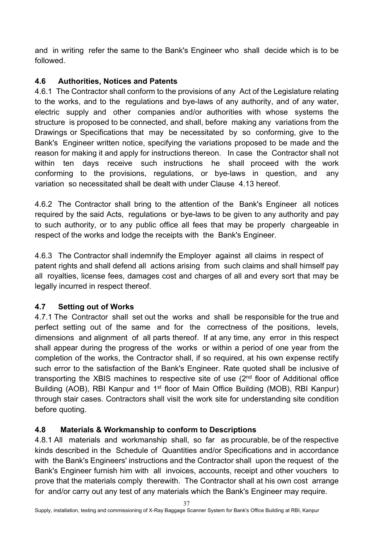and in writing refer the same to the Bank's Engineer who shall decide which is to be followed.

# **4.6 Authorities, Notices and Patents**

4.6.1 The Contractor shall conform to the provisions of any Act of the Legislature relating to the works, and to the regulations and bye-laws of any authority, and of any water, electric supply and other companies and/or authorities with whose systems the structure is proposed to be connected, and shall, before making any variations from the Drawings or Specifications that may be necessitated by so conforming, give to the Bank's Engineer written notice, specifying the variations proposed to be made and the reason for making it and apply for instructions thereon. In case the Contractor shall not within ten days receive such instructions he shall proceed with the work conforming to the provisions, regulations, or bye-laws in question, and any variation so necessitated shall be dealt with under Clause 4.13 hereof.

4.6.2 The Contractor shall bring to the attention of the Bank's Engineer all notices required by the said Acts, regulations or bye-laws to be given to any authority and pay to such authority, or to any public office all fees that may be properly chargeable in respect of the works and lodge the receipts with the Bank's Engineer.

4.6.3 The Contractor shall indemnify the Employer against all claims in respect of patent rights and shall defend all actions arising from such claims and shall himself pay all royalties, license fees, damages cost and charges of all and every sort that may be legally incurred in respect thereof.

# **4.7 Setting out of Works**

4.7.1 The Contractor shall set out the works and shall be responsible for the true and perfect setting out of the same and for the correctness of the positions, levels, dimensions and alignment of all parts thereof. If at any time, any error in this respect shall appear during the progress of the works or within a period of one year from the completion of the works, the Contractor shall, if so required, at his own expense rectify such error to the satisfaction of the Bank's Engineer. Rate quoted shall be inclusive of transporting the XBIS machines to respective site of use  $(2<sup>nd</sup>$  floor of Additional office Building (AOB), RBI Kanpur and 1<sup>st</sup> floor of Main Office Building (MOB), RBI Kanpur) through stair cases. Contractors shall visit the work site for understanding site condition before quoting.

# **4.8 Materials & Workmanship to conform to Descriptions**

4.8.1 All materials and workmanship shall, so far as procurable, be of the respective kinds described in the Schedule of Quantities and/or Specifications and in accordance with the Bank's Engineers' instructions and the Contractor shall upon the request of the Bank's Engineer furnish him with all invoices, accounts, receipt and other vouchers to prove that the materials comply therewith. The Contractor shall at his own cost arrange for and/or carry out any test of any materials which the Bank's Engineer may require.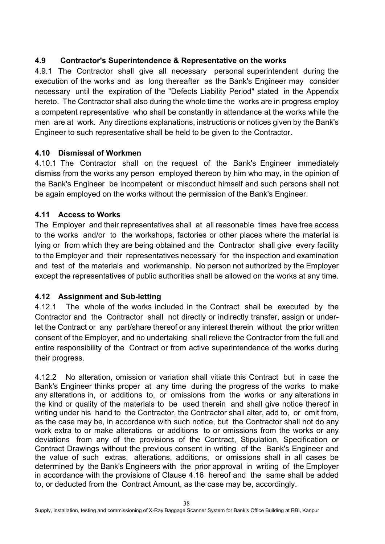# **4.9 Contractor's Superintendence & Representative on the works**

4.9.1 The Contractor shall give all necessary personal superintendent during the execution of the works and as long thereafter as the Bank's Engineer may consider necessary until the expiration of the "Defects Liability Period" stated in the Appendix hereto. The Contractor shall also during the whole time the works are in progress employ a competent representative who shall be constantly in attendance at the works while the men are at work. Any directions explanations, instructions or notices given by the Bank's Engineer to such representative shall be held to be given to the Contractor.

## **4.10 Dismissal of Workmen**

4.10.1 The Contractor shall on the request of the Bank's Engineer immediately dismiss from the works any person employed thereon by him who may, in the opinion of the Bank's Engineer be incompetent or misconduct himself and such persons shall not be again employed on the works without the permission of the Bank's Engineer.

# **4.11 Access to Works**

The Employer and their representatives shall at all reasonable times have free access to the works and/or to the workshops, factories or other places where the material is lying or from which they are being obtained and the Contractor shall give every facility to the Employer and their representatives necessary for the inspection and examination and test of the materials and workmanship. No person not authorized by the Employer except the representatives of public authorities shall be allowed on the works at any time.

## **4.12 Assignment and Sub-letting**

4.12.1 The whole of the works included in the Contract shall be executed by the Contractor and the Contractor shall not directly or indirectly transfer, assign or underlet the Contract or any part/share thereof or any interest therein without the prior written consent of the Employer, and no undertaking shall relieve the Contractor from the full and entire responsibility of the Contract or from active superintendence of the works during their progress.

4.12.2 No alteration, omission or variation shall vitiate this Contract but in case the Bank's Engineer thinks proper at any time during the progress of the works to make any alterations in, or additions to, or omissions from the works or any alterations in the kind or quality of the materials to be used therein and shall give notice thereof in writing under his hand to the Contractor, the Contractor shall alter, add to, or omit from, as the case may be, in accordance with such notice, but the Contractor shall not do any work extra to or make alterations or additions to or omissions from the works or any deviations from any of the provisions of the Contract, Stipulation, Specification or Contract Drawings without the previous consent in writing of the Bank's Engineer and the value of such extras, alterations, additions, or omissions shall in all cases be determined by the Bank's Engineers with the prior approval in writing of the Employer in accordance with the provisions of Clause 4.16 hereof and the same shall be added to, or deducted from the Contract Amount, as the case may be, accordingly.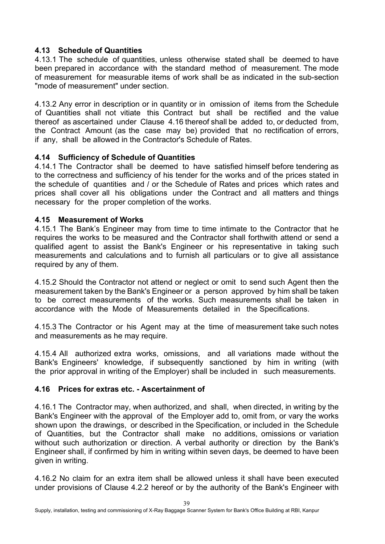#### **4.13 Schedule of Quantities**

4.13.1 The schedule of quantities, unless otherwise stated shall be deemed to have been prepared in accordance with the standard method of measurement. The mode of measurement for measurable items of work shall be as indicated in the sub-section "mode of measurement" under section.

4.13.2 Any error in description or in quantity or in omission of items from the Schedule of Quantities shall not vitiate this Contract but shall be rectified and the value thereof as ascertained under Clause 4.16 thereof shall be added to, or deducted from, the Contract Amount (as the case may be) provided that no rectification of errors, if any, shall be allowed in the Contractor's Schedule of Rates.

#### **4.14 Sufficiency of Schedule of Quantities**

4.14.1 The Contractor shall be deemed to have satisfied himself before tendering as to the correctness and sufficiency of his tender for the works and of the prices stated in the schedule of quantities and / or the Schedule of Rates and prices which rates and prices shall cover all his obligations under the Contract and all matters and things necessary for the proper completion of the works.

#### **4.15 Measurement of Works**

4.15.1 The Bank's Engineer may from time to time intimate to the Contractor that he requires the works to be measured and the Contractor shall forthwith attend or send a qualified agent to assist the Bank's Engineer or his representative in taking such measurements and calculations and to furnish all particulars or to give all assistance required by any of them.

4.15.2 Should the Contractor not attend or neglect or omit to send such Agent then the measurement taken by the Bank's Engineer or a person approved by him shall be taken to be correct measurements of the works. Such measurements shall be taken in accordance with the Mode of Measurements detailed in the Specifications.

4.15.3 The Contractor or his Agent may at the time of measurement take such notes and measurements as he may require.

4.15.4 All authorized extra works, omissions, and all variations made without the Bank's Engineers' knowledge, if subsequently sanctioned by him in writing (with the prior approval in writing of the Employer) shall be included in such measurements.

#### **4.16 Prices for extras etc. - Ascertainment of**

4.16.1 The Contractor may, when authorized, and shall, when directed, in writing by the Bank's Engineer with the approval of the Employer add to, omit from, or vary the works shown upon the drawings, or described in the Specification, or included in the Schedule of Quantities, but the Contractor shall make no additions, omissions or variation without such authorization or direction. A verbal authority or direction by the Bank's Engineer shall, if confirmed by him in writing within seven days, be deemed to have been given in writing.

4.16.2 No claim for an extra item shall be allowed unless it shall have been executed under provisions of Clause 4.2.2 hereof or by the authority of the Bank's Engineer with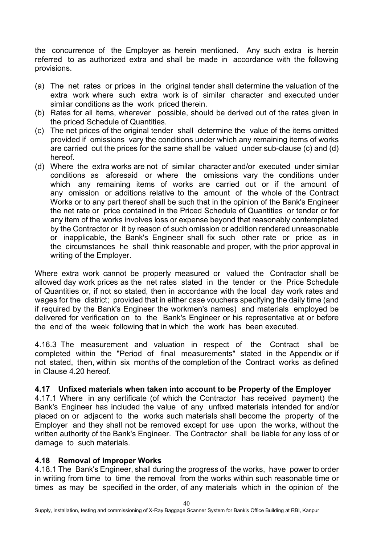the concurrence of the Employer as herein mentioned. Any such extra is herein referred to as authorized extra and shall be made in accordance with the following provisions.

- (a) The net rates or prices in the original tender shall determine the valuation of the extra work where such extra work is of similar character and executed under similar conditions as the work priced therein.
- (b) Rates for all items, wherever possible, should be derived out of the rates given in the priced Schedule of Quantities.
- (c) The net prices of the original tender shall determine the value of the items omitted provided if omissions vary the conditions under which any remaining items of works are carried out the prices for the same shall be valued under sub-clause (c) and (d) hereof.
- (d) Where the extra works are not of similar character and/or executed under similar conditions as aforesaid or where the omissions vary the conditions under which any remaining items of works are carried out or if the amount of any omission or additions relative to the amount of the whole of the Contract Works or to any part thereof shall be such that in the opinion of the Bank's Engineer the net rate or price contained in the Priced Schedule of Quantities or tender or for any item of the works involves loss or expense beyond that reasonably contemplated by the Contractor or it by reason of such omission or addition rendered unreasonable or inapplicable, the Bank's Engineer shall fix such other rate or price as in the circumstances he shall think reasonable and proper, with the prior approval in writing of the Employer.

Where extra work cannot be properly measured or valued the Contractor shall be allowed day work prices as the net rates stated in the tender or the Price Schedule of Quantities or, if not so stated, then in accordance with the local day work rates and wages for the district; provided that in either case vouchers specifying the daily time (and if required by the Bank's Engineer the workmen's names) and materials employed be delivered for verification on to the Bank's Engineer or his representative at or before the end of the week following that in which the work has been executed.

4.16.3 The measurement and valuation in respect of the Contract shall be completed within the "Period of final measurements" stated in the Appendix or if not stated, then, within six months of the completion of the Contract works as defined in Clause 4.20 hereof.

#### **4.17 Unfixed materials when taken into account to be Property of the Employer**

4.17.1 Where in any certificate (of which the Contractor has received payment) the Bank's Engineer has included the value of any unfixed materials intended for and/or placed on or adjacent to the works such materials shall become the property of the Employer and they shall not be removed except for use upon the works, without the written authority of the Bank's Engineer. The Contractor shall be liable for any loss of or damage to such materials.

#### **4.18 Removal of Improper Works**

4.18.1 The Bank's Engineer, shall during the progress of the works, have power to order in writing from time to time the removal from the works within such reasonable time or times as may be specified in the order, of any materials which in the opinion of the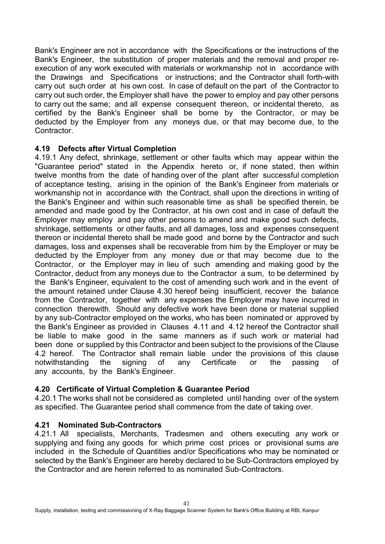Bank's Engineer are not in accordance with the Specifications or the instructions of the Bank's Engineer, the substitution of proper materials and the removal and proper reexecution of any work executed with materials or workmanship not in accordance with the Drawings and Specifications or instructions; and the Contractor shall forth-with carry out such order at his own cost. In case of default on the part of the Contractor to carry out such order, the Employer shall have the power to employ and pay other persons to carry out the same; and all expense consequent thereon, or incidental thereto, as certified by the Bank's Engineer shall be borne by the Contractor, or may be deducted by the Employer from any moneys due, or that may become due, to the Contractor.

#### **4.19 Defects after Virtual Completion**

4.19.1 Any defect, shrinkage, settlement or other faults which may appear within the "Guarantee period" stated in the Appendix hereto or, if none stated, then within twelve months from the date of handing over of the plant after successful completion of acceptance testing, arising in the opinion of the Bank's Engineer from materials or workmanship not in accordance with the Contract, shall upon the directions in writing of the Bank's Engineer and within such reasonable time as shall be specified therein, be amended and made good by the Contractor, at his own cost and in case of default the Employer may employ and pay other persons to amend and make good such defects, shrinkage, settlements or other faults, and all damages, loss and expenses consequent thereon or incidental thereto shall be made good and borne by the Contractor and such damages, loss and expenses shall be recoverable from him by the Employer or may be deducted by the Employer from any money due or that may become due to the Contractor, or the Employer may in lieu of such amending and making good by the Contractor, deduct from any moneys due to the Contractor a sum, to be determined by the Bank's Engineer, equivalent to the cost of amending such work and in the event of the amount retained under Clause 4.30 hereof being insufficient, recover the balance from the Contractor, together with any expenses the Employer may have incurred in connection therewith. Should any defective work have been done or material supplied by any sub-Contractor employed on the works, who has been nominated or approved by the Bank's Engineer as provided in Clauses 4.11 and 4.12 hereof the Contractor shall be liable to make good in the same manners as if such work or material had been done or supplied by this Contractor and been subject to the provisions of the Clause 4.2 hereof. The Contractor shall remain liable under the provisions of this clause notwithstanding the signing of any Certificate or the passing of any accounts, by the Bank's Engineer.

## **4.20 Certificate of Virtual Completion & Guarantee Period**

4.20.1 The works shall not be considered as completed until handing over of the system as specified. The Guarantee period shall commence from the date of taking over.

## **4.21 Nominated Sub-Contractors**

4.21.1 All specialists, Merchants, Tradesmen and others executing any work or supplying and fixing any goods for which prime cost prices or provisional sums are included in the Schedule of Quantities and/or Specifications who may be nominated or selected by the Bank's Engineer are hereby declared to be Sub-Contractors employed by the Contractor and are herein referred to as nominated Sub-Contractors.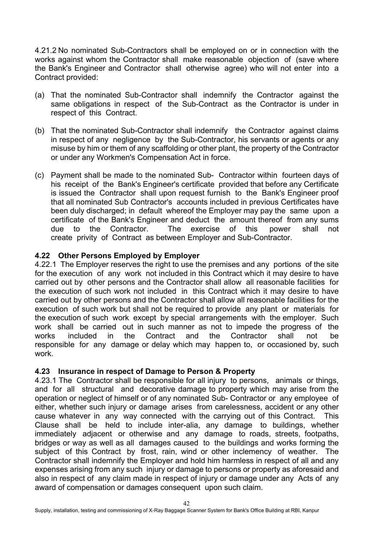4.21.2 No nominated Sub-Contractors shall be employed on or in connection with the works against whom the Contractor shall make reasonable objection of (save where the Bank's Engineer and Contractor shall otherwise agree) who will not enter into a Contract provided:

- (a) That the nominated Sub-Contractor shall indemnify the Contractor against the same obligations in respect of the Sub-Contract as the Contractor is under in respect of this Contract.
- (b) That the nominated Sub-Contractor shall indemnify the Contractor against claims in respect of any negligence by the Sub-Contractor, his servants or agents or any misuse by him or them of any scaffolding or other plant, the property of the Contractor or under any Workmen's Compensation Act in force.
- (c) Payment shall be made to the nominated Sub- Contractor within fourteen days of his receipt of the Bank's Engineer's certificate provided that before any Certificate is issued the Contractor shall upon request furnish to the Bank's Engineer proof that all nominated Sub Contractor's accounts included in previous Certificates have been duly discharged; in default whereof the Employer may pay the same upon a certificate of the Bank's Engineer and deduct the amount thereof from any sums due to the Contractor. The exercise of this power shall not create privity of Contract as between Employer and Sub-Contractor.

#### **4.22 Other Persons Employed by Employer**

4.22.1 The Employer reserves the right to use the premises and any portions of the site for the execution of any work not included in this Contract which it may desire to have carried out by other persons and the Contractor shall allow all reasonable facilities for the execution of such work not included in this Contract which it may desire to have carried out by other persons and the Contractor shall allow all reasonable facilities for the execution of such work but shall not be required to provide any plant or materials for the execution of such work except by special arrangements with the employer. Such work shall be carried out in such manner as not to impede the progress of the works included in the Contract and the Contractor shall not be responsible for any damage or delay which may happen to, or occasioned by, such work.

#### **4.23 Insurance in respect of Damage to Person & Property**

4.23.1 The Contractor shall be responsible for all injury to persons, animals or things, and for all structural and decorative damage to property which may arise from the operation or neglect of himself or of any nominated Sub- Contractor or any employee of either, whether such injury or damage arises from carelessness, accident or any other cause whatever in any way connected with the carrying out of this Contract. This Clause shall be held to include inter-alia, any damage to buildings, whether immediately adjacent or otherwise and any damage to roads, streets, footpaths, bridges or way as well as all damages caused to the buildings and works forming the subject of this Contract by frost, rain, wind or other inclemency of weather. The Contractor shall indemnify the Employer and hold him harmless in respect of all and any expenses arising from any such injury or damage to persons or property as aforesaid and also in respect of any claim made in respect of injury or damage under any Acts of any award of compensation or damages consequent upon such claim.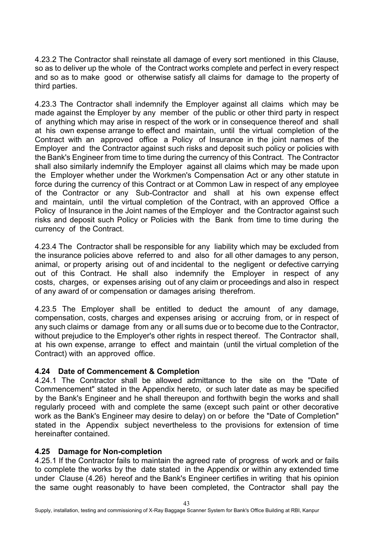4.23.2 The Contractor shall reinstate all damage of every sort mentioned in this Clause, so as to deliver up the whole of the Contract works complete and perfect in every respect and so as to make good or otherwise satisfy all claims for damage to the property of third parties.

4.23.3 The Contractor shall indemnify the Employer against all claims which may be made against the Employer by any member of the public or other third party in respect of anything which may arise in respect of the work or in consequence thereof and shall at his own expense arrange to effect and maintain, until the virtual completion of the Contract with an approved office a Policy of Insurance in the joint names of the Employer and the Contractor against such risks and deposit such policy or policies with the Bank's Engineer from time to time during the currency of this Contract. The Contractor shall also similarly indemnify the Employer against all claims which may be made upon the Employer whether under the Workmen's Compensation Act or any other statute in force during the currency of this Contract or at Common Law in respect of any employee of the Contractor or any Sub-Contractor and shall at his own expense effect and maintain, until the virtual completion of the Contract, with an approved Office a Policy of Insurance in the Joint names of the Employer and the Contractor against such risks and deposit such Policy or Policies with the Bank from time to time during the currency of the Contract.

4.23.4 The Contractor shall be responsible for any liability which may be excluded from the insurance policies above referred to and also for all other damages to any person, animal, or property arising out of and incidental to the negligent or defective carrying out of this Contract. He shall also indemnify the Employer in respect of any costs, charges, or expenses arising out of any claim or proceedings and also in respect of any award of or compensation or damages arising therefrom.

4.23.5 The Employer shall be entitled to deduct the amount of any damage, compensation, costs, charges and expenses arising or accruing from, or in respect of any such claims or damage from any or all sums due or to become due to the Contractor, without prejudice to the Employer's other rights in respect thereof. The Contractor shall, at his own expense, arrange to effect and maintain (until the virtual completion of the Contract) with an approved office.

## **4.24 Date of Commencement & Completion**

4.24.1 The Contractor shall be allowed admittance to the site on the "Date of Commencement" stated in the Appendix hereto, or such later date as may be specified by the Bank's Engineer and he shall thereupon and forthwith begin the works and shall regularly proceed with and complete the same (except such paint or other decorative work as the Bank's Engineer may desire to delay) on or before the "Date of Completion" stated in the Appendix subject nevertheless to the provisions for extension of time hereinafter contained.

#### **4.25 Damage for Non-completion**

4.25.1 If the Contractor fails to maintain the agreed rate of progress of work and or fails to complete the works by the date stated in the Appendix or within any extended time under Clause (4.26) hereof and the Bank's Engineer certifies in writing that his opinion the same ought reasonably to have been completed, the Contractor shall pay the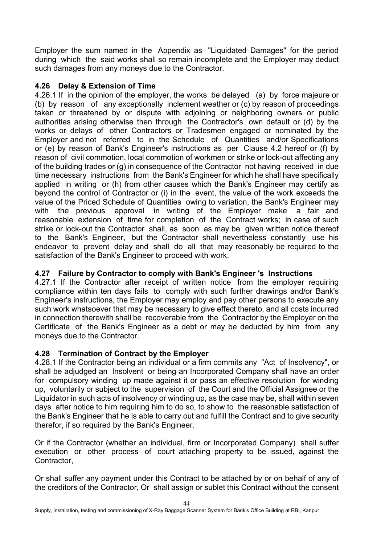Employer the sum named in the Appendix as "Liquidated Damages" for the period during which the said works shall so remain incomplete and the Employer may deduct such damages from any moneys due to the Contractor.

# **4.26 Delay & Extension of Time**

4.26.1 If in the opinion of the employer, the works be delayed (a) by force majeure or (b) by reason of any exceptionally inclement weather or (c) by reason of proceedings taken or threatened by or dispute with adjoining or neighboring owners or public authorities arising otherwise then through the Contractor's own default or (d) by the works or delays of other Contractors or Tradesmen engaged or nominated by the Employer and not referred to in the Schedule of Quantities and/or Specifications or (e) by reason of Bank's Engineer's instructions as per Clause 4.2 hereof or (f) by reason of civil commotion, local commotion of workmen or strike or lock-out affecting any of the building trades or (g) in consequence of the Contractor not having received in due time necessary instructions from the Bank's Engineer for which he shall have specifically applied in writing or (h) from other causes which the Bank's Engineer may certify as beyond the control of Contractor or (i) in the event, the value of the work exceeds the value of the Priced Schedule of Quantities owing to variation, the Bank's Engineer may with the previous approval in writing of the Employer make a fair and reasonable extension of time for completion of the Contract works; in case of such strike or lock-out the Contractor shall, as soon as may be given written notice thereof to the Bank's Engineer, but the Contractor shall nevertheless constantly use his endeavor to prevent delay and shall do all that may reasonably be required to the satisfaction of the Bank's Engineer to proceed with work.

# **4.27 Failure by Contractor to comply with Bank's Engineer 's Instructions**

4.27.1 If the Contractor after receipt of written notice from the employer requiring compliance within ten days fails to comply with such further drawings and/or Bank's Engineer's instructions, the Employer may employ and pay other persons to execute any such work whatsoever that may be necessary to give effect thereto, and all costs incurred in connection therewith shall be recoverable from the Contractor by the Employer on the Certificate of the Bank's Engineer as a debt or may be deducted by him from any moneys due to the Contractor.

# **4.28 Termination of Contract by the Employer**

4.28.1 If the Contractor being an individual or a firm commits any "Act of Insolvency", or shall be adjudged an Insolvent or being an Incorporated Company shall have an order for compulsory winding up made against it or pass an effective resolution for winding up, voluntarily or subject to the supervision of the Court and the Official Assignee or the Liquidator in such acts of insolvency or winding up, as the case may be, shall within seven days after notice to him requiring him to do so, to show to the reasonable satisfaction of the Bank's Engineer that he is able to carry out and fulfill the Contract and to give security therefor, if so required by the Bank's Engineer.

Or if the Contractor (whether an individual, firm or Incorporated Company) shall suffer execution or other process of court attaching property to be issued, against the Contractor,

Or shall suffer any payment under this Contract to be attached by or on behalf of any of the creditors of the Contractor, Or shall assign or sublet this Contract without the consent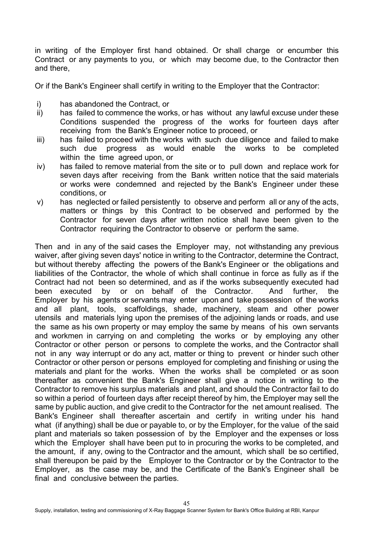in writing of the Employer first hand obtained. Or shall charge or encumber this Contract or any payments to you, or which may become due, to the Contractor then and there,

Or if the Bank's Engineer shall certify in writing to the Employer that the Contractor:

- i) has abandoned the Contract, or
- ii) has failed to commence the works, or has without any lawful excuse under these Conditions suspended the progress of the works for fourteen days after receiving from the Bank's Engineer notice to proceed, or
- iii) has failed to proceed with the works with such due diligence and failed to make such due progress as would enable the works to be completed within the time agreed upon, or
- iv) has failed to remove material from the site or to pull down and replace work for seven days after receiving from the Bank written notice that the said materials or works were condemned and rejected by the Bank's Engineer under these conditions, or
- v) has neglected or failed persistently to observe and perform all or any of the acts, matters or things by this Contract to be observed and performed by the Contractor for seven days after written notice shall have been given to the Contractor requiring the Contractor to observe or perform the same.

Then and in any of the said cases the Employer may, not withstanding any previous waiver, after giving seven days' notice in writing to the Contractor, determine the Contract, but without thereby affecting the powers of the Bank's Engineer or the obligations and liabilities of the Contractor, the whole of which shall continue in force as fully as if the Contract had not been so determined, and as if the works subsequently executed had been executed by or on behalf of the Contractor. And further, the Employer by his agents or servants may enter upon and take possession of the works and all plant, tools, scaffoldings, shade, machinery, steam and other power utensils and materials lying upon the premises of the adjoining lands or roads, and use the same as his own property or may employ the same by means of his own servants and workmen in carrying on and completing the works or by employing any other Contractor or other person or persons to complete the works, and the Contractor shall not in any way interrupt or do any act, matter or thing to prevent or hinder such other Contractor or other person or persons employed for completing and finishing or using the materials and plant for the works. When the works shall be completed or as soon thereafter as convenient the Bank's Engineer shall give a notice in writing to the Contractor to remove his surplus materials and plant, and should the Contractor fail to do so within a period of fourteen days after receipt thereof by him, the Employer may sell the same by public auction, and give credit to the Contractor for the net amount realised. The Bank's Engineer shall thereafter ascertain and certify in writing under his hand what (if anything) shall be due or payable to, or by the Employer, for the value of the said plant and materials so taken possession of by the Employer and the expenses or loss which the Employer shall have been put to in procuring the works to be completed, and the amount, if any, owing to the Contractor and the amount, which shall be so certified, shall thereupon be paid by the Employer to the Contractor or by the Contractor to the Employer, as the case may be, and the Certificate of the Bank's Engineer shall be final and conclusive between the parties.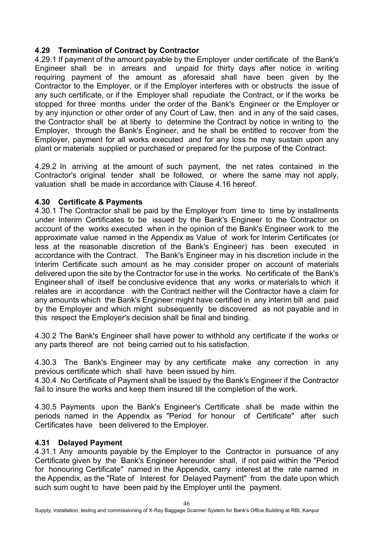### **4.29 Termination of Contract by Contractor**

4.29.1 If payment of the amount payable by the Employer under certificate of the Bank's Engineer shall be in arrears and unpaid for thirty days after notice in writing requiring payment of the amount as aforesaid shall have been given by the Contractor to the Employer, or if the Employer interferes with or obstructs the issue of any such certificate, or if the Employer shall repudiate the Contract, or if the works be stopped for three months under the order of the Bank's Engineer or the Employer or by any injunction or other order of any Court of Law, then and in any of the said cases, the Contractor shall be at liberty to determine the Contract by notice in writing to the Employer, through the Bank's Engineer, and he shall be entitled to recover from the Employer, payment for all works executed and for any loss he may sustain upon any plant or materials supplied or purchased or prepared for the purpose of the Contract.

4.29.2 In arriving at the amount of such payment, the net rates contained in the Contractor's original tender shall be followed, or where the same may not apply, valuation shall be made in accordance with Clause 4.16 hereof.

#### **4.30 Certificate & Payments**

4.30.1 The Contractor shall be paid by the Employer from time to time by installments under Interim Certificates to be issued by the Bank's Engineer to the Contractor on account of the works executed when in the opinion of the Bank's Engineer work to the approximate value named in the Appendix as Value of work for Interim Certificates (or less at the reasonable discretion of the Bank's Engineer) has been executed in accordance with the Contract. The Bank's Engineer may in his discretion include in the Interim Certificate such amount as he may consider proper on account of materials delivered upon the site by the Contractor for use in the works. No certificate of the Bank's Engineer shall of itself be conclusive evidence that any works or materials to which it relates are in accordance with the Contract neither will the Contractor have a claim for any amounts which the Bank's Engineer might have certified in any interim bill and paid by the Employer and which might subsequently be discovered as not payable and in this respect the Employer's decision shall be final and binding.

4.30.2 The Bank's Engineer shall have power to withhold any certificate if the works or any parts thereof are not being carried out to his satisfaction.

4.30.3 The Bank's Engineer may by any certificate make any correction in any previous certificate which shall have been issued by him.

4.30.4 No Certificate of Payment shall be issued by the Bank's Engineer if the Contractor fail to insure the works and keep them insured till the completion of the work.

4.30.5 Payments upon the Bank's Engineer's Certificate shall be made within the periods named in the Appendix as "Period for honour of Certificate" after such Certificates have been delivered to the Employer.

#### **4.31 Delayed Payment**

4.31.1 Any amounts payable by the Employer to the Contractor in pursuance of any Certificate given by the Bank's Engineer hereunder shall, if not paid within the "Period for honouring Certificate" named in the Appendix, carry interest at the rate named in the Appendix, as the "Rate of Interest for Delayed Payment" from the date upon which such sum ought to have been paid by the Employer until the payment.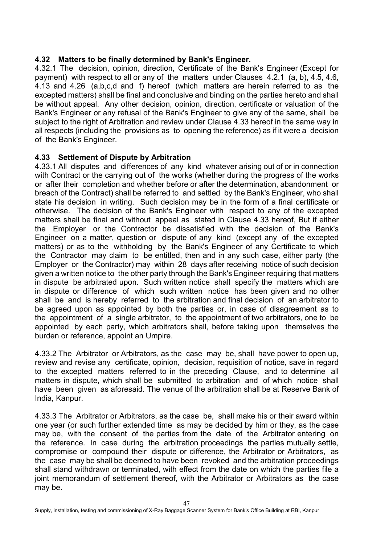## **4.32 Matters to be finally determined by Bank's Engineer.**

4.32.1 The decision, opinion, direction, Certificate of the Bank's Engineer (Except for payment) with respect to all or any of the matters under Clauses 4.2.1 (a, b), 4.5, 4.6, 4.13 and 4.26 (a,b,c,d and f) hereof (which matters are herein referred to as the excepted matters) shall be final and conclusive and binding on the parties hereto and shall be without appeal. Any other decision, opinion, direction, certificate or valuation of the Bank's Engineer or any refusal of the Bank's Engineer to give any of the same, shall be subject to the right of Arbitration and review under Clause 4.33 hereof in the same way in all respects (including the provisions as to opening the reference) as if it were a decision of the Bank's Engineer.

#### **4.33 Settlement of Dispute by Arbitration**

4.33.1 All disputes and differences of any kind whatever arising out of or in connection with Contract or the carrying out of the works (whether during the progress of the works or after their completion and whether before or after the determination, abandonment or breach of the Contract) shall be referred to and settled by the Bank's Engineer, who shall state his decision in writing. Such decision may be in the form of a final certificate or otherwise. The decision of the Bank's Engineer with respect to any of the excepted matters shall be final and without appeal as stated in Clause 4.33 hereof, But if either the Employer or the Contractor be dissatisfied with the decision of the Bank's Engineer on a matter, question or dispute of any kind (except any of the excepted matters) or as to the withholding by the Bank's Engineer of any Certificate to which the Contractor may claim to be entitled, then and in any such case, either party (the Employer or the Contractor) may within 28 days after receiving notice of such decision given a written notice to the other party through the Bank's Engineer requiring that matters in dispute be arbitrated upon. Such written notice shall specify the matters which are in dispute or difference of which such written notice has been given and no other shall be and is hereby referred to the arbitration and final decision of an arbitrator to be agreed upon as appointed by both the parties or, in case of disagreement as to the appointment of a single arbitrator, to the appointment of two arbitrators, one to be appointed by each party, which arbitrators shall, before taking upon themselves the burden or reference, appoint an Umpire.

4.33.2 The Arbitrator or Arbitrators, as the case may be, shall have power to open up, review and revise any certificate, opinion, decision, requisition of notice, save in regard to the excepted matters referred to in the preceding Clause, and to determine all matters in dispute, which shall be submitted to arbitration and of which notice shall have been given as aforesaid. The venue of the arbitration shall be at Reserve Bank of India, Kanpur.

4.33.3 The Arbitrator or Arbitrators, as the case be, shall make his or their award within one year (or such further extended time as may be decided by him or they, as the case may be, with the consent of the parties from the date of the Arbitrator entering on the reference. In case during the arbitration proceedings the parties mutually settle, compromise or compound their dispute or difference, the Arbitrator or Arbitrators, as the case may be shall be deemed to have been revoked and the arbitration proceedings shall stand withdrawn or terminated, with effect from the date on which the parties file a joint memorandum of settlement thereof, with the Arbitrator or Arbitrators as the case may be.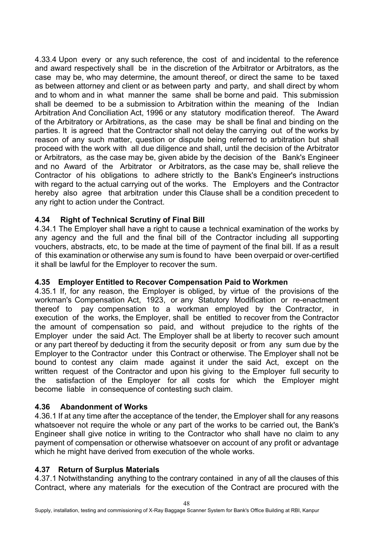4.33.4 Upon every or any such reference, the cost of and incidental to the reference and award respectively shall be in the discretion of the Arbitrator or Arbitrators, as the case may be, who may determine, the amount thereof, or direct the same to be taxed as between attorney and client or as between party and party, and shall direct by whom and to whom and in what manner the same shall be borne and paid. This submission shall be deemed to be a submission to Arbitration within the meaning of the Indian Arbitration And Conciliation Act, 1996 or any statutory modification thereof. The Award of the Arbitratory or Arbitrations, as the case may be shall be final and binding on the parties. It is agreed that the Contractor shall not delay the carrying out of the works by reason of any such matter, question or dispute being referred to arbitration but shall proceed with the work with all due diligence and shall, until the decision of the Arbitrator or Arbitrators, as the case may be, given abide by the decision of the Bank's Engineer and no Award of the Arbitrator or Arbitrators, as the case may be, shall relieve the Contractor of his obligations to adhere strictly to the Bank's Engineer's instructions with regard to the actual carrying out of the works. The Employers and the Contractor hereby also agree that arbitration under this Clause shall be a condition precedent to any right to action under the Contract.

## **4.34 Right of Technical Scrutiny of Final Bill**

4.34.1 The Employer shall have a right to cause a technical examination of the works by any agency and the full and the final bill of the Contractor including all supporting vouchers, abstracts, etc, to be made at the time of payment of the final bill. If as a result of this examination or otherwise any sum is found to have been overpaid or over-certified it shall be lawful for the Employer to recover the sum.

## **4.35 Employer Entitled to Recover Compensation Paid to Workmen**

4.35.1 If, for any reason, the Employer is obliged, by virtue of the provisions of the workman's Compensation Act, 1923, or any Statutory Modification or re-enactment thereof to pay compensation to a workman employed by the Contractor, in execution of the works, the Employer, shall be entitled to recover from the Contractor the amount of compensation so paid, and without prejudice to the rights of the Employer under the said Act. The Employer shall be at liberty to recover such amount or any part thereof by deducting it from the security deposit or from any sum due by the Employer to the Contractor under this Contract or otherwise. The Employer shall not be bound to contest any claim made against it under the said Act, except on the written request of the Contractor and upon his giving to the Employer full security to the satisfaction of the Employer for all costs for which the Employer might become liable in consequence of contesting such claim.

## **4.36 Abandonment of Works**

4.36.1 If at any time after the acceptance of the tender, the Employer shall for any reasons whatsoever not require the whole or any part of the works to be carried out, the Bank's Engineer shall give notice in writing to the Contractor who shall have no claim to any payment of compensation or otherwise whatsoever on account of any profit or advantage which he might have derived from execution of the whole works.

#### **4.37 Return of Surplus Materials**

4.37.1 Notwithstanding anything to the contrary contained in any of all the clauses of this Contract, where any materials for the execution of the Contract are procured with the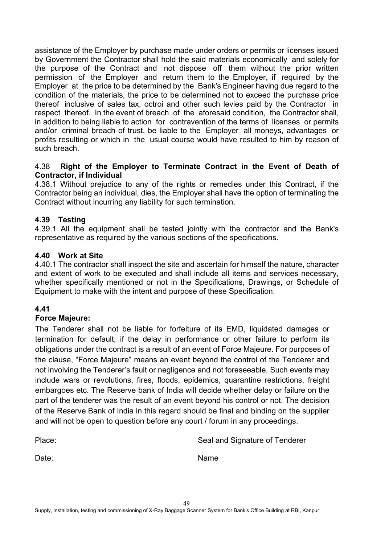assistance of the Employer by purchase made under orders or permits or licenses issued by Government the Contractor shall hold the said materials economically and solely for the purpose of the Contract and not dispose off them without the prior written permission of the Employer and return them to the Employer, if required by the Employer at the price to be determined by the Bank's Engineer having due regard to the condition of the materials, the price to be determined not to exceed the purchase price thereof inclusive of sales tax, octroi and other such levies paid by the Contractor in respect thereof. In the event of breach of the aforesaid condition, the Contractor shall, in addition to being liable to action for contravention of the terms of licenses or permits and/or criminal breach of trust, be liable to the Employer all moneys, advantages or profits resulting or which in the usual course would have resulted to him by reason of such breach.

#### 4.38 **Right of the Employer to Terminate Contract in the Event of Death of Contractor, if Individual**

4.38.1 Without prejudice to any of the rights or remedies under this Contract, if the Contractor being an individual, dies, the Employer shall have the option of terminating the Contract without incurring any liability for such termination.

## **4.39 Testing**

4.39.1 All the equipment shall be tested jointly with the contractor and the Bank's representative as required by the various sections of the specifications.

#### **4.40 Work at Site**

4.40.1 The contractor shall inspect the site and ascertain for himself the nature, character and extent of work to be executed and shall include all items and services necessary, whether specifically mentioned or not in the Specifications, Drawings, or Schedule of Equipment to make with the intent and purpose of these Specification.

#### **4.41**

#### **Force Majeure:**

The Tenderer shall not be liable for forfeiture of its EMD, liquidated damages or termination for default, if the delay in performance or other failure to perform its obligations under the contract is a result of an event of Force Majeure. For purposes of the clause, "Force Majeure" means an event beyond the control of the Tenderer and not involving the Tenderer's fault or negligence and not foreseeable. Such events may include wars or revolutions, fires, floods, epidemics, quarantine restrictions, freight embargoes etc. The Reserve bank of India will decide whether delay or failure on the part of the tenderer was the result of an event beyond his control or not. The decision of the Reserve Bank of India in this regard should be final and binding on the supplier and will not be open to question before any court / forum in any proceedings.

| Place: | Seal and Signature of Tenderer |
|--------|--------------------------------|
| Date:  | Name                           |
|        |                                |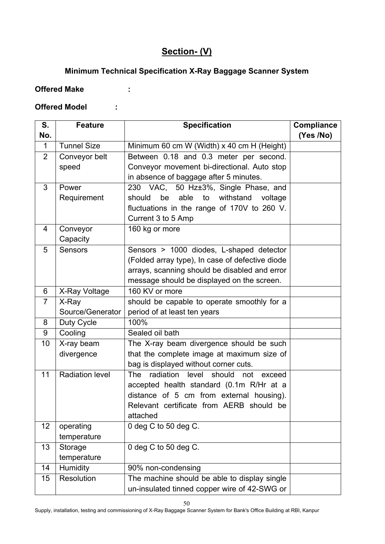# **Section- (V)**

# **Minimum Technical Specification X-Ray Baggage Scanner System**

# **Offered Make :**

## **Offered Model :**

| S.             | <b>Feature</b>         | <b>Specification</b>                                 | Compliance |
|----------------|------------------------|------------------------------------------------------|------------|
| No.            |                        |                                                      | (Yes /No)  |
| $\mathbf{1}$   | <b>Tunnel Size</b>     | Minimum 60 cm W (Width) x 40 cm H (Height)           |            |
| $\overline{2}$ | Conveyor belt          | Between 0.18 and 0.3 meter per second.               |            |
|                | speed                  | Conveyor movement bi-directional. Auto stop          |            |
|                |                        | in absence of baggage after 5 minutes.               |            |
| 3              | Power                  | 230 VAC, 50 Hz±3%, Single Phase, and                 |            |
|                | Requirement            | be<br>able<br>withstand<br>should<br>to<br>voltage   |            |
|                |                        | fluctuations in the range of 170V to 260 V.          |            |
|                |                        | Current 3 to 5 Amp                                   |            |
| 4              | Conveyor               | 160 kg or more                                       |            |
|                | Capacity               |                                                      |            |
| 5              | <b>Sensors</b>         | Sensors > 1000 diodes, L-shaped detector             |            |
|                |                        | (Folded array type), In case of defective diode      |            |
|                |                        | arrays, scanning should be disabled and error        |            |
|                |                        | message should be displayed on the screen.           |            |
| 6              | X-Ray Voltage          | 160 KV or more                                       |            |
| $\overline{7}$ | X-Ray                  | should be capable to operate smoothly for a          |            |
|                | Source/Generator       | period of at least ten years                         |            |
| 8              | Duty Cycle             | 100%                                                 |            |
| 9              | Cooling                | Sealed oil bath                                      |            |
| 10             | X-ray beam             | The X-ray beam divergence should be such             |            |
|                | divergence             | that the complete image at maximum size of           |            |
|                |                        | bag is displayed without corner cuts.                |            |
| 11             | <b>Radiation level</b> | radiation<br>should<br>The<br>level<br>not<br>exceed |            |
|                |                        | accepted health standard (0.1m R/Hr at a             |            |
|                |                        | distance of 5 cm from external housing).             |            |
|                |                        | Relevant certificate from AERB should be             |            |
|                |                        | attached                                             |            |
| 12             | operating              | 0 deg C to 50 deg C.                                 |            |
|                | temperature            |                                                      |            |
| 13             | Storage                | 0 deg C to 50 deg C.                                 |            |
|                | temperature            |                                                      |            |
| 14             | Humidity               | 90% non-condensing                                   |            |
| 15             | Resolution             | The machine should be able to display single         |            |
|                |                        | un-insulated tinned copper wire of 42-SWG or         |            |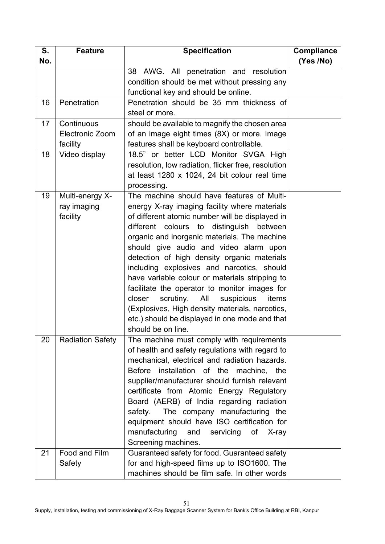| S.  | <b>Feature</b>          | <b>Specification</b>                                                                         | <b>Compliance</b> |
|-----|-------------------------|----------------------------------------------------------------------------------------------|-------------------|
| No. |                         |                                                                                              | (Yes /No)         |
|     |                         | 38<br>AWG. All penetration and resolution                                                    |                   |
|     |                         | condition should be met without pressing any                                                 |                   |
|     |                         | functional key and should be online.                                                         |                   |
| 16  | Penetration             | Penetration should be 35 mm thickness of                                                     |                   |
|     |                         | steel or more.                                                                               |                   |
| 17  | Continuous              | should be available to magnify the chosen area                                               |                   |
|     | <b>Electronic Zoom</b>  | of an image eight times (8X) or more. Image                                                  |                   |
|     | facility                | features shall be keyboard controllable.                                                     |                   |
| 18  | Video display           | 18.5" or better LCD Monitor SVGA High                                                        |                   |
|     |                         | resolution, low radiation, flicker free, resolution                                          |                   |
|     |                         | at least 1280 x 1024, 24 bit colour real time                                                |                   |
|     |                         | processing.                                                                                  |                   |
| 19  | Multi-energy X-         | The machine should have features of Multi-                                                   |                   |
|     | ray imaging             | energy X-ray imaging facility where materials                                                |                   |
|     | facility                | of different atomic number will be displayed in                                              |                   |
|     |                         | different colours to distinguish between                                                     |                   |
|     |                         | organic and inorganic materials. The machine                                                 |                   |
|     |                         | should give audio and video alarm upon                                                       |                   |
|     |                         | detection of high density organic materials                                                  |                   |
|     |                         | including explosives and narcotics, should                                                   |                   |
|     |                         | have variable colour or materials stripping to                                               |                   |
|     |                         | facilitate the operator to monitor images for                                                |                   |
|     |                         | scrutiny.<br>All<br>suspicious<br>closer<br>items                                            |                   |
|     |                         | (Explosives, High density materials, narcotics,                                              |                   |
|     |                         | etc.) should be displayed in one mode and that<br>should be on line.                         |                   |
|     |                         |                                                                                              |                   |
| 20  | <b>Radiation Safety</b> | The machine must comply with requirements<br>of health and safety regulations with regard to |                   |
|     |                         | mechanical, electrical and radiation hazards.                                                |                   |
|     |                         | Before installation of the machine, the                                                      |                   |
|     |                         | supplier/manufacturer should furnish relevant                                                |                   |
|     |                         | certificate from Atomic Energy Regulatory                                                    |                   |
|     |                         | Board (AERB) of India regarding radiation                                                    |                   |
|     |                         | safety. The company manufacturing the                                                        |                   |
|     |                         | equipment should have ISO certification for                                                  |                   |
|     |                         | manufacturing<br>and<br>servicing<br>of<br>X-ray                                             |                   |
|     |                         | Screening machines.                                                                          |                   |
| 21  | Food and Film           | Guaranteed safety for food. Guaranteed safety                                                |                   |
|     | Safety                  | for and high-speed films up to ISO1600. The                                                  |                   |
|     |                         | machines should be film safe. In other words                                                 |                   |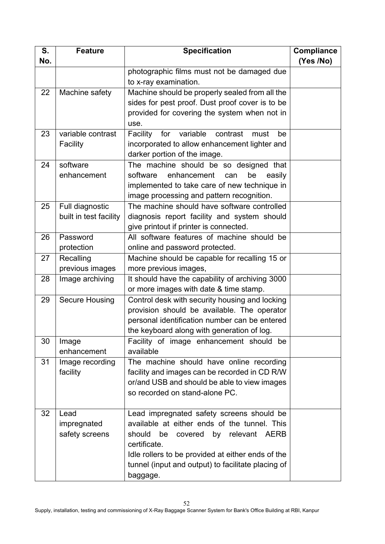| S.  | <b>Feature</b>         | <b>Specification</b>                                  | <b>Compliance</b> |
|-----|------------------------|-------------------------------------------------------|-------------------|
| No. |                        |                                                       | (Yes /No)         |
|     |                        | photographic films must not be damaged due            |                   |
|     |                        | to x-ray examination.                                 |                   |
| 22  | Machine safety         | Machine should be properly sealed from all the        |                   |
|     |                        | sides for pest proof. Dust proof cover is to be       |                   |
|     |                        | provided for covering the system when not in          |                   |
|     |                        | use.                                                  |                   |
| 23  | variable contrast      | variable<br>Facility<br>contrast<br>for<br>be<br>must |                   |
|     | Facility               | incorporated to allow enhancement lighter and         |                   |
|     |                        | darker portion of the image.                          |                   |
| 24  | software               | The machine should be so designed that                |                   |
|     | enhancement            | enhancement<br>software<br>be<br>easily<br>can        |                   |
|     |                        | implemented to take care of new technique in          |                   |
|     |                        | image processing and pattern recognition.             |                   |
| 25  | Full diagnostic        | The machine should have software controlled           |                   |
|     | built in test facility | diagnosis report facility and system should           |                   |
|     |                        | give printout if printer is connected.                |                   |
| 26  | Password               | All software features of machine should be            |                   |
|     | protection             | online and password protected.                        |                   |
| 27  | Recalling              | Machine should be capable for recalling 15 or         |                   |
|     | previous images        | more previous images,                                 |                   |
| 28  | Image archiving        | It should have the capability of archiving 3000       |                   |
|     |                        | or more images with date & time stamp.                |                   |
| 29  | Secure Housing         | Control desk with security housing and locking        |                   |
|     |                        | provision should be available. The operator           |                   |
|     |                        | personal identification number can be entered         |                   |
| 30  |                        | the keyboard along with generation of log.            |                   |
|     | Image<br>enhancement   | Facility of image enhancement should be<br>available  |                   |
| 31  | Image recording        | The machine should have online recording              |                   |
|     | facility               | facility and images can be recorded in CD R/W         |                   |
|     |                        | or/and USB and should be able to view images          |                   |
|     |                        | so recorded on stand-alone PC.                        |                   |
|     |                        |                                                       |                   |
| 32  | Lead                   | Lead impregnated safety screens should be             |                   |
|     | impregnated            | available at either ends of the tunnel. This          |                   |
|     | safety screens         | should<br>be<br>relevant AERB<br>covered by           |                   |
|     |                        | certificate.                                          |                   |
|     |                        | Idle rollers to be provided at either ends of the     |                   |
|     |                        | tunnel (input and output) to facilitate placing of    |                   |
|     |                        | baggage.                                              |                   |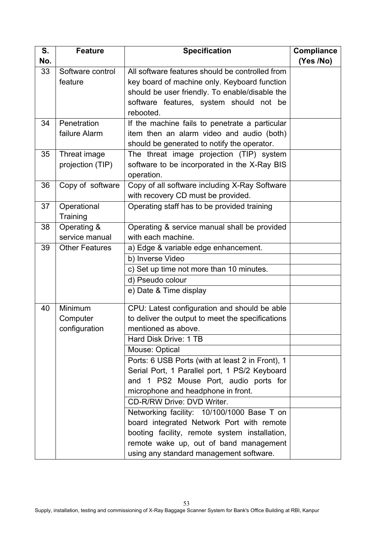| S.  | <b>Feature</b>        | <b>Specification</b>                             | <b>Compliance</b> |
|-----|-----------------------|--------------------------------------------------|-------------------|
| No. |                       |                                                  | (Yes /No)         |
| 33  | Software control      | All software features should be controlled from  |                   |
|     | feature               | key board of machine only. Keyboard function     |                   |
|     |                       | should be user friendly. To enable/disable the   |                   |
|     |                       | software features, system should not be          |                   |
|     |                       | rebooted.                                        |                   |
| 34  | Penetration           | If the machine fails to penetrate a particular   |                   |
|     | failure Alarm         | item then an alarm video and audio (both)        |                   |
|     |                       | should be generated to notify the operator.      |                   |
| 35  | Threat image          | The threat image projection (TIP) system         |                   |
|     | projection (TIP)      | software to be incorporated in the X-Ray BIS     |                   |
|     |                       | operation.                                       |                   |
| 36  | Copy of software      | Copy of all software including X-Ray Software    |                   |
|     |                       | with recovery CD must be provided.               |                   |
| 37  | Operational           | Operating staff has to be provided training      |                   |
|     | Training              |                                                  |                   |
| 38  | Operating &           | Operating & service manual shall be provided     |                   |
|     | service manual        | with each machine.                               |                   |
| 39  | <b>Other Features</b> | a) Edge & variable edge enhancement.             |                   |
|     |                       | b) Inverse Video                                 |                   |
|     |                       | c) Set up time not more than 10 minutes.         |                   |
|     |                       | d) Pseudo colour                                 |                   |
|     |                       | e) Date & Time display                           |                   |
| 40  | Minimum               | CPU: Latest configuration and should be able     |                   |
|     | Computer              | to deliver the output to meet the specifications |                   |
|     | configuration         | mentioned as above.                              |                   |
|     |                       | Hard Disk Drive: 1 TB                            |                   |
|     |                       | Mouse: Optical                                   |                   |
|     |                       | Ports: 6 USB Ports (with at least 2 in Front), 1 |                   |
|     |                       | Serial Port, 1 Parallel port, 1 PS/2 Keyboard    |                   |
|     |                       | and 1 PS2 Mouse Port, audio ports for            |                   |
|     |                       | microphone and headphone in front.               |                   |
|     |                       | CD-R/RW Drive: DVD Writer.                       |                   |
|     |                       | Networking facility: 10/100/1000 Base T on       |                   |
|     |                       | board integrated Network Port with remote        |                   |
|     |                       | booting facility, remote system installation,    |                   |
|     |                       | remote wake up, out of band management           |                   |
|     |                       | using any standard management software.          |                   |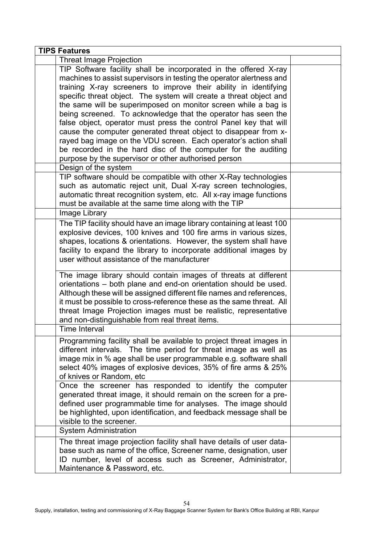| <b>TIPS Features</b>                                                                                                                                                                                                                                                                                                                                                                                                                                                                                                                                                                                                                                                                                                                                      |  |
|-----------------------------------------------------------------------------------------------------------------------------------------------------------------------------------------------------------------------------------------------------------------------------------------------------------------------------------------------------------------------------------------------------------------------------------------------------------------------------------------------------------------------------------------------------------------------------------------------------------------------------------------------------------------------------------------------------------------------------------------------------------|--|
| <b>Threat Image Projection</b>                                                                                                                                                                                                                                                                                                                                                                                                                                                                                                                                                                                                                                                                                                                            |  |
| TIP Software facility shall be incorporated in the offered X-ray<br>machines to assist supervisors in testing the operator alertness and<br>training X-ray screeners to improve their ability in identifying<br>specific threat object. The system will create a threat object and<br>the same will be superimposed on monitor screen while a bag is<br>being screened. To acknowledge that the operator has seen the<br>false object, operator must press the control Panel key that will<br>cause the computer generated threat object to disappear from x-<br>rayed bag image on the VDU screen. Each operator's action shall<br>be recorded in the hard disc of the computer for the auditing<br>purpose by the supervisor or other authorised person |  |
| Design of the system                                                                                                                                                                                                                                                                                                                                                                                                                                                                                                                                                                                                                                                                                                                                      |  |
| TIP software should be compatible with other X-Ray technologies<br>such as automatic reject unit, Dual X-ray screen technologies,<br>automatic threat recognition system, etc. All x-ray image functions<br>must be available at the same time along with the TIP                                                                                                                                                                                                                                                                                                                                                                                                                                                                                         |  |
| Image Library                                                                                                                                                                                                                                                                                                                                                                                                                                                                                                                                                                                                                                                                                                                                             |  |
| The TIP facility should have an image library containing at least 100<br>explosive devices, 100 knives and 100 fire arms in various sizes,<br>shapes, locations & orientations. However, the system shall have<br>facility to expand the library to incorporate additional images by<br>user without assistance of the manufacturer                                                                                                                                                                                                                                                                                                                                                                                                                       |  |
| The image library should contain images of threats at different<br>orientations - both plane and end-on orientation should be used.<br>Although these will be assigned different file names and references,<br>it must be possible to cross-reference these as the same threat. All<br>threat Image Projection images must be realistic, representative<br>and non-distinguishable from real threat items.                                                                                                                                                                                                                                                                                                                                                |  |
| <b>Time Interval</b>                                                                                                                                                                                                                                                                                                                                                                                                                                                                                                                                                                                                                                                                                                                                      |  |
| Programming facility shall be available to project threat images in<br>different intervals. The time period for threat image as well as<br>image mix in % age shall be user programmable e.g. software shall<br>select 40% images of explosive devices, 35% of fire arms & 25%<br>of knives or Random, etc                                                                                                                                                                                                                                                                                                                                                                                                                                                |  |
| Once the screener has responded to identify the computer<br>generated threat image, it should remain on the screen for a pre-<br>defined user programmable time for analyses. The image should<br>be highlighted, upon identification, and feedback message shall be<br>visible to the screener.                                                                                                                                                                                                                                                                                                                                                                                                                                                          |  |
| <b>System Administration</b>                                                                                                                                                                                                                                                                                                                                                                                                                                                                                                                                                                                                                                                                                                                              |  |
| The threat image projection facility shall have details of user data-<br>base such as name of the office, Screener name, designation, user<br>ID number, level of access such as Screener, Administrator,<br>Maintenance & Password, etc.                                                                                                                                                                                                                                                                                                                                                                                                                                                                                                                 |  |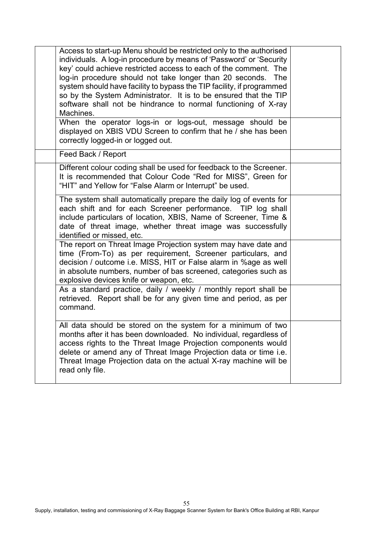| Access to start-up Menu should be restricted only to the authorised<br>individuals. A log-in procedure by means of 'Password' or 'Security<br>key' could achieve restricted access to each of the comment. The<br>log-in procedure should not take longer than 20 seconds.<br>The<br>system should have facility to bypass the TIP facility, if programmed<br>so by the System Administrator. It is to be ensured that the TIP<br>software shall not be hindrance to normal functioning of X-ray<br>Machines. |  |
|---------------------------------------------------------------------------------------------------------------------------------------------------------------------------------------------------------------------------------------------------------------------------------------------------------------------------------------------------------------------------------------------------------------------------------------------------------------------------------------------------------------|--|
| When the operator logs-in or logs-out, message should be<br>displayed on XBIS VDU Screen to confirm that he / she has been<br>correctly logged-in or logged out.                                                                                                                                                                                                                                                                                                                                              |  |
| Feed Back / Report                                                                                                                                                                                                                                                                                                                                                                                                                                                                                            |  |
| Different colour coding shall be used for feedback to the Screener.<br>It is recommended that Colour Code "Red for MISS", Green for<br>"HIT" and Yellow for "False Alarm or Interrupt" be used.                                                                                                                                                                                                                                                                                                               |  |
| The system shall automatically prepare the daily log of events for<br>each shift and for each Screener performance. TIP log shall<br>include particulars of location, XBIS, Name of Screener, Time &<br>date of threat image, whether threat image was successfully<br>identified or missed, etc.                                                                                                                                                                                                             |  |
| The report on Threat Image Projection system may have date and<br>time (From-To) as per requirement, Screener particulars, and<br>decision / outcome i.e. MISS, HIT or False alarm in %age as well<br>in absolute numbers, number of bas screened, categories such as<br>explosive devices knife or weapon, etc.                                                                                                                                                                                              |  |
| As a standard practice, daily / weekly / monthly report shall be<br>retrieved. Report shall be for any given time and period, as per<br>command.                                                                                                                                                                                                                                                                                                                                                              |  |
| All data should be stored on the system for a minimum of two<br>months after it has been downloaded. No individual, regardless of<br>access rights to the Threat Image Projection components would<br>delete or amend any of Threat Image Projection data or time i.e.<br>Threat Image Projection data on the actual X-ray machine will be<br>read only file.                                                                                                                                                 |  |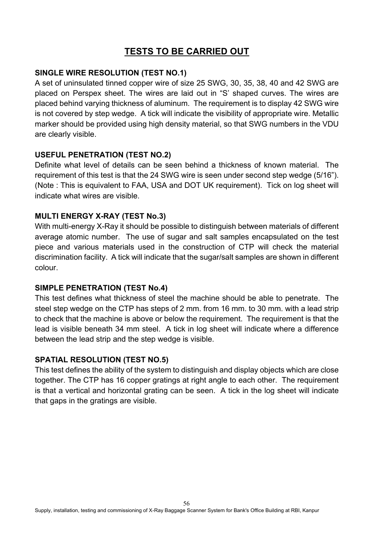# **TESTS TO BE CARRIED OUT**

### **SINGLE WIRE RESOLUTION (TEST NO.1)**

A set of uninsulated tinned copper wire of size 25 SWG, 30, 35, 38, 40 and 42 SWG are placed on Perspex sheet. The wires are laid out in "S' shaped curves. The wires are placed behind varying thickness of aluminum. The requirement is to display 42 SWG wire is not covered by step wedge. A tick will indicate the visibility of appropriate wire. Metallic marker should be provided using high density material, so that SWG numbers in the VDU are clearly visible.

#### **USEFUL PENETRATION (TEST NO.2)**

Definite what level of details can be seen behind a thickness of known material. The requirement of this test is that the 24 SWG wire is seen under second step wedge (5/16"). (Note : This is equivalent to FAA, USA and DOT UK requirement). Tick on log sheet will indicate what wires are visible.

#### **MULTI ENERGY X-RAY (TEST No.3)**

With multi-energy X-Ray it should be possible to distinguish between materials of different average atomic number. The use of sugar and salt samples encapsulated on the test piece and various materials used in the construction of CTP will check the material discrimination facility. A tick will indicate that the sugar/salt samples are shown in different colour.

## **SIMPLE PENETRATION (TEST No.4)**

This test defines what thickness of steel the machine should be able to penetrate. The steel step wedge on the CTP has steps of 2 mm. from 16 mm. to 30 mm. with a lead strip to check that the machine is above or below the requirement. The requirement is that the lead is visible beneath 34 mm steel. A tick in log sheet will indicate where a difference between the lead strip and the step wedge is visible.

## **SPATIAL RESOLUTION (TEST NO.5)**

This test defines the ability of the system to distinguish and display objects which are close together. The CTP has 16 copper gratings at right angle to each other. The requirement is that a vertical and horizontal grating can be seen. A tick in the log sheet will indicate that gaps in the gratings are visible.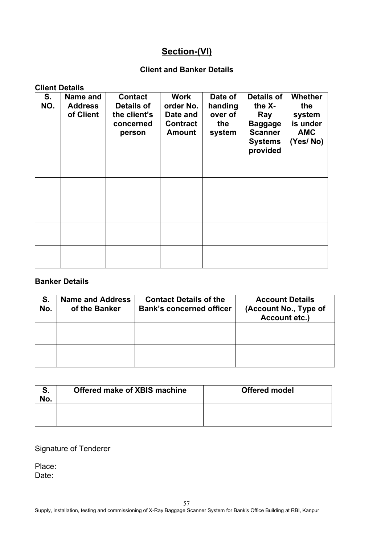# **Section-(VI)**

## **Client and Banker Details**

#### **Client Details**

| S.<br>NO. | Name and<br><b>Address</b><br>of Client | <b>Contact</b><br>Details of<br>the client's<br>concerned<br>person | Work<br>order No.<br>Date and<br><b>Contract</b><br><b>Amount</b> | Date of<br>handing<br>over of<br>the<br>system | Details of<br>the X-<br>Ray<br><b>Baggage</b><br><b>Scanner</b><br><b>Systems</b><br>provided | <b>Whether</b><br>the<br>system<br>is under<br><b>AMC</b><br>(Yes/No) |
|-----------|-----------------------------------------|---------------------------------------------------------------------|-------------------------------------------------------------------|------------------------------------------------|-----------------------------------------------------------------------------------------------|-----------------------------------------------------------------------|
|           |                                         |                                                                     |                                                                   |                                                |                                                                                               |                                                                       |
|           |                                         |                                                                     |                                                                   |                                                |                                                                                               |                                                                       |
|           |                                         |                                                                     |                                                                   |                                                |                                                                                               |                                                                       |
|           |                                         |                                                                     |                                                                   |                                                |                                                                                               |                                                                       |
|           |                                         |                                                                     |                                                                   |                                                |                                                                                               |                                                                       |

#### **Banker Details**

| S.<br>No. | <b>Name and Address</b><br>of the Banker | <b>Contact Details of the</b><br><b>Bank's concerned officer</b> | <b>Account Details</b><br>(Account No., Type of<br><b>Account etc.)</b> |
|-----------|------------------------------------------|------------------------------------------------------------------|-------------------------------------------------------------------------|
|           |                                          |                                                                  |                                                                         |
|           |                                          |                                                                  |                                                                         |

| No. | Offered make of XBIS machine | <b>Offered model</b> |
|-----|------------------------------|----------------------|
|     |                              |                      |

### Signature of Tenderer

Place: Date: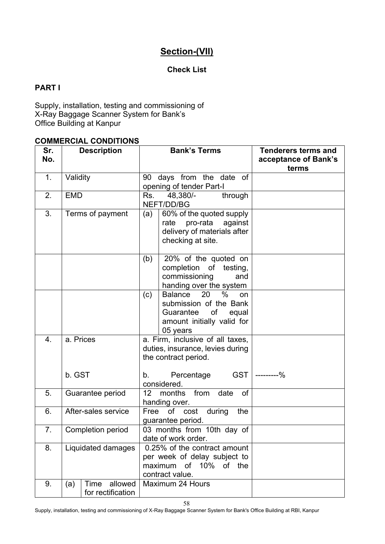# **Section-(VII)**

# **Check List**

# **PART I**

Supply, installation, testing and commissioning of X-Ray Baggage Scanner System for Bank's Office Building at Kanpur

# **COMMERCIAL CONDITIONS**

| Sr. | <b>Description</b>                          | <b>Bank's Terms</b>                                                                                                                | <b>Tenderers terms and</b>    |
|-----|---------------------------------------------|------------------------------------------------------------------------------------------------------------------------------------|-------------------------------|
| No. |                                             |                                                                                                                                    | acceptance of Bank's<br>terms |
| 1.  | Validity                                    | 90 days from the date of<br>opening of tender Part-I                                                                               |                               |
| 2.  | <b>EMD</b>                                  | 48,380/-<br>through<br>Rs.<br>NEFT/DD/BG                                                                                           |                               |
| 3.  | Terms of payment                            | 60% of the quoted supply<br>(a)<br>pro-rata<br>against<br>rate<br>delivery of materials after<br>checking at site.                 |                               |
|     |                                             | 20% of the quoted on<br>(b)<br>completion of testing,<br>commissioning<br>and<br>handing over the system                           |                               |
|     |                                             | Balance<br>$\%$<br>20<br>(c)<br>on<br>submission of the Bank<br>Guarantee<br>of<br>equal<br>amount initially valid for<br>05 years |                               |
| 4.  | a. Prices                                   | a. Firm, inclusive of all taxes,<br>duties, insurance, levies during<br>the contract period.                                       |                               |
|     | b. GST                                      | GST  <br>Percentage<br>b.<br>considered.                                                                                           | ---------%                    |
| 5.  | Guarantee period                            | 12 months from date<br>of<br>handing over.                                                                                         |                               |
| 6.  | After-sales service                         | of cost<br>during<br>Free<br>the<br>guarantee period.                                                                              |                               |
| 7.  | Completion period                           | 03 months from 10th day of<br>date of work order.                                                                                  |                               |
| 8.  | Liquidated damages                          | 0.25% of the contract amount<br>per week of delay subject to<br>maximum of 10% of the<br>contract value.                           |                               |
| 9.  | allowed<br>Time<br>(a)<br>for rectification | Maximum 24 Hours                                                                                                                   |                               |

Supply, installation, testing and commissioning of X-Ray Baggage Scanner System for Bank's Office Building at RBI, Kanpur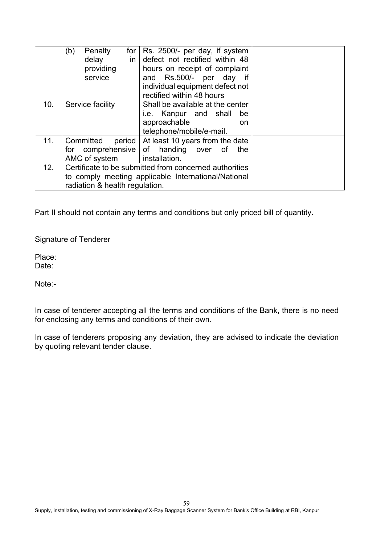|     | (b)<br>Penalty<br>for $ $<br>$\mathsf{in}$<br>delay<br>providing<br>service | Rs. 2500/- per day, if system<br>defect not rectified within 48<br>hours on receipt of complaint<br>and Rs.500/- per day if<br>individual equipment defect not<br>rectified within 48 hours |  |
|-----|-----------------------------------------------------------------------------|---------------------------------------------------------------------------------------------------------------------------------------------------------------------------------------------|--|
| 10. | Service facility                                                            | Shall be available at the center                                                                                                                                                            |  |
|     |                                                                             | i.e. Kanpur and shall<br>be                                                                                                                                                                 |  |
|     |                                                                             | approachable<br>on.                                                                                                                                                                         |  |
|     |                                                                             | telephone/mobile/e-mail.                                                                                                                                                                    |  |
| 11. | Committed<br>period                                                         | At least 10 years from the date                                                                                                                                                             |  |
|     |                                                                             | for comprehensive of handing over of the                                                                                                                                                    |  |
|     | AMC of system                                                               | installation.                                                                                                                                                                               |  |
| 12. | Certificate to be submitted from concerned authorities                      |                                                                                                                                                                                             |  |
|     | to comply meeting applicable International/National                         |                                                                                                                                                                                             |  |
|     | radiation & health regulation.                                              |                                                                                                                                                                                             |  |

Part II should not contain any terms and conditions but only priced bill of quantity.

Signature of Tenderer

Place: Date:

Note:-

In case of tenderer accepting all the terms and conditions of the Bank, there is no need for enclosing any terms and conditions of their own.

In case of tenderers proposing any deviation, they are advised to indicate the deviation by quoting relevant tender clause.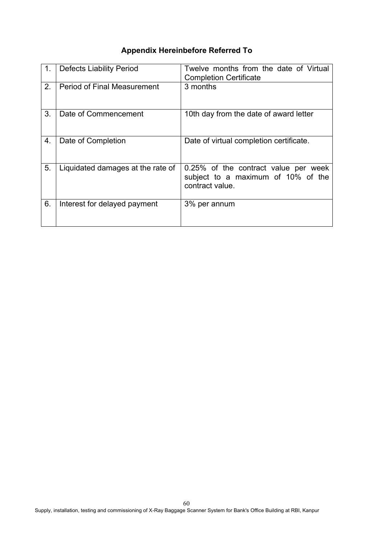# **Appendix Hereinbefore Referred To**

| 1. | <b>Defects Liability Period</b>    | Twelve months from the date of Virtual<br><b>Completion Certificate</b>                       |
|----|------------------------------------|-----------------------------------------------------------------------------------------------|
| 2. | <b>Period of Final Measurement</b> | 3 months                                                                                      |
| 3. | Date of Commencement               | 10th day from the date of award letter                                                        |
| 4. | Date of Completion                 | Date of virtual completion certificate.                                                       |
| 5. | Liquidated damages at the rate of  | 0.25% of the contract value per week<br>subject to a maximum of 10% of the<br>contract value. |
| 6. | Interest for delayed payment       | 3% per annum                                                                                  |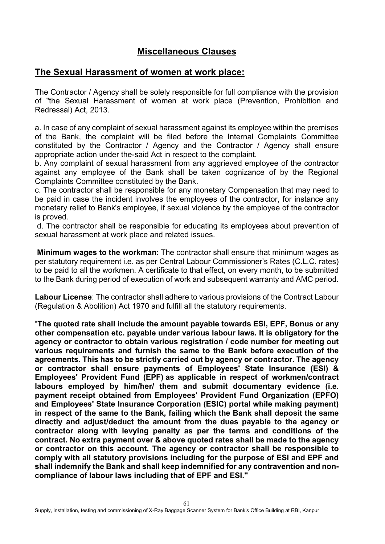# **Miscellaneous Clauses**

# **The Sexual Harassment of women at work place:**

The Contractor / Agency shall be solely responsible for full compliance with the provision of "the Sexual Harassment of women at work place (Prevention, Prohibition and Redressal) Act, 2013.

a. In case of any complaint of sexual harassment against its employee within the premises of the Bank, the complaint will be filed before the Internal Complaints Committee constituted by the Contractor / Agency and the Contractor / Agency shall ensure appropriate action under the-said Act in respect to the complaint.

b. Any complaint of sexual harassment from any aggrieved employee of the contractor against any employee of the Bank shall be taken cognizance of by the Regional Complaints Committee constituted by the Bank.

c. The contractor shall be responsible for any monetary Compensation that may need to be paid in case the incident involves the employees of the contractor, for instance any monetary relief to Bank's employee, if sexual violence by the employee of the contractor is proved.

d. The contractor shall be responsible for educating its employees about prevention of sexual harassment at work place and related issues.

**Minimum wages to the workman**: The contractor shall ensure that minimum wages as per statutory requirement i.e. as per Central Labour Commissioner's Rates (C.L.C. rates) to be paid to all the workmen. A certificate to that effect, on every month, to be submitted to the Bank during period of execution of work and subsequent warranty and AMC period.

**Labour License**: The contractor shall adhere to various provisions of the Contract Labour (Regulation & Abolition) Act 1970 and fulfill all the statutory requirements.

"**The quoted rate shall include the amount payable towards ESI, EPF, Bonus or any other compensation etc. payable under various labour laws. It is obligatory for the agency or contractor to obtain various registration / code number for meeting out various requirements and furnish the same to the Bank before execution of the agreements. This has to be strictly carried out by agency or contractor. The agency or contractor shall ensure payments of Employees' State Insurance (ESI) & Employees' Provident Fund (EPF) as applicable in respect of workmen/contract labours employed by him/her/ them and submit documentary evidence (i.e. payment receipt obtained from Employees' Provident Fund Organization (EPFO) and Employees' State Insurance Corporation (ESIC) portal while making payment) in respect of the same to the Bank, failing which the Bank shall deposit the same directly and adjust/deduct the amount from the dues payable to the agency or contractor along with levying penalty as per the terms and conditions of the contract. No extra payment over & above quoted rates shall be made to the agency or contractor on this account. The agency or contractor shall be responsible to comply with all statutory provisions including for the purpose of ESI and EPF and shall indemnify the Bank and shall keep indemnified for any contravention and noncompliance of labour laws including that of EPF and ESI."**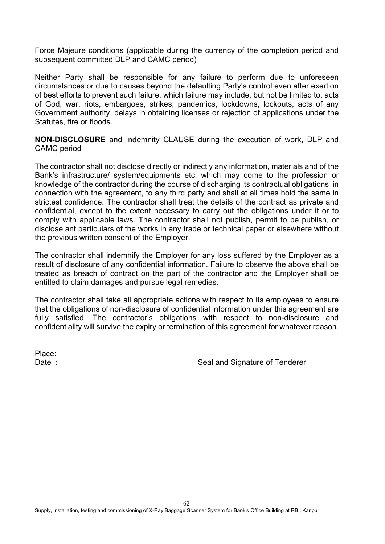Force Majeure conditions (applicable during the currency of the completion period and subsequent committed DLP and CAMC period)

Neither Party shall be responsible for any failure to perform due to unforeseen circumstances or due to causes beyond the defaulting Party's control even after exertion of best efforts to prevent such failure, which failure may include, but not be limited to, acts of God, war, riots, embargoes, strikes, pandemics, lockdowns, lockouts, acts of any Government authority, delays in obtaining licenses or rejection of applications under the Statutes, fire or floods.

**NON-DISCLOSURE** and Indemnity CLAUSE during the execution of work, DLP and CAMC period

The contractor shall not disclose directly or indirectly any information, materials and of the Bank's infrastructure/ system/equipments etc. which may come to the profession or knowledge of the contractor during the course of discharging its contractual obligations in connection with the agreement, to any third party and shall at all times hold the same in strictest confidence. The contractor shall treat the details of the contract as private and confidential, except to the extent necessary to carry out the obligations under it or to comply with applicable laws. The contractor shall not publish, permit to be publish, or disclose ant particulars of the works in any trade or technical paper or elsewhere without the previous written consent of the Employer.

The contractor shall indemnify the Employer for any loss suffered by the Employer as a result of disclosure of any confidential information. Failure to observe the above shall be treated as breach of contract on the part of the contractor and the Employer shall be entitled to claim damages and pursue legal remedies.

The contractor shall take all appropriate actions with respect to its employees to ensure that the obligations of non-disclosure of confidential information under this agreement are fully satisfied. The contractor's obligations with respect to non-disclosure and confidentiality will survive the expiry or termination of this agreement for whatever reason.

Place:

Date : Seal and Signature of Tenderer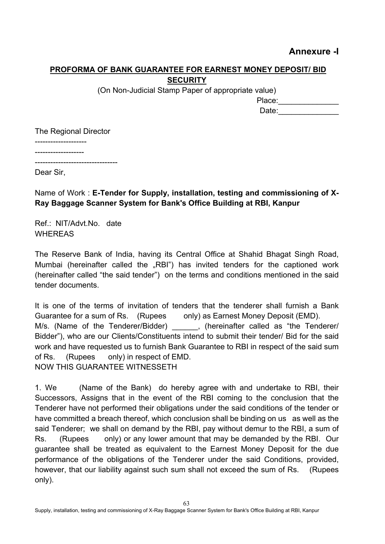# **Annexure -I**

# **PROFORMA OF BANK GUARANTEE FOR EARNEST MONEY DEPOSIT/ BID SECURITY**

(On Non-Judicial Stamp Paper of appropriate value)

| Place: |  |  |  |
|--------|--|--|--|
| Date:  |  |  |  |

The Regional Director

--------------------

------------------- --------------------------------

Dear Sir,

# Name of Work : **E-Tender for Supply, installation, testing and commissioning of X-Ray Baggage Scanner System for Bank's Office Building at RBI, Kanpur**

Ref · NIT/Advt No. date WHEREAS

The Reserve Bank of India, having its Central Office at Shahid Bhagat Singh Road, Mumbai (hereinafter called the "RBI") has invited tenders for the captioned work (hereinafter called "the said tender") on the terms and conditions mentioned in the said tender documents.

It is one of the terms of invitation of tenders that the tenderer shall furnish a Bank Guarantee for a sum of Rs. (Rupees only) as Earnest Money Deposit (EMD). M/s. (Name of the Tenderer/Bidder) \_\_\_\_\_\_, (hereinafter called as "the Tenderer/ Bidder"), who are our Clients/Constituents intend to submit their tender/ Bid for the said work and have requested us to furnish Bank Guarantee to RBI in respect of the said sum of Rs. (Rupees only) in respect of EMD. NOW THIS GUARANTEE WITNESSETH

1. We (Name of the Bank) do hereby agree with and undertake to RBI, their Successors, Assigns that in the event of the RBI coming to the conclusion that the Tenderer have not performed their obligations under the said conditions of the tender or have committed a breach thereof, which conclusion shall be binding on us as well as the said Tenderer; we shall on demand by the RBI, pay without demur to the RBI, a sum of Rs. (Rupees only) or any lower amount that may be demanded by the RBI. Our guarantee shall be treated as equivalent to the Earnest Money Deposit for the due performance of the obligations of the Tenderer under the said Conditions, provided, however, that our liability against such sum shall not exceed the sum of Rs. (Rupees only).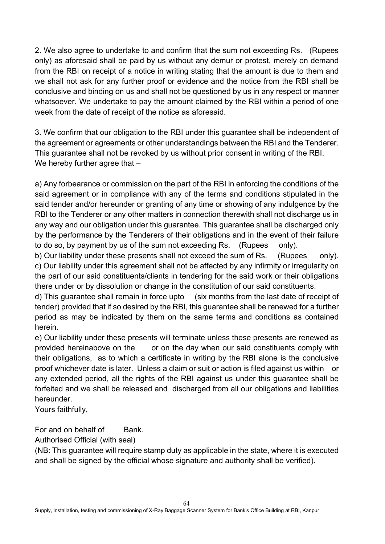2. We also agree to undertake to and confirm that the sum not exceeding Rs. (Rupees only) as aforesaid shall be paid by us without any demur or protest, merely on demand from the RBI on receipt of a notice in writing stating that the amount is due to them and we shall not ask for any further proof or evidence and the notice from the RBI shall be conclusive and binding on us and shall not be questioned by us in any respect or manner whatsoever. We undertake to pay the amount claimed by the RBI within a period of one week from the date of receipt of the notice as aforesaid.

3. We confirm that our obligation to the RBI under this guarantee shall be independent of the agreement or agreements or other understandings between the RBI and the Tenderer. This guarantee shall not be revoked by us without prior consent in writing of the RBI. We hereby further agree that –

a) Any forbearance or commission on the part of the RBI in enforcing the conditions of the said agreement or in compliance with any of the terms and conditions stipulated in the said tender and/or hereunder or granting of any time or showing of any indulgence by the RBI to the Tenderer or any other matters in connection therewith shall not discharge us in any way and our obligation under this guarantee. This guarantee shall be discharged only by the performance by the Tenderers of their obligations and in the event of their failure to do so, by payment by us of the sum not exceeding Rs. (Rupees only).

b) Our liability under these presents shall not exceed the sum of Rs. (Rupees only). c) Our liability under this agreement shall not be affected by any infirmity or irregularity on the part of our said constituents/clients in tendering for the said work or their obligations there under or by dissolution or change in the constitution of our said constituents.

d) This guarantee shall remain in force upto (six months from the last date of receipt of tender) provided that if so desired by the RBI, this guarantee shall be renewed for a further period as may be indicated by them on the same terms and conditions as contained herein.

e) Our liability under these presents will terminate unless these presents are renewed as provided hereinabove on the or on the day when our said constituents comply with their obligations, as to which a certificate in writing by the RBI alone is the conclusive proof whichever date is later. Unless a claim or suit or action is filed against us within or any extended period, all the rights of the RBI against us under this guarantee shall be forfeited and we shall be released and discharged from all our obligations and liabilities hereunder.

Yours faithfully,

For and on behalf of Bank.

Authorised Official (with seal)

(NB: This guarantee will require stamp duty as applicable in the state, where it is executed and shall be signed by the official whose signature and authority shall be verified).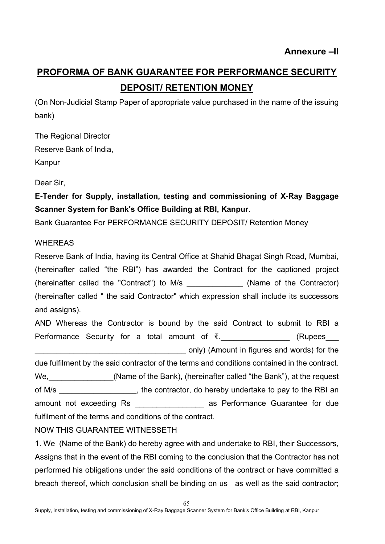# **PROFORMA OF BANK GUARANTEE FOR PERFORMANCE SECURITY DEPOSIT/ RETENTION MONEY**

(On Non-Judicial Stamp Paper of appropriate value purchased in the name of the issuing bank)

The Regional Director Reserve Bank of India, Kanpur

Dear Sir,

**E-Tender for Supply, installation, testing and commissioning of X-Ray Baggage Scanner System for Bank's Office Building at RBI, Kanpur**.

Bank Guarantee For PERFORMANCE SECURITY DEPOSIT/ Retention Money

# WHEREAS

Reserve Bank of India, having its Central Office at Shahid Bhagat Singh Road, Mumbai, (hereinafter called "the RBI") has awarded the Contract for the captioned project (hereinafter called the "Contract") to M/s (Name of the Contractor) (hereinafter called " the said Contractor" which expression shall include its successors and assigns).

AND Whereas the Contractor is bound by the said Contract to submit to RBI a Performance Security for a total amount of ₹.  $\blacksquare$  (Rupees \_\_\_\_\_\_\_\_\_\_\_\_\_\_\_\_\_\_\_\_\_\_\_\_\_\_\_\_\_\_\_\_\_\_\_ only) (Amount in figures and words) for the due fulfilment by the said contractor of the terms and conditions contained in the contract. We, We, All Chame of the Bank), (hereinafter called "the Bank"), at the request of M/s \_\_\_\_\_\_\_\_\_\_\_\_\_\_\_\_\_\_, the contractor, do hereby undertake to pay to the RBI an amount not exceeding Rs \_\_\_\_\_\_\_\_\_\_\_\_\_\_\_\_ as Performance Guarantee for due fulfilment of the terms and conditions of the contract.

# NOW THIS GUARANTEE WITNESSETH

1. We (Name of the Bank) do hereby agree with and undertake to RBI, their Successors, Assigns that in the event of the RBI coming to the conclusion that the Contractor has not performed his obligations under the said conditions of the contract or have committed a breach thereof, which conclusion shall be binding on us as well as the said contractor;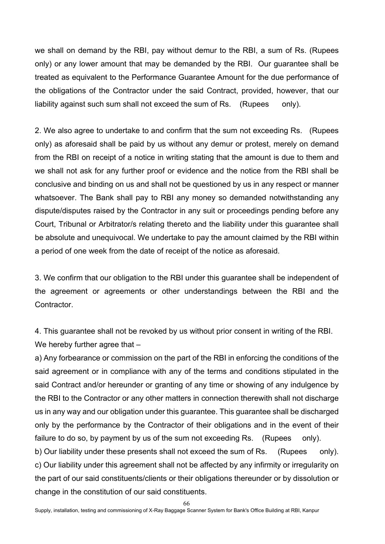we shall on demand by the RBI, pay without demur to the RBI, a sum of Rs. (Rupees only) or any lower amount that may be demanded by the RBI. Our guarantee shall be treated as equivalent to the Performance Guarantee Amount for the due performance of the obligations of the Contractor under the said Contract, provided, however, that our liability against such sum shall not exceed the sum of Rs. (Rupees only).

2. We also agree to undertake to and confirm that the sum not exceeding Rs. (Rupees only) as aforesaid shall be paid by us without any demur or protest, merely on demand from the RBI on receipt of a notice in writing stating that the amount is due to them and we shall not ask for any further proof or evidence and the notice from the RBI shall be conclusive and binding on us and shall not be questioned by us in any respect or manner whatsoever. The Bank shall pay to RBI any money so demanded notwithstanding any dispute/disputes raised by the Contractor in any suit or proceedings pending before any Court, Tribunal or Arbitrator/s relating thereto and the liability under this guarantee shall be absolute and unequivocal. We undertake to pay the amount claimed by the RBI within a period of one week from the date of receipt of the notice as aforesaid.

3. We confirm that our obligation to the RBI under this guarantee shall be independent of the agreement or agreements or other understandings between the RBI and the Contractor.

4. This guarantee shall not be revoked by us without prior consent in writing of the RBI. We hereby further agree that -

a) Any forbearance or commission on the part of the RBI in enforcing the conditions of the said agreement or in compliance with any of the terms and conditions stipulated in the said Contract and/or hereunder or granting of any time or showing of any indulgence by the RBI to the Contractor or any other matters in connection therewith shall not discharge us in any way and our obligation under this guarantee. This guarantee shall be discharged only by the performance by the Contractor of their obligations and in the event of their failure to do so, by payment by us of the sum not exceeding Rs. (Rupees only).

b) Our liability under these presents shall not exceed the sum of Rs. (Rupees only). c) Our liability under this agreement shall not be affected by any infirmity or irregularity on the part of our said constituents/clients or their obligations thereunder or by dissolution or change in the constitution of our said constituents.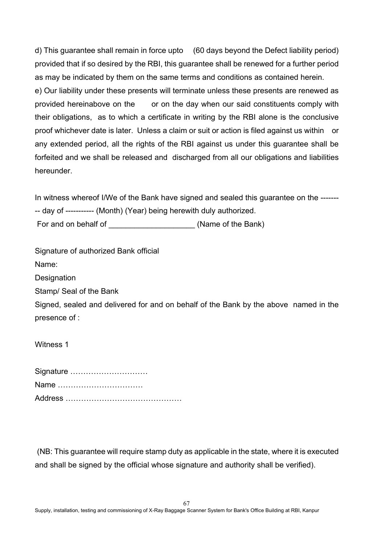d) This guarantee shall remain in force upto (60 days beyond the Defect liability period) provided that if so desired by the RBI, this guarantee shall be renewed for a further period as may be indicated by them on the same terms and conditions as contained herein. e) Our liability under these presents will terminate unless these presents are renewed as provided hereinabove on the or on the day when our said constituents comply with their obligations, as to which a certificate in writing by the RBI alone is the conclusive proof whichever date is later. Unless a claim or suit or action is filed against us within or any extended period, all the rights of the RBI against us under this guarantee shall be forfeited and we shall be released and discharged from all our obligations and liabilities hereunder.

In witness whereof I/We of the Bank have signed and sealed this guarantee on the ------- -- day of ----------- (Month) (Year) being herewith duly authorized.

For and on behalf of **Example 20** (Name of the Bank)

Signature of authorized Bank official Name:

**Designation** 

Stamp/ Seal of the Bank

Signed, sealed and delivered for and on behalf of the Bank by the above named in the presence of :

Witness 1

| Signature |
|-----------|
| Name      |
|           |

(NB: This guarantee will require stamp duty as applicable in the state, where it is executed and shall be signed by the official whose signature and authority shall be verified).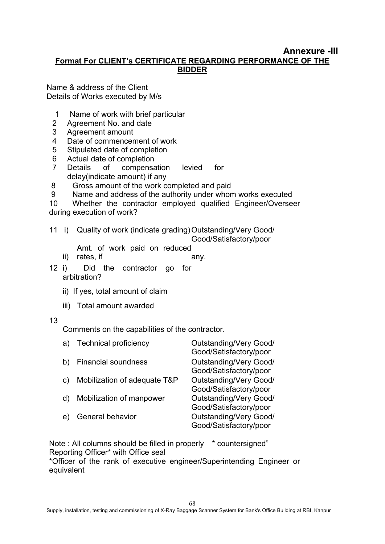#### **Annexure -III Format For CLIENT's CERTIFICATE REGARDING PERFORMANCE OF THE BIDDER**

Name & address of the Client Details of Works executed by M/s

- 1 Name of work with brief particular
- 2 Agreement No. and date
- 3 Agreement amount
- 4 Date of commencement of work
- 5 Stipulated date of completion
- 6 Actual date of completion
- 7 Details of compensation levied for delay(indicate amount) if any
- 8 Gross amount of the work completed and paid
- 9 Name and address of the authority under whom works executed
- 10 Whether the contractor employed qualified Engineer/Overseer

during execution of work?

- 11 i) Quality of work (indicate grading)Outstanding/Very Good/ Good/Satisfactory/poor
	- Amt. of work paid on reduced
	- ii) rates, if any.
		-
- 12 i) Did the contractor go for arbitration?
	- ii) If yes, total amount of claim
	- iii) Total amount awarded

#### 13

Comments on the capabilities of the contractor.

| a  | <b>Technical proficiency</b> | <b>Outstanding/Very Good/</b><br>Good/Satisfactory/poor |  |
|----|------------------------------|---------------------------------------------------------|--|
| b) | <b>Financial soundness</b>   | <b>Outstanding/Very Good/</b><br>Good/Satisfactory/poor |  |
| C) | Mobilization of adequate T&P | <b>Outstanding/Very Good/</b><br>Good/Satisfactory/poor |  |
|    | Mobilization of manpower     | <b>Outstanding/Very Good/</b><br>Good/Satisfactory/poor |  |
| e  | General behavior             | <b>Outstanding/Very Good/</b><br>Good/Satisfactory/poor |  |

Note : All columns should be filled in properly \* countersigned" Reporting Officer\* with Office seal

\*Officer of the rank of executive engineer/Superintending Engineer or equivalent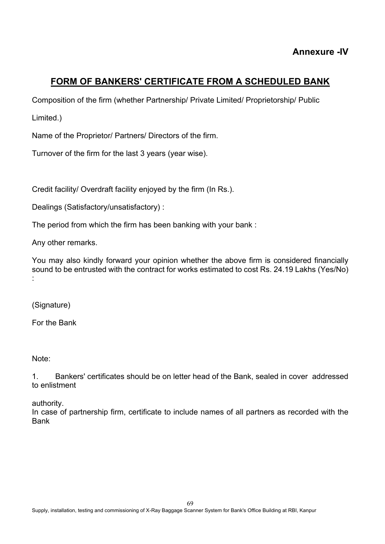# **FORM OF BANKERS' CERTIFICATE FROM A SCHEDULED BANK**

Composition of the firm (whether Partnership/ Private Limited/ Proprietorship/ Public

Limited.)

Name of the Proprietor/ Partners/ Directors of the firm.

Turnover of the firm for the last 3 years (year wise).

Credit facility/ Overdraft facility enjoyed by the firm (In Rs.).

Dealings (Satisfactory/unsatisfactory) :

The period from which the firm has been banking with your bank :

Any other remarks.

You may also kindly forward your opinion whether the above firm is considered financially sound to be entrusted with the contract for works estimated to cost Rs. 24.19 Lakhs (Yes/No) :

(Signature)

For the Bank

Note:

1. Bankers' certificates should be on letter head of the Bank, sealed in cover addressed to enlistment

authority.

In case of partnership firm, certificate to include names of all partners as recorded with the Bank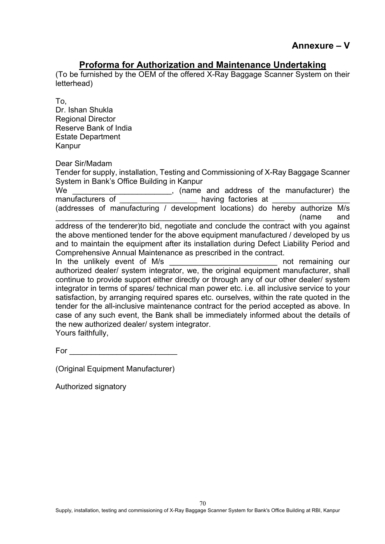# **Proforma for Authorization and Maintenance Undertaking**

(To be furnished by the OEM of the offered X-Ray Baggage Scanner System on their letterhead)

To, Dr. Ishan Shukla Regional Director Reserve Bank of India Estate Department Kanpur

Dear Sir/Madam

Tender for supply, installation, Testing and Commissioning of X-Ray Baggage Scanner System in Bank's Office Building in Kanpur We \_\_\_\_\_\_\_\_\_\_\_\_\_\_\_\_\_\_\_\_\_\_\_\_\_\_\_, (name and address of the manufacturer) the manufacturers of manufactories at (addresses of manufacturing / development locations) do hereby authorize M/s \_\_\_\_\_\_\_\_\_\_\_\_\_\_\_\_\_\_\_\_\_\_\_\_\_\_\_\_\_\_\_\_\_\_\_\_\_\_\_\_\_\_\_\_\_\_\_\_\_\_\_\_\_ (name and address of the tenderer)to bid, negotiate and conclude the contract with you against the above mentioned tender for the above equipment manufactured / developed by us

and to maintain the equipment after its installation during Defect Liability Period and Comprehensive Annual Maintenance as prescribed in the contract. In the unlikely event of M/s and the unlikely event of M/s authorized dealer/ system integrator, we, the original equipment manufacturer, shall continue to provide support either directly or through any of our other dealer/ system integrator in terms of spares/ technical man power etc. i.e. all inclusive service to your satisfaction, by arranging required spares etc. ourselves, within the rate quoted in the tender for the all-inclusive maintenance contract for the period accepted as above. In case of any such event, the Bank shall be immediately informed about the details of the new authorized dealer/ system integrator.

Yours faithfully,

For \_\_\_\_\_\_\_\_\_\_\_\_\_\_\_\_\_\_\_\_\_\_\_\_\_

(Original Equipment Manufacturer)

Authorized signatory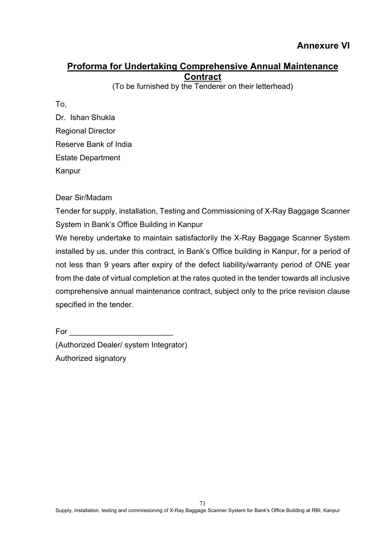# **Proforma for Undertaking Comprehensive Annual Maintenance Contract**

(To be furnished by the Tenderer on their letterhead)

To,

Dr. Ishan Shukla Regional Director Reserve Bank of India Estate Department Kanpur

Dear Sir/Madam

Tender for supply, installation, Testing and Commissioning of X-Ray Baggage Scanner System in Bank's Office Building in Kanpur

We hereby undertake to maintain satisfactorily the X-Ray Baggage Scanner System installed by us, under this contract, in Bank's Office building in Kanpur, for a period of not less than 9 years after expiry of the defect liability/warranty period of ONE year from the date of virtual completion at the rates quoted in the tender towards all inclusive comprehensive annual maintenance contract, subject only to the price revision clause specified in the tender.

 $For \qquad \qquad$ (Authorized Dealer/ system Integrator) Authorized signatory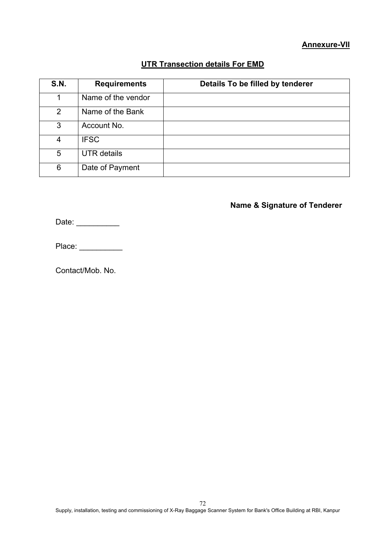#### **Annexure-VII**

## **UTR Transection details For EMD**

| <b>S.N.</b>    | <b>Requirements</b> | Details To be filled by tenderer |
|----------------|---------------------|----------------------------------|
| 1              | Name of the vendor  |                                  |
| 2              | Name of the Bank    |                                  |
| 3              | Account No.         |                                  |
| $\overline{4}$ | <b>IFSC</b>         |                                  |
| 5              | <b>UTR</b> details  |                                  |
| 6              | Date of Payment     |                                  |

# **Name & Signature of Tenderer**

Date: \_\_\_\_\_\_\_\_\_\_\_\_

Place: \_\_\_\_\_\_\_\_\_\_

Contact/Mob. No.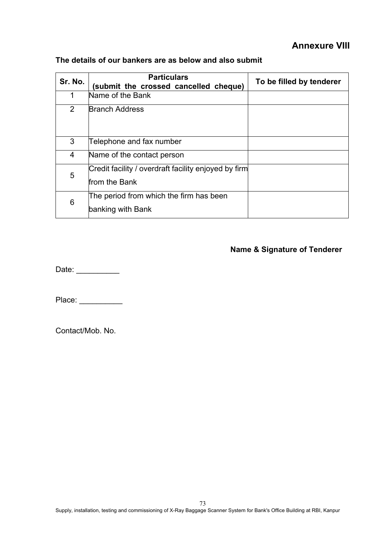## **Annexure VIII**

| Sr. No. | <b>Particulars</b><br>(submit the crossed cancelled cheque)           | To be filled by tenderer |
|---------|-----------------------------------------------------------------------|--------------------------|
| 1       | Name of the Bank                                                      |                          |
| 2       | <b>Branch Address</b>                                                 |                          |
| 3       | Telephone and fax number                                              |                          |
| 4       | Name of the contact person                                            |                          |
| 5       | Credit facility / overdraft facility enjoyed by firm<br>from the Bank |                          |
| 6       | The period from which the firm has been<br>banking with Bank          |                          |

#### **The details of our bankers are as below and also submit**

## **Name & Signature of Tenderer**

Date: \_\_\_\_\_\_\_\_\_\_\_\_

Place: \_\_\_\_\_\_\_\_\_\_\_\_

Contact/Mob. No.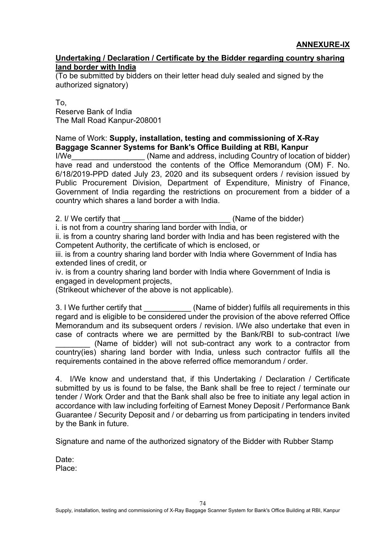#### **Undertaking / Declaration / Certificate by the Bidder regarding country sharing land border with India**

(To be submitted by bidders on their letter head duly sealed and signed by the authorized signatory)

Το, Reserve Bank of India The Mall Road Kanpur-208001

Name of Work: **Supply, installation, testing and commissioning of X-Ray Baggage Scanner Systems for Bank's Office Building at RBI, Kanpur**

I/We\_\_\_\_\_\_\_\_\_\_\_\_\_\_\_\_\_ (Name and address, including Country of location of bidder) have read and understood the contents of the Office Memorandum (OM) F. No. 6/18/2019-PPD dated July 23, 2020 and its subsequent orders / revision issued by Public Procurement Division, Department of Expenditure, Ministry of Finance, Government of India regarding the restrictions on procurement from a bidder of a country which shares a land border a with India.

2. I/ We certify that **the summan intervalse in the set of the bidder**)

i. is not from a country sharing land border with India, or

ii. is from a country sharing land border with India and has been registered with the Competent Authority, the certificate of which is enclosed, or

iii. is from a country sharing land border with India where Government of India has extended lines of credit, or

iv. is from a country sharing land border with India where Government of India is engaged in development projects,

(Strikeout whichever of the above is not applicable).

3. I We further certify that \_\_\_\_\_\_\_\_\_\_\_ (Name of bidder) fulfils all requirements in this regard and is eligible to be considered under the provision of the above referred Office Memorandum and its subsequent orders / revision. I/We also undertake that even in case of contracts where we are permitted by the Bank/RBI to sub-contract I/we (Name of bidder) will not sub-contract any work to a contractor from country(ies) sharing land border with India, unless such contractor fulfils all the

requirements contained in the above referred office memorandum / order.

4. I/We know and understand that, if this Undertaking / Declaration / Certificate submitted by us is found to be false, the Bank shall be free to reject / terminate our tender / Work Order and that the Bank shall also be free to initiate any legal action in accordance with law including forfeiting of Earnest Money Deposit / Performance Bank Guarantee / Security Deposit and / or debarring us from participating in tenders invited by the Bank in future.

Signature and name of the authorized signatory of the Bidder with Rubber Stamp

Date: Place: